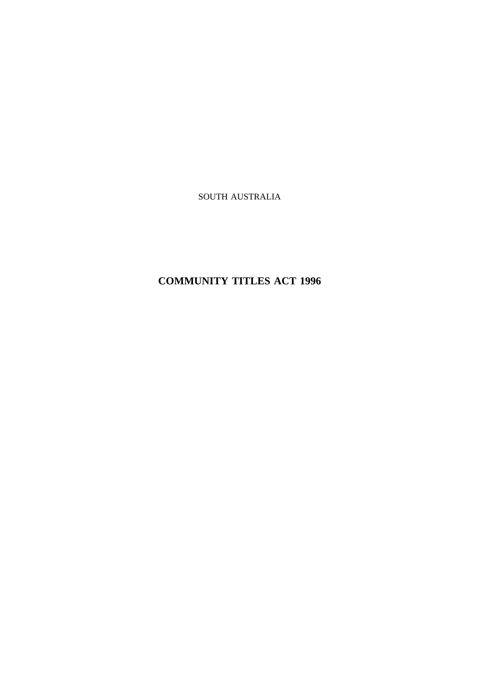SOUTH AUSTRALIA

# **COMMUNITY TITLES ACT 1996**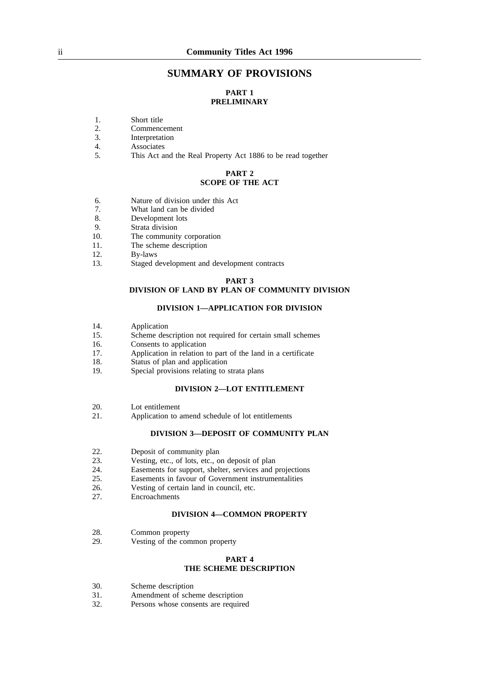# **SUMMARY OF PROVISIONS**

# **PART 1 PRELIMINARY**

- 1. Short title
- 2. Commencement
- 3. Interpretation
- 4. Associates
- 5. This Act and the Real Property Act 1886 to be read together

#### **PART 2 SCOPE OF THE ACT**

- 6. Nature of division under this Act
- 7. What land can be divided
- 8. Development lots
- 9. Strata division<br>10. The community
- The community corporation
- 11. The scheme description
- 12. By-laws<br>13. Staged d
- Staged development and development contracts

#### **PART 3 DIVISION OF LAND BY PLAN OF COMMUNITY DIVISION**

#### **DIVISION 1—APPLICATION FOR DIVISION**

- 14. Application<br>15. Scheme des
- Scheme description not required for certain small schemes
- 16. Consents to application
- 17. Application in relation to part of the land in a certificate
- 18. Status of plan and application
- 19. Special provisions relating to strata plans

#### **DIVISION 2—LOT ENTITLEMENT**

- 20. Lot entitlement
- 21. Application to amend schedule of lot entitlements

#### **DIVISION 3—DEPOSIT OF COMMUNITY PLAN**

- 22. Deposit of community plan
- 23. Vesting, etc., of lots, etc., on deposit of plan<br>24. Easements for support, shelter, services and p
- 24. Easements for support, shelter, services and projections<br>25. Easements in favour of Government instrumentalities
- 25. Easements in favour of Government instrumentalities 26. Vesting of certain land in council, etc.
- 26. Vesting of certain land in council, etc.<br>27. Encroachments
- **Encroachments**

#### **DIVISION 4—COMMON PROPERTY**

- 28. Common property
- 29. Vesting of the common property

#### **PART 4 THE SCHEME DESCRIPTION**

- 30. Scheme description
- 31. Amendment of scheme description
- 32. Persons whose consents are required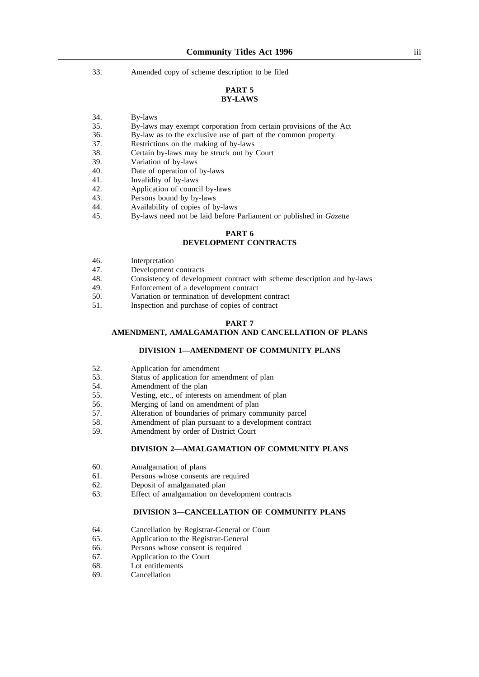33. Amended copy of scheme description to be filed

# **PART 5 BY-LAWS**

- 34. By-laws
- 35. By-laws may exempt corporation from certain provisions of the Act
- 36. By-law as to the exclusive use of part of the common property
- 37. Restrictions on the making of by-laws
- 38. Certain by-laws may be struck out by Court
- 39. Variation of by-laws
- 40. Date of operation of by-laws
- 41. Invalidity of by-laws
- 42. Application of council by-laws
- 43. Persons bound by by-laws<br>44. Availability of copies of b
- 44. Availability of copies of by-laws<br>45. By-laws need not be laid before
- 45. By-laws need not be laid before Parliament or published in *Gazette*

# **PART 6**

# **DEVELOPMENT CONTRACTS**

- 46. Interpretation
- 47. Development contracts
- 48. Consistency of development contract with scheme description and by-laws 49. Enforcement of a development contract
- 49. Enforcement of a development contract<br>50. Variation or termination of development
- 50. Variation or termination of development contract<br>51 Inspection and purchase of copies of contract
- Inspection and purchase of copies of contract

#### **PART 7**

## **AMENDMENT, AMALGAMATION AND CANCELLATION OF PLANS**

#### **DIVISION 1—AMENDMENT OF COMMUNITY PLANS**

- 52. Application for amendment<br>53. Status of application for am
- 53. Status of application for amendment of plan<br>54. Amendment of the plan
- 54. Amendment of the plan<br>55. Vesting, etc., of interest
- Vesting, etc., of interests on amendment of plan
- 56. Merging of land on amendment of plan
- 57. Alteration of boundaries of primary community parcel
- 58. Amendment of plan pursuant to a development contract
- 59. Amendment by order of District Court

#### **DIVISION 2—AMALGAMATION OF COMMUNITY PLANS**

- 60. Amalgamation of plans
- 61. Persons whose consents are required
- 62. Deposit of amalgamated plan
- 63. Effect of amalgamation on development contracts

#### **DIVISION 3—CANCELLATION OF COMMUNITY PLANS**

- 64. Cancellation by Registrar-General or Court
- 65. Application to the Registrar-General
- 66. Persons whose consent is required
- 67. Application to the Court
- 68. Lot entitlements
- 69. Cancellation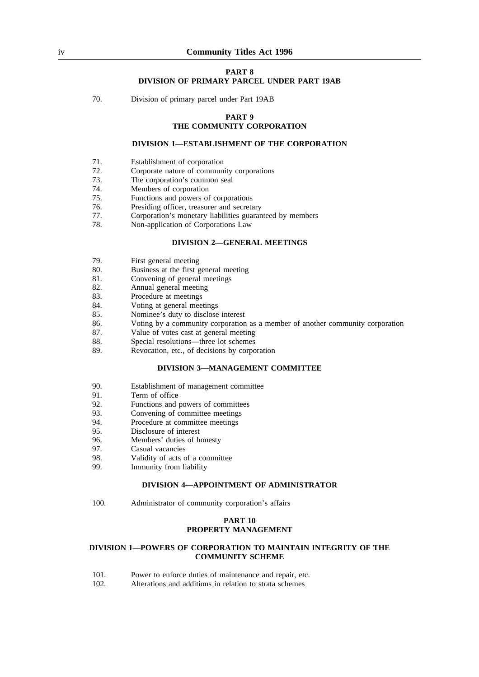#### **PART 8 DIVISION OF PRIMARY PARCEL UNDER PART 19AB**

70. Division of primary parcel under Part 19AB

#### **PART 9**

# **THE COMMUNITY CORPORATION**

#### **DIVISION 1—ESTABLISHMENT OF THE CORPORATION**

- 71. Establishment of corporation
- 72. Corporate nature of community corporations
- 73. The corporation's common seal
- 74. Members of corporation
- 75. Functions and powers of corporations<br>76. Presiding officer, treasurer and secretary
- 76. Presiding officer, treasurer and secretary
- 77. Corporation's monetary liabilities guaranteed by members
- Non-application of Corporations Law

#### **DIVISION 2—GENERAL MEETINGS**

- 79. First general meeting
- 80. Business at the first general meeting<br>81. Convening of general meetings
- 81. Convening of general meetings<br>82. Annual general meeting
- 82. Annual general meeting<br>83 Procedure at meetings
- 83. Procedure at meetings<br>84 Voting at general mee
- 84. Voting at general meetings<br>85 Nominee's duty to disclose
- Nominee's duty to disclose interest
- 86. Voting by a community corporation as a member of another community corporation
- 87. Value of votes cast at general meeting
- 88. Special resolutions—three lot schemes
- 89. Revocation, etc., of decisions by corporation

#### **DIVISION 3—MANAGEMENT COMMITTEE**

- 90. Establishment of management committee
- 91. Term of office
- 92. Functions and powers of committees
- 93. Convening of committee meetings
- 94. Procedure at committee meetings
- 95. Disclosure of interest
- 96. Members' duties of honesty
- 97. Casual vacancies
- 98. Validity of acts of a committee
- 99. Immunity from liability

#### **DIVISION 4—APPOINTMENT OF ADMINISTRATOR**

100. Administrator of community corporation's affairs

# **PART 10 PROPERTY MANAGEMENT**

#### **DIVISION 1—POWERS OF CORPORATION TO MAINTAIN INTEGRITY OF THE COMMUNITY SCHEME**

- 101. Power to enforce duties of maintenance and repair, etc.
- 102. Alterations and additions in relation to strata schemes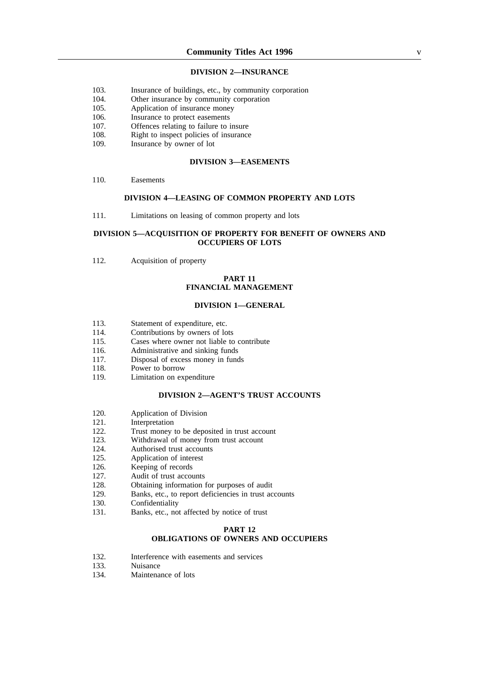#### **DIVISION 2—INSURANCE**

- 103. Insurance of buildings, etc., by community corporation
- 104. Other insurance by community corporation
- 105. Application of insurance money
- 106. Insurance to protect easements
- 107. Offences relating to failure to insure
- 108. Right to inspect policies of insurance
- 109. Insurance by owner of lot

#### **DIVISION 3—EASEMENTS**

110. Easements

#### **DIVISION 4—LEASING OF COMMON PROPERTY AND LOTS**

111. Limitations on leasing of common property and lots

#### **DIVISION 5—ACQUISITION OF PROPERTY FOR BENEFIT OF OWNERS AND OCCUPIERS OF LOTS**

112. Acquisition of property

# **PART 11 FINANCIAL MANAGEMENT**

#### **DIVISION 1—GENERAL**

- 113. Statement of expenditure, etc.
- 114. Contributions by owners of lots
- 115. Cases where owner not liable to contribute
- 116. Administrative and sinking funds
- 117. Disposal of excess money in funds<br>118. Power to borrow
- 118. Power to borrow<br>119. Limitation on exi
- Limitation on expenditure

#### **DIVISION 2—AGENT'S TRUST ACCOUNTS**

- 120. Application of Division
- 121. Interpretation
- 122. Trust money to be deposited in trust account
- 123. Withdrawal of money from trust account
- 124. Authorised trust accounts
- 125. Application of interest
- 126. Keeping of records
- 127. Audit of trust accounts
- 128. Obtaining information for purposes of audit
- 129. Banks, etc., to report deficiencies in trust accounts
- 130. Confidentiality
- 131. Banks, etc., not affected by notice of trust

#### **PART 12 OBLIGATIONS OF OWNERS AND OCCUPIERS**

- 132. Interference with easements and services
- 133. Nuisance
- 134. Maintenance of lots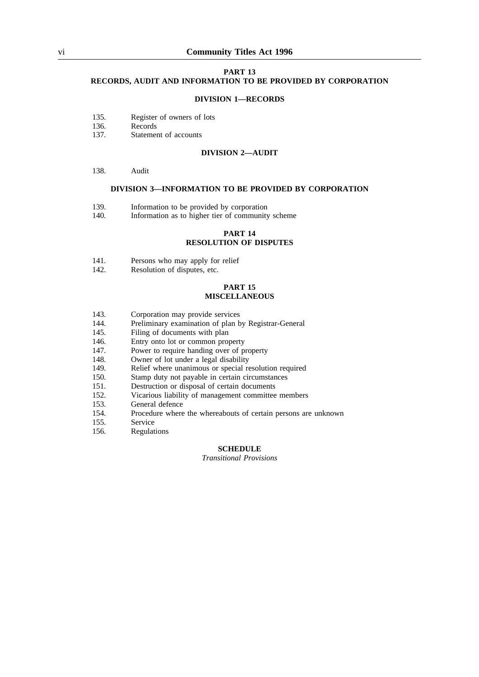#### vi **Community Titles Act 1996**

#### **PART 13 RECORDS, AUDIT AND INFORMATION TO BE PROVIDED BY CORPORATION**

#### **DIVISION 1—RECORDS**

- 135. Register of owners of lots
- 136. Records
- 137. Statement of accounts

#### **DIVISION 2—AUDIT**

#### 138. Audit

#### **DIVISION 3—INFORMATION TO BE PROVIDED BY CORPORATION**

- 139. Information to be provided by corporation 140. Information as to higher tier of community
- Information as to higher tier of community scheme

#### **PART 14 RESOLUTION OF DISPUTES**

- 141. Persons who may apply for relief 142. Resolution of disputes, etc.
- Resolution of disputes, etc.

#### **PART 15 MISCELLANEOUS**

- 143. Corporation may provide services<br>144 Preliminary examination of plan b
- 144. Preliminary examination of plan by Registrar-General<br>145. Filing of documents with plan
- Filing of documents with plan
- 146. Entry onto lot or common property<br>147. Power to require handing over of pr
- 147. Power to require handing over of property<br>148. Owner of lot under a legal disability
- 148. Owner of lot under a legal disability<br>149. Relief where unanimous or special re
- 149. Relief where unanimous or special resolution required<br>150. Stamp duty not payable in certain circumstances
- 150. Stamp duty not payable in certain circumstances<br>151. Destruction or disposal of certain documents
- Destruction or disposal of certain documents
- 152. Vicarious liability of management committee members
- 153. General defence
- 154. Procedure where the whereabouts of certain persons are unknown
- 155. Service
- 156. Regulations

#### **SCHEDULE**

*Transitional Provisions*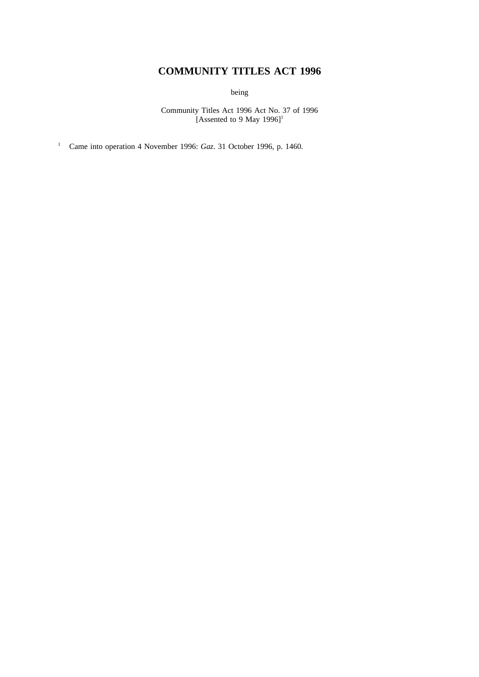# **COMMUNITY TITLES ACT 1996**

being

Community Titles Act 1996 Act No. 37 of 1996 [Assented to 9 May  $1996$ ]<sup>1</sup>

<sup>1</sup> Came into operation 4 November 1996: *Gaz*. 31 October 1996, p. 1460.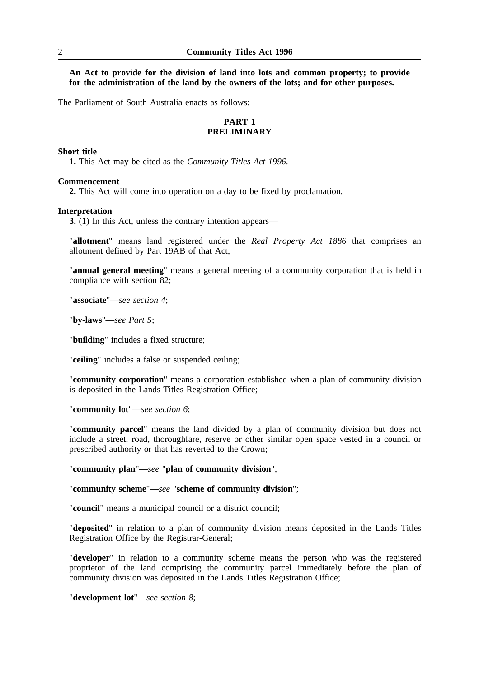**An Act to provide for the division of land into lots and common property; to provide for the administration of the land by the owners of the lots; and for other purposes.**

The Parliament of South Australia enacts as follows:

# **PART 1 PRELIMINARY**

#### **Short title**

**1.** This Act may be cited as the *Community Titles Act 1996*.

#### **Commencement**

**2.** This Act will come into operation on a day to be fixed by proclamation.

#### **Interpretation**

**3.** (1) In this Act, unless the contrary intention appears—

"**allotment**" means land registered under the *Real Property Act 1886* that comprises an allotment defined by Part 19AB of that Act;

"**annual general meeting**" means a general meeting of a community corporation that is held in compliance with section 82;

"**associate**"—*see section 4*;

"**by-laws**"—*see Part 5*;

"**building**" includes a fixed structure;

"**ceiling**" includes a false or suspended ceiling;

"**community corporation**" means a corporation established when a plan of community division is deposited in the Lands Titles Registration Office;

"**community lot**"—*see section 6*;

"**community parcel**" means the land divided by a plan of community division but does not include a street, road, thoroughfare, reserve or other similar open space vested in a council or prescribed authority or that has reverted to the Crown;

"**community plan**"—*see* "**plan of community division**";

"**community scheme**"—*see* "**scheme of community division**";

"**council**" means a municipal council or a district council;

"**deposited**" in relation to a plan of community division means deposited in the Lands Titles Registration Office by the Registrar-General;

"**developer**" in relation to a community scheme means the person who was the registered proprietor of the land comprising the community parcel immediately before the plan of community division was deposited in the Lands Titles Registration Office;

"**development lot**"—*see section 8*;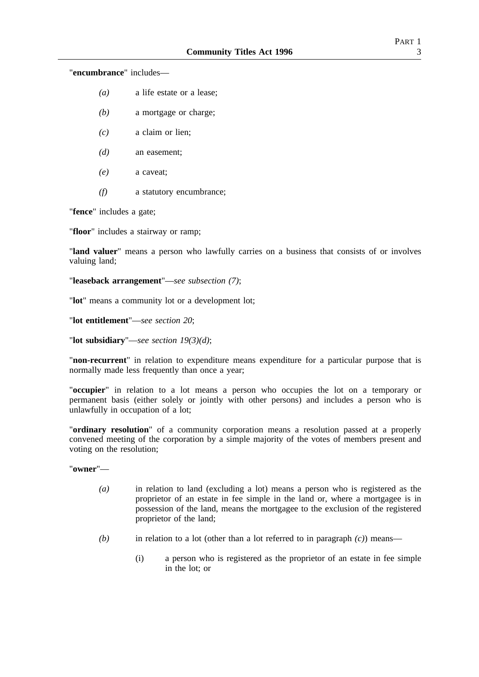"**encumbrance**" includes—

- *(a)* a life estate or a lease;
- *(b)* a mortgage or charge;
- *(c)* a claim or lien;
- *(d)* an easement;
- *(e)* a caveat;
- *(f)* a statutory encumbrance;

"**fence**" includes a gate;

"**floor**" includes a stairway or ramp;

"**land valuer**" means a person who lawfully carries on a business that consists of or involves valuing land;

"**leaseback arrangement**"—*see subsection (7)*;

"**lot**" means a community lot or a development lot;

"**lot entitlement**"—*see section 20*;

"**lot subsidiary**"—*see section 19(3)(d)*;

"**non-recurrent**" in relation to expenditure means expenditure for a particular purpose that is normally made less frequently than once a year;

"**occupier**" in relation to a lot means a person who occupies the lot on a temporary or permanent basis (either solely or jointly with other persons) and includes a person who is unlawfully in occupation of a lot;

"**ordinary resolution**" of a community corporation means a resolution passed at a properly convened meeting of the corporation by a simple majority of the votes of members present and voting on the resolution;

"**owner**"—

- *(a)* in relation to land (excluding a lot) means a person who is registered as the proprietor of an estate in fee simple in the land or, where a mortgagee is in possession of the land, means the mortgagee to the exclusion of the registered proprietor of the land;
- *(b)* in relation to a lot (other than a lot referred to in paragraph *(c)*) means—
	- (i) a person who is registered as the proprietor of an estate in fee simple in the lot; or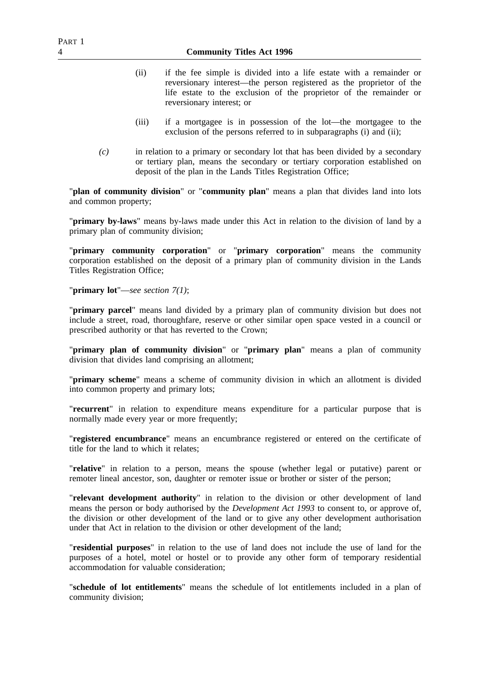- (ii) if the fee simple is divided into a life estate with a remainder or reversionary interest—the person registered as the proprietor of the life estate to the exclusion of the proprietor of the remainder or reversionary interest; or
- (iii) if a mortgagee is in possession of the lot—the mortgagee to the exclusion of the persons referred to in subparagraphs (i) and (ii);
- *(c)* in relation to a primary or secondary lot that has been divided by a secondary or tertiary plan, means the secondary or tertiary corporation established on deposit of the plan in the Lands Titles Registration Office;

"**plan of community division**" or "**community plan**" means a plan that divides land into lots and common property;

"**primary by-laws**" means by-laws made under this Act in relation to the division of land by a primary plan of community division;

"**primary community corporation**" or "**primary corporation**" means the community corporation established on the deposit of a primary plan of community division in the Lands Titles Registration Office;

"**primary lot**"—*see section 7(1)*;

"**primary parcel**" means land divided by a primary plan of community division but does not include a street, road, thoroughfare, reserve or other similar open space vested in a council or prescribed authority or that has reverted to the Crown;

"**primary plan of community division**" or "**primary plan**" means a plan of community division that divides land comprising an allotment;

"**primary scheme**" means a scheme of community division in which an allotment is divided into common property and primary lots;

"**recurrent**" in relation to expenditure means expenditure for a particular purpose that is normally made every year or more frequently;

"**registered encumbrance**" means an encumbrance registered or entered on the certificate of title for the land to which it relates;

"**relative**" in relation to a person, means the spouse (whether legal or putative) parent or remoter lineal ancestor, son, daughter or remoter issue or brother or sister of the person;

"**relevant development authority**" in relation to the division or other development of land means the person or body authorised by the *Development Act 1993* to consent to, or approve of, the division or other development of the land or to give any other development authorisation under that Act in relation to the division or other development of the land:

"**residential purposes**" in relation to the use of land does not include the use of land for the purposes of a hotel, motel or hostel or to provide any other form of temporary residential accommodation for valuable consideration;

"**schedule of lot entitlements**" means the schedule of lot entitlements included in a plan of community division;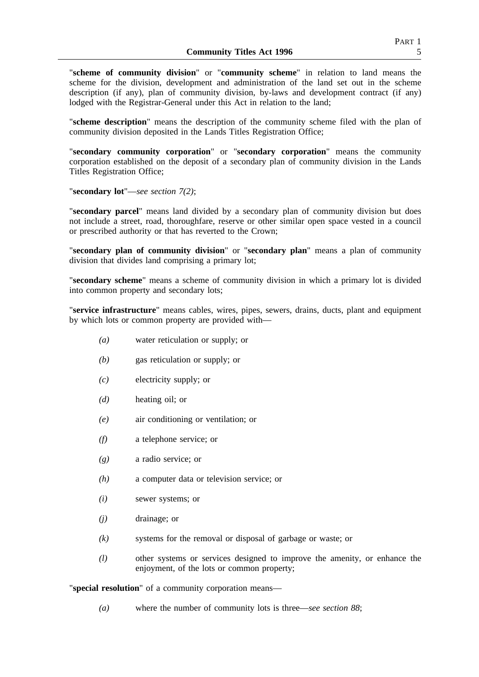"**scheme of community division**" or "**community scheme**" in relation to land means the scheme for the division, development and administration of the land set out in the scheme description (if any), plan of community division, by-laws and development contract (if any) lodged with the Registrar-General under this Act in relation to the land:

"**scheme description**" means the description of the community scheme filed with the plan of community division deposited in the Lands Titles Registration Office;

"**secondary community corporation**" or "**secondary corporation**" means the community corporation established on the deposit of a secondary plan of community division in the Lands Titles Registration Office;

"**secondary lot**"—*see section 7(2)*;

"**secondary parcel**" means land divided by a secondary plan of community division but does not include a street, road, thoroughfare, reserve or other similar open space vested in a council or prescribed authority or that has reverted to the Crown;

"**secondary plan of community division**" or "**secondary plan**" means a plan of community division that divides land comprising a primary lot;

"**secondary scheme**" means a scheme of community division in which a primary lot is divided into common property and secondary lots;

"**service infrastructure**" means cables, wires, pipes, sewers, drains, ducts, plant and equipment by which lots or common property are provided with—

- *(a)* water reticulation or supply; or
- *(b)* gas reticulation or supply; or
- *(c)* electricity supply; or
- *(d)* heating oil; or
- *(e)* air conditioning or ventilation; or
- *(f)* a telephone service; or
- *(g)* a radio service; or
- *(h)* a computer data or television service; or
- *(i)* sewer systems; or
- *(j)* drainage; or
- *(k)* systems for the removal or disposal of garbage or waste; or
- *(l)* other systems or services designed to improve the amenity, or enhance the enjoyment, of the lots or common property;

"**special resolution**" of a community corporation means—

*(a)* where the number of community lots is three—*see section 88*;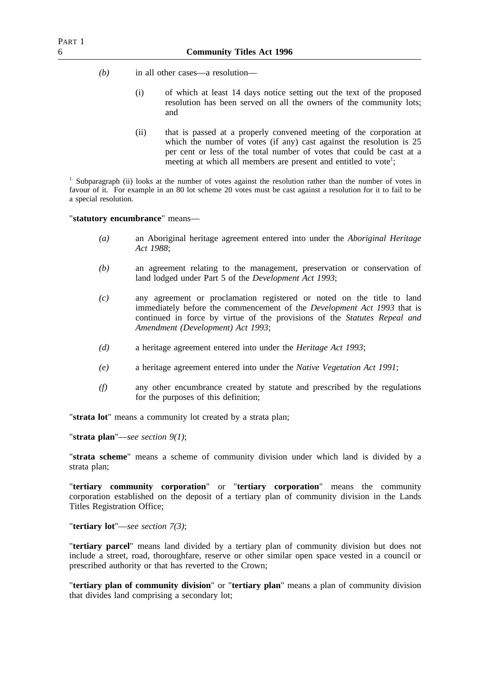- *(b)* in all other cases—a resolution—
	- (i) of which at least 14 days notice setting out the text of the proposed resolution has been served on all the owners of the community lots; and
	- (ii) that is passed at a properly convened meeting of the corporation at which the number of votes (if any) cast against the resolution is 25 per cent or less of the total number of votes that could be cast at a meeting at which all members are present and entitled to vote<sup>1</sup>;

<sup>1.</sup> Subparagraph (ii) looks at the number of votes against the resolution rather than the number of votes in favour of it. For example in an 80 lot scheme 20 votes must be cast against a resolution for it to fail to be a special resolution.

#### "**statutory encumbrance**" means—

- *(a)* an Aboriginal heritage agreement entered into under the *Aboriginal Heritage Act 1988*;
- *(b)* an agreement relating to the management, preservation or conservation of land lodged under Part 5 of the *Development Act 1993*;
- *(c)* any agreement or proclamation registered or noted on the title to land immediately before the commencement of the *Development Act 1993* that is continued in force by virtue of the provisions of the *Statutes Repeal and Amendment (Development) Act 1993*;
- *(d)* a heritage agreement entered into under the *Heritage Act 1993*;
- *(e)* a heritage agreement entered into under the *Native Vegetation Act 1991*;
- *(f)* any other encumbrance created by statute and prescribed by the regulations for the purposes of this definition;

"**strata lot**" means a community lot created by a strata plan;

"**strata plan**"—*see section 9(1)*;

"**strata scheme**" means a scheme of community division under which land is divided by a strata plan;

"**tertiary community corporation**" or "**tertiary corporation**" means the community corporation established on the deposit of a tertiary plan of community division in the Lands Titles Registration Office;

"**tertiary lot**"—*see section 7(3)*;

"**tertiary parcel**" means land divided by a tertiary plan of community division but does not include a street, road, thoroughfare, reserve or other similar open space vested in a council or prescribed authority or that has reverted to the Crown;

"**tertiary plan of community division**" or "**tertiary plan**" means a plan of community division that divides land comprising a secondary lot;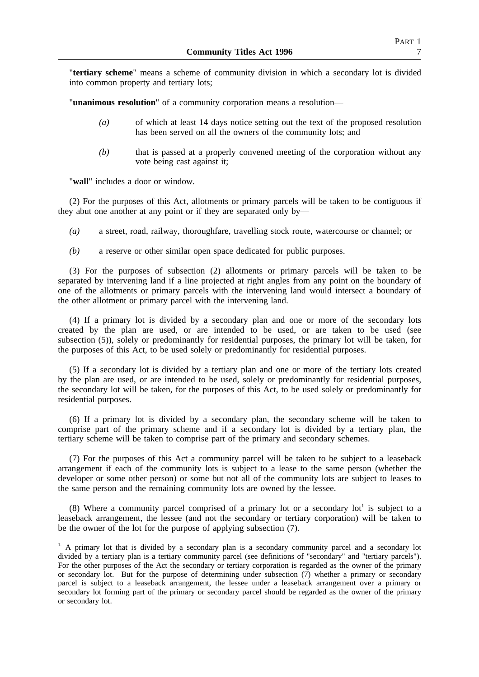"**tertiary scheme**" means a scheme of community division in which a secondary lot is divided into common property and tertiary lots;

"**unanimous resolution**" of a community corporation means a resolution—

- *(a)* of which at least 14 days notice setting out the text of the proposed resolution has been served on all the owners of the community lots; and
- *(b)* that is passed at a properly convened meeting of the corporation without any vote being cast against it;

"**wall**" includes a door or window.

(2) For the purposes of this Act, allotments or primary parcels will be taken to be contiguous if they abut one another at any point or if they are separated only by—

- *(a)* a street, road, railway, thoroughfare, travelling stock route, watercourse or channel; or
- *(b)* a reserve or other similar open space dedicated for public purposes.

(3) For the purposes of subsection (2) allotments or primary parcels will be taken to be separated by intervening land if a line projected at right angles from any point on the boundary of one of the allotments or primary parcels with the intervening land would intersect a boundary of the other allotment or primary parcel with the intervening land.

(4) If a primary lot is divided by a secondary plan and one or more of the secondary lots created by the plan are used, or are intended to be used, or are taken to be used (see subsection (5)), solely or predominantly for residential purposes, the primary lot will be taken, for the purposes of this Act, to be used solely or predominantly for residential purposes.

(5) If a secondary lot is divided by a tertiary plan and one or more of the tertiary lots created by the plan are used, or are intended to be used, solely or predominantly for residential purposes, the secondary lot will be taken, for the purposes of this Act, to be used solely or predominantly for residential purposes.

(6) If a primary lot is divided by a secondary plan, the secondary scheme will be taken to comprise part of the primary scheme and if a secondary lot is divided by a tertiary plan, the tertiary scheme will be taken to comprise part of the primary and secondary schemes.

(7) For the purposes of this Act a community parcel will be taken to be subject to a leaseback arrangement if each of the community lots is subject to a lease to the same person (whether the developer or some other person) or some but not all of the community lots are subject to leases to the same person and the remaining community lots are owned by the lessee.

(8) Where a community parcel comprised of a primary lot or a secondary  $\text{lot}^1$  is subject to a leaseback arrangement, the lessee (and not the secondary or tertiary corporation) will be taken to be the owner of the lot for the purpose of applying subsection (7).

<sup>&</sup>lt;sup>1.</sup> A primary lot that is divided by a secondary plan is a secondary community parcel and a secondary lot divided by a tertiary plan is a tertiary community parcel (see definitions of "secondary" and "tertiary parcels"). For the other purposes of the Act the secondary or tertiary corporation is regarded as the owner of the primary or secondary lot. But for the purpose of determining under subsection (7) whether a primary or secondary parcel is subject to a leaseback arrangement, the lessee under a leaseback arrangement over a primary or secondary lot forming part of the primary or secondary parcel should be regarded as the owner of the primary or secondary lot.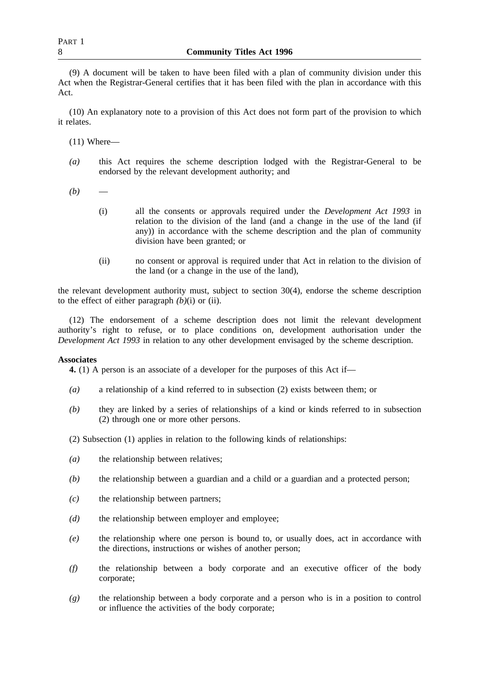(9) A document will be taken to have been filed with a plan of community division under this Act when the Registrar-General certifies that it has been filed with the plan in accordance with this Act.

(10) An explanatory note to a provision of this Act does not form part of the provision to which it relates.

 $(11)$  Where—

- *(a)* this Act requires the scheme description lodged with the Registrar-General to be endorsed by the relevant development authority; and
- $(b)$ 
	- (i) all the consents or approvals required under the *Development Act 1993* in relation to the division of the land (and a change in the use of the land (if any)) in accordance with the scheme description and the plan of community division have been granted; or
	- (ii) no consent or approval is required under that Act in relation to the division of the land (or a change in the use of the land),

the relevant development authority must, subject to section 30(4), endorse the scheme description to the effect of either paragraph  $(b)(i)$  or (ii).

(12) The endorsement of a scheme description does not limit the relevant development authority's right to refuse, or to place conditions on, development authorisation under the *Development Act 1993* in relation to any other development envisaged by the scheme description.

#### **Associates**

**4.** (1) A person is an associate of a developer for the purposes of this Act if—

- *(a)* a relationship of a kind referred to in subsection (2) exists between them; or
- *(b)* they are linked by a series of relationships of a kind or kinds referred to in subsection (2) through one or more other persons.
- (2) Subsection (1) applies in relation to the following kinds of relationships:
- *(a)* the relationship between relatives;
- *(b)* the relationship between a guardian and a child or a guardian and a protected person;
- *(c)* the relationship between partners;
- *(d)* the relationship between employer and employee;
- *(e)* the relationship where one person is bound to, or usually does, act in accordance with the directions, instructions or wishes of another person;
- *(f)* the relationship between a body corporate and an executive officer of the body corporate;
- *(g)* the relationship between a body corporate and a person who is in a position to control or influence the activities of the body corporate;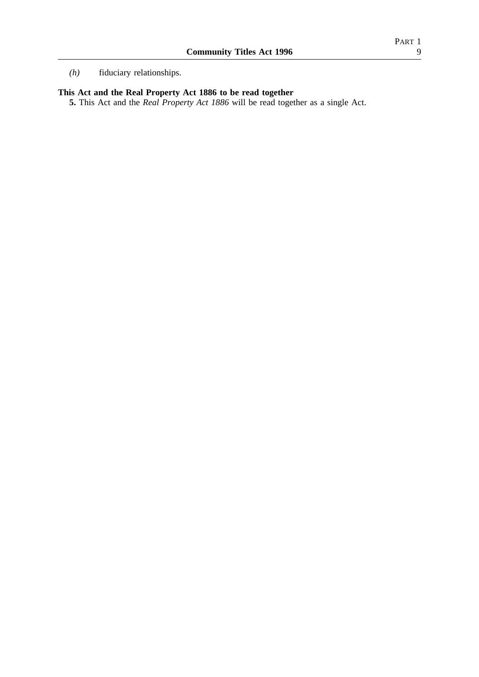# **This Act and the Real Property Act 1886 to be read together**

**5.** This Act and the *Real Property Act 1886* will be read together as a single Act.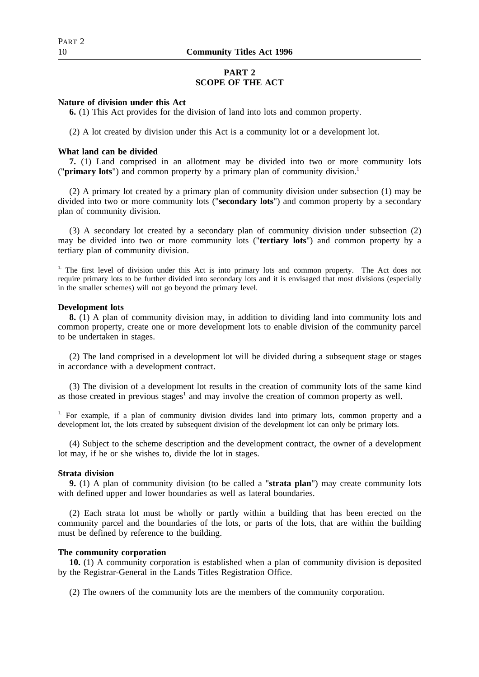# **PART 2 SCOPE OF THE ACT**

#### **Nature of division under this Act**

**6.** (1) This Act provides for the division of land into lots and common property.

(2) A lot created by division under this Act is a community lot or a development lot.

#### **What land can be divided**

**7.** (1) Land comprised in an allotment may be divided into two or more community lots ("**primary lots**") and common property by a primary plan of community division.1

(2) A primary lot created by a primary plan of community division under subsection (1) may be divided into two or more community lots ("**secondary lots**") and common property by a secondary plan of community division.

(3) A secondary lot created by a secondary plan of community division under subsection (2) may be divided into two or more community lots ("**tertiary lots**") and common property by a tertiary plan of community division.

<sup>1.</sup> The first level of division under this Act is into primary lots and common property. The Act does not require primary lots to be further divided into secondary lots and it is envisaged that most divisions (especially in the smaller schemes) will not go beyond the primary level.

#### **Development lots**

**8.** (1) A plan of community division may, in addition to dividing land into community lots and common property, create one or more development lots to enable division of the community parcel to be undertaken in stages.

(2) The land comprised in a development lot will be divided during a subsequent stage or stages in accordance with a development contract.

(3) The division of a development lot results in the creation of community lots of the same kind as those created in previous stages<sup>1</sup> and may involve the creation of common property as well.

<sup>1.</sup> For example, if a plan of community division divides land into primary lots, common property and a development lot, the lots created by subsequent division of the development lot can only be primary lots.

(4) Subject to the scheme description and the development contract, the owner of a development lot may, if he or she wishes to, divide the lot in stages.

#### **Strata division**

**9.** (1) A plan of community division (to be called a "**strata plan**") may create community lots with defined upper and lower boundaries as well as lateral boundaries.

(2) Each strata lot must be wholly or partly within a building that has been erected on the community parcel and the boundaries of the lots, or parts of the lots, that are within the building must be defined by reference to the building.

#### **The community corporation**

**10.** (1) A community corporation is established when a plan of community division is deposited by the Registrar-General in the Lands Titles Registration Office.

(2) The owners of the community lots are the members of the community corporation.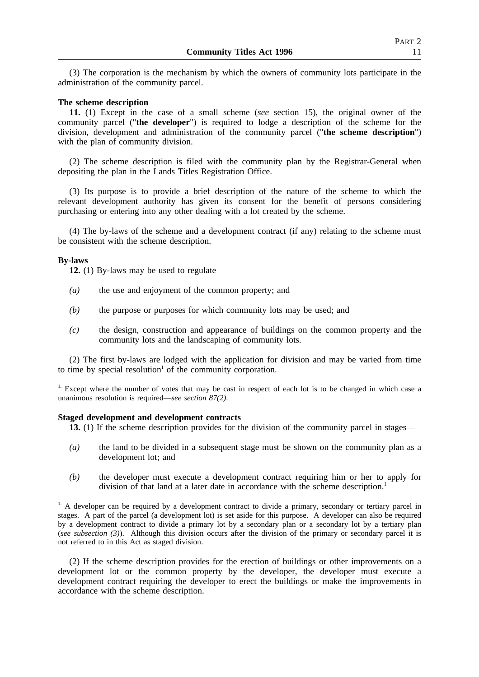(3) The corporation is the mechanism by which the owners of community lots participate in the administration of the community parcel.

#### **The scheme description**

**11.** (1) Except in the case of a small scheme (*see* section 15), the original owner of the community parcel ("**the developer**") is required to lodge a description of the scheme for the division, development and administration of the community parcel ("**the scheme description**") with the plan of community division.

(2) The scheme description is filed with the community plan by the Registrar-General when depositing the plan in the Lands Titles Registration Office.

(3) Its purpose is to provide a brief description of the nature of the scheme to which the relevant development authority has given its consent for the benefit of persons considering purchasing or entering into any other dealing with a lot created by the scheme.

(4) The by-laws of the scheme and a development contract (if any) relating to the scheme must be consistent with the scheme description.

#### **By-laws**

**12.** (1) By-laws may be used to regulate—

- *(a)* the use and enjoyment of the common property; and
- *(b)* the purpose or purposes for which community lots may be used; and
- *(c)* the design, construction and appearance of buildings on the common property and the community lots and the landscaping of community lots.

(2) The first by-laws are lodged with the application for division and may be varied from time to time by special resolution<sup> $1$ </sup> of the community corporation.

<sup>1.</sup> Except where the number of votes that may be cast in respect of each lot is to be changed in which case a unanimous resolution is required—*see section 87(2)*.

#### **Staged development and development contracts**

**13.** (1) If the scheme description provides for the division of the community parcel in stages—

- *(a)* the land to be divided in a subsequent stage must be shown on the community plan as a development lot; and
- *(b)* the developer must execute a development contract requiring him or her to apply for division of that land at a later date in accordance with the scheme description.<sup>1</sup>

<sup>1.</sup> A developer can be required by a development contract to divide a primary, secondary or tertiary parcel in stages. A part of the parcel (a development lot) is set aside for this purpose. A developer can also be required by a development contract to divide a primary lot by a secondary plan or a secondary lot by a tertiary plan (*see subsection (3)*). Although this division occurs after the division of the primary or secondary parcel it is not referred to in this Act as staged division.

(2) If the scheme description provides for the erection of buildings or other improvements on a development lot or the common property by the developer, the developer must execute a development contract requiring the developer to erect the buildings or make the improvements in accordance with the scheme description.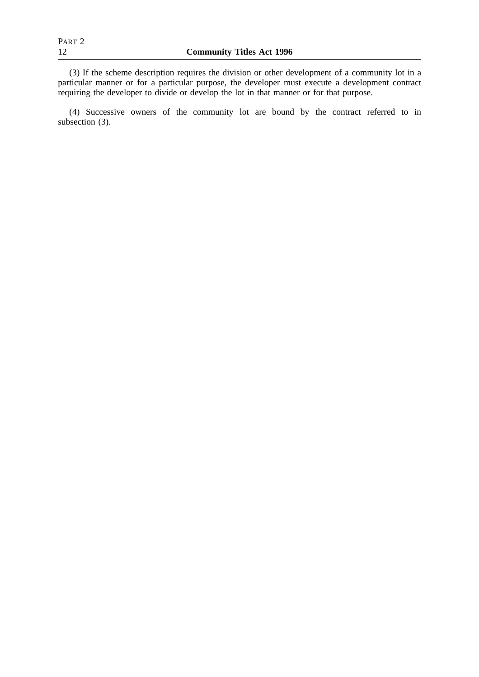(3) If the scheme description requires the division or other development of a community lot in a particular manner or for a particular purpose, the developer must execute a development contract requiring the developer to divide or develop the lot in that manner or for that purpose.

(4) Successive owners of the community lot are bound by the contract referred to in subsection (3).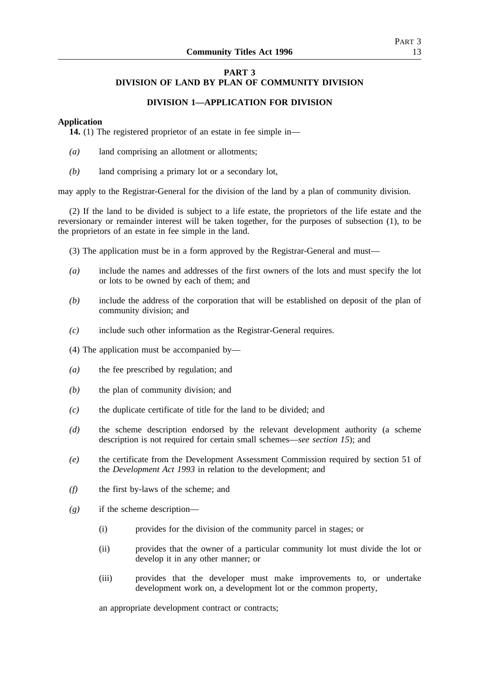# **PART 3 DIVISION OF LAND BY PLAN OF COMMUNITY DIVISION**

# **DIVISION 1—APPLICATION FOR DIVISION**

#### **Application**

**14.** (1) The registered proprietor of an estate in fee simple in—

- *(a)* land comprising an allotment or allotments;
- *(b)* land comprising a primary lot or a secondary lot,

may apply to the Registrar-General for the division of the land by a plan of community division.

(2) If the land to be divided is subject to a life estate, the proprietors of the life estate and the reversionary or remainder interest will be taken together, for the purposes of subsection (1), to be the proprietors of an estate in fee simple in the land.

- (3) The application must be in a form approved by the Registrar-General and must—
- *(a)* include the names and addresses of the first owners of the lots and must specify the lot or lots to be owned by each of them; and
- *(b)* include the address of the corporation that will be established on deposit of the plan of community division; and
- *(c)* include such other information as the Registrar-General requires.
- (4) The application must be accompanied by—
- *(a)* the fee prescribed by regulation; and
- *(b)* the plan of community division; and
- *(c)* the duplicate certificate of title for the land to be divided; and
- *(d)* the scheme description endorsed by the relevant development authority (a scheme description is not required for certain small schemes—*see section 15*); and
- *(e)* the certificate from the Development Assessment Commission required by section 51 of the *Development Act 1993* in relation to the development; and
- *(f)* the first by-laws of the scheme; and
- *(g)* if the scheme description—
	- (i) provides for the division of the community parcel in stages; or
	- (ii) provides that the owner of a particular community lot must divide the lot or develop it in any other manner; or
	- (iii) provides that the developer must make improvements to, or undertake development work on, a development lot or the common property,

an appropriate development contract or contracts;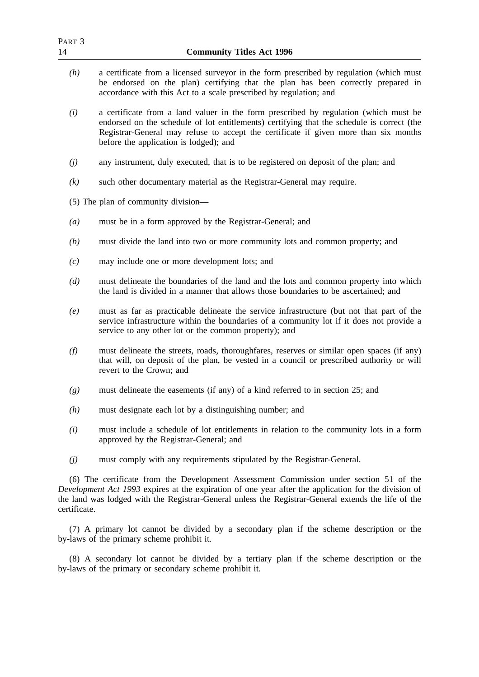| PART <sub>3</sub><br>14             | <b>Community Titles Act 1996</b>                                                                                                                                                                                                                                                                                     |  |
|-------------------------------------|----------------------------------------------------------------------------------------------------------------------------------------------------------------------------------------------------------------------------------------------------------------------------------------------------------------------|--|
| (h)                                 | a certificate from a licensed surveyor in the form prescribed by regulation (which must<br>be endorsed on the plan) certifying that the plan has been correctly prepared in<br>accordance with this Act to a scale prescribed by regulation; and                                                                     |  |
| (i)                                 | a certificate from a land valuer in the form prescribed by regulation (which must be<br>endorsed on the schedule of lot entitlements) certifying that the schedule is correct (the<br>Registrar-General may refuse to accept the certificate if given more than six months<br>before the application is lodged); and |  |
| (j)                                 | any instrument, duly executed, that is to be registered on deposit of the plan; and                                                                                                                                                                                                                                  |  |
| (k)                                 | such other documentary material as the Registrar-General may require.                                                                                                                                                                                                                                                |  |
| (5) The plan of community division- |                                                                                                                                                                                                                                                                                                                      |  |
| $\left(a\right)$                    | must be in a form approved by the Registrar-General; and                                                                                                                                                                                                                                                             |  |
| (b)                                 | must divide the land into two or more community lots and common property; and                                                                                                                                                                                                                                        |  |
| (c)                                 | may include one or more development lots; and                                                                                                                                                                                                                                                                        |  |
| (d)                                 | must delineate the boundaries of the land and the lots and common property into which<br>the land is divided in a manner that allows those boundaries to be ascertained; and                                                                                                                                         |  |
| (e)                                 | must as far as practicable delineate the service infrastructure (but not that part of the<br>service infrastructure within the boundaries of a community lot if it does not provide a<br>service to any other lot or the common property); and                                                                       |  |
| (f)                                 | must delineate the streets, roads, thoroughfares, reserves or similar open spaces (if any)<br>that will, on deposit of the plan, be vested in a council or prescribed authority or will<br>revert to the Crown; and                                                                                                  |  |
| (g)                                 | must delineate the easements (if any) of a kind referred to in section 25; and                                                                                                                                                                                                                                       |  |
| (h)                                 | must designate each lot by a distinguishing number; and                                                                                                                                                                                                                                                              |  |
| (i)                                 | must include a schedule of lot entitlements in relation to the community lots in a form<br>approved by the Registrar-General; and                                                                                                                                                                                    |  |
| (j)                                 | must comply with any requirements stipulated by the Registrar-General.                                                                                                                                                                                                                                               |  |
| certificate.                        | (6) The certificate from the Development Assessment Commission under section 51 of the<br>Development Act 1993 expires at the expiration of one year after the application for the division of<br>the land was lodged with the Registrar-General unless the Registrar-General extends the life of the                |  |
|                                     | (7) A primary lot cannot be divided by a secondary plan if the scheme description or the<br>by-laws of the primary scheme prohibit it.                                                                                                                                                                               |  |

(8) A secondary lot cannot be divided by a tertiary plan if the scheme description or the by-laws of the primary or secondary scheme prohibit it.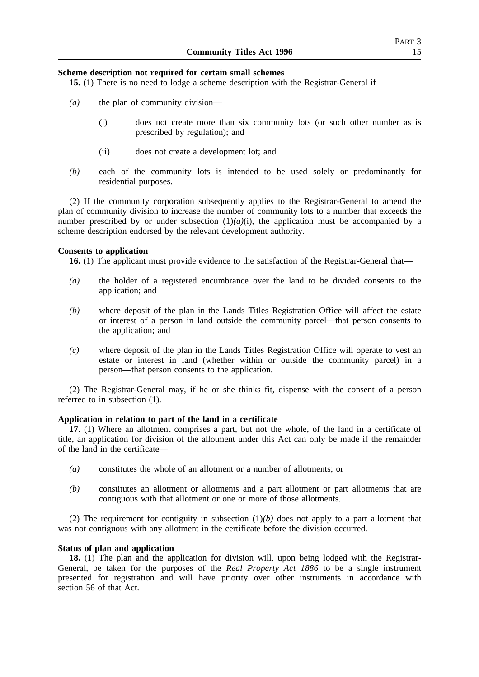#### **Scheme description not required for certain small schemes**

**15.** (1) There is no need to lodge a scheme description with the Registrar-General if—

- *(a)* the plan of community division—
	- (i) does not create more than six community lots (or such other number as is prescribed by regulation); and
	- (ii) does not create a development lot; and
- *(b)* each of the community lots is intended to be used solely or predominantly for residential purposes.

(2) If the community corporation subsequently applies to the Registrar-General to amend the plan of community division to increase the number of community lots to a number that exceeds the number prescribed by or under subsection  $(1)(a)(i)$ , the application must be accompanied by a scheme description endorsed by the relevant development authority.

#### **Consents to application**

**16.** (1) The applicant must provide evidence to the satisfaction of the Registrar-General that—

- *(a)* the holder of a registered encumbrance over the land to be divided consents to the application; and
- *(b)* where deposit of the plan in the Lands Titles Registration Office will affect the estate or interest of a person in land outside the community parcel—that person consents to the application; and
- *(c)* where deposit of the plan in the Lands Titles Registration Office will operate to vest an estate or interest in land (whether within or outside the community parcel) in a person—that person consents to the application.

(2) The Registrar-General may, if he or she thinks fit, dispense with the consent of a person referred to in subsection (1).

#### **Application in relation to part of the land in a certificate**

**17.** (1) Where an allotment comprises a part, but not the whole, of the land in a certificate of title, an application for division of the allotment under this Act can only be made if the remainder of the land in the certificate—

- *(a)* constitutes the whole of an allotment or a number of allotments; or
- *(b)* constitutes an allotment or allotments and a part allotment or part allotments that are contiguous with that allotment or one or more of those allotments.

(2) The requirement for contiguity in subsection  $(1)(b)$  does not apply to a part allotment that was not contiguous with any allotment in the certificate before the division occurred.

#### **Status of plan and application**

**18.** (1) The plan and the application for division will, upon being lodged with the Registrar-General, be taken for the purposes of the *Real Property Act 1886* to be a single instrument presented for registration and will have priority over other instruments in accordance with section 56 of that Act.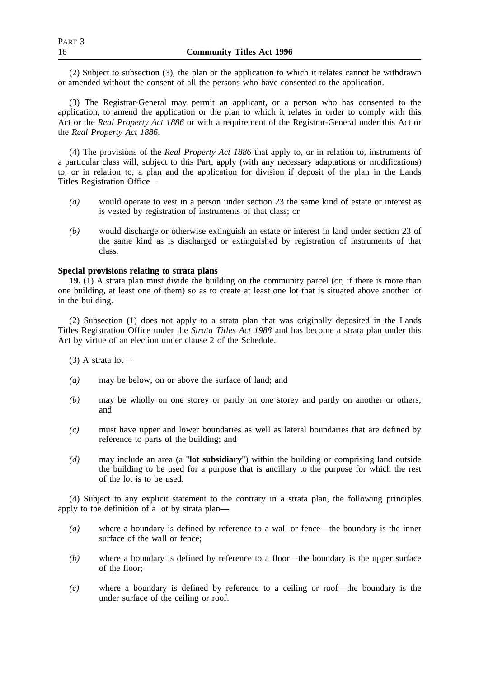(2) Subject to subsection (3), the plan or the application to which it relates cannot be withdrawn or amended without the consent of all the persons who have consented to the application.

(3) The Registrar-General may permit an applicant, or a person who has consented to the application, to amend the application or the plan to which it relates in order to comply with this Act or the *Real Property Act 1886* or with a requirement of the Registrar-General under this Act or the *Real Property Act 1886*.

(4) The provisions of the *Real Property Act 1886* that apply to, or in relation to, instruments of a particular class will, subject to this Part, apply (with any necessary adaptations or modifications) to, or in relation to, a plan and the application for division if deposit of the plan in the Lands Titles Registration Office—

- *(a)* would operate to vest in a person under section 23 the same kind of estate or interest as is vested by registration of instruments of that class; or
- *(b)* would discharge or otherwise extinguish an estate or interest in land under section 23 of the same kind as is discharged or extinguished by registration of instruments of that class.

# **Special provisions relating to strata plans**

**19.** (1) A strata plan must divide the building on the community parcel (or, if there is more than one building, at least one of them) so as to create at least one lot that is situated above another lot in the building.

(2) Subsection (1) does not apply to a strata plan that was originally deposited in the Lands Titles Registration Office under the *Strata Titles Act 1988* and has become a strata plan under this Act by virtue of an election under clause 2 of the Schedule.

(3) A strata lot—

- *(a)* may be below, on or above the surface of land; and
- *(b)* may be wholly on one storey or partly on one storey and partly on another or others; and
- *(c)* must have upper and lower boundaries as well as lateral boundaries that are defined by reference to parts of the building; and
- *(d)* may include an area (a "**lot subsidiary**") within the building or comprising land outside the building to be used for a purpose that is ancillary to the purpose for which the rest of the lot is to be used.

(4) Subject to any explicit statement to the contrary in a strata plan, the following principles apply to the definition of a lot by strata plan—

- *(a)* where a boundary is defined by reference to a wall or fence—the boundary is the inner surface of the wall or fence;
- *(b)* where a boundary is defined by reference to a floor—the boundary is the upper surface of the floor;
- *(c)* where a boundary is defined by reference to a ceiling or roof—the boundary is the under surface of the ceiling or roof.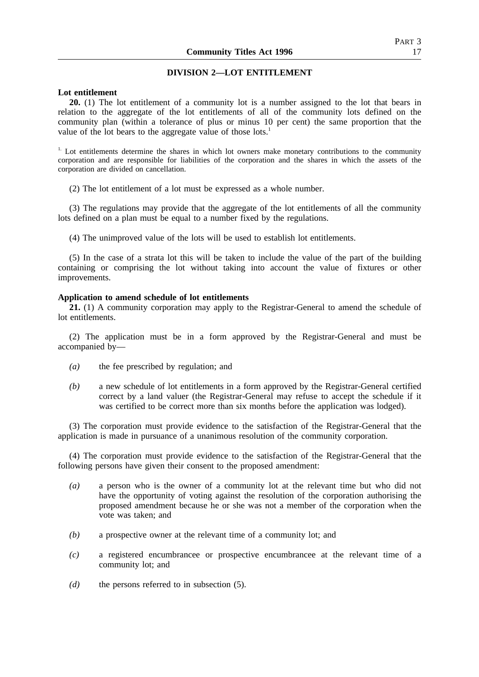#### **DIVISION 2—LOT ENTITLEMENT**

#### **Lot entitlement**

**20.** (1) The lot entitlement of a community lot is a number assigned to the lot that bears in relation to the aggregate of the lot entitlements of all of the community lots defined on the community plan (within a tolerance of plus or minus 10 per cent) the same proportion that the value of the lot bears to the aggregate value of those lots.<sup>1</sup>

 $1.$  Lot entitlements determine the shares in which lot owners make monetary contributions to the community corporation and are responsible for liabilities of the corporation and the shares in which the assets of the corporation are divided on cancellation.

(2) The lot entitlement of a lot must be expressed as a whole number.

(3) The regulations may provide that the aggregate of the lot entitlements of all the community lots defined on a plan must be equal to a number fixed by the regulations.

(4) The unimproved value of the lots will be used to establish lot entitlements.

(5) In the case of a strata lot this will be taken to include the value of the part of the building containing or comprising the lot without taking into account the value of fixtures or other improvements.

#### **Application to amend schedule of lot entitlements**

**21.** (1) A community corporation may apply to the Registrar-General to amend the schedule of lot entitlements.

(2) The application must be in a form approved by the Registrar-General and must be accompanied by—

- *(a)* the fee prescribed by regulation; and
- *(b)* a new schedule of lot entitlements in a form approved by the Registrar-General certified correct by a land valuer (the Registrar-General may refuse to accept the schedule if it was certified to be correct more than six months before the application was lodged).

(3) The corporation must provide evidence to the satisfaction of the Registrar-General that the application is made in pursuance of a unanimous resolution of the community corporation.

(4) The corporation must provide evidence to the satisfaction of the Registrar-General that the following persons have given their consent to the proposed amendment:

- *(a)* a person who is the owner of a community lot at the relevant time but who did not have the opportunity of voting against the resolution of the corporation authorising the proposed amendment because he or she was not a member of the corporation when the vote was taken; and
- *(b)* a prospective owner at the relevant time of a community lot; and
- *(c)* a registered encumbrancee or prospective encumbrancee at the relevant time of a community lot; and
- *(d)* the persons referred to in subsection (5).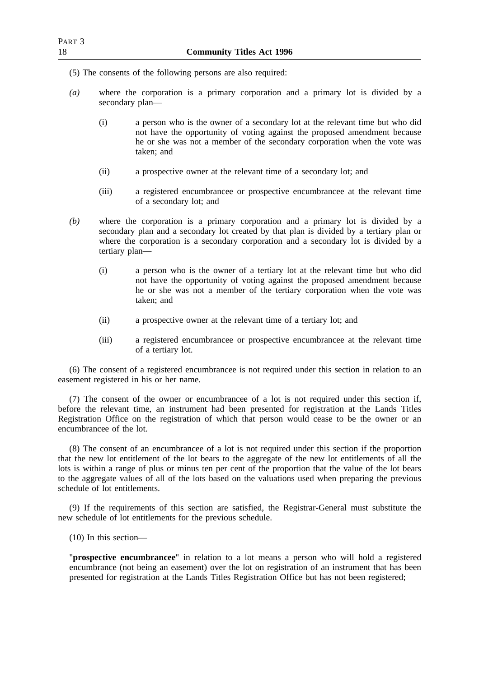- (5) The consents of the following persons are also required:
- *(a)* where the corporation is a primary corporation and a primary lot is divided by a secondary plan—
	- (i) a person who is the owner of a secondary lot at the relevant time but who did not have the opportunity of voting against the proposed amendment because he or she was not a member of the secondary corporation when the vote was taken; and
	- (ii) a prospective owner at the relevant time of a secondary lot; and
	- (iii) a registered encumbrancee or prospective encumbrancee at the relevant time of a secondary lot; and
- *(b)* where the corporation is a primary corporation and a primary lot is divided by a secondary plan and a secondary lot created by that plan is divided by a tertiary plan or where the corporation is a secondary corporation and a secondary lot is divided by a tertiary plan—
	- (i) a person who is the owner of a tertiary lot at the relevant time but who did not have the opportunity of voting against the proposed amendment because he or she was not a member of the tertiary corporation when the vote was taken; and
	- (ii) a prospective owner at the relevant time of a tertiary lot; and
	- (iii) a registered encumbrancee or prospective encumbrancee at the relevant time of a tertiary lot.

(6) The consent of a registered encumbrancee is not required under this section in relation to an easement registered in his or her name.

(7) The consent of the owner or encumbrancee of a lot is not required under this section if, before the relevant time, an instrument had been presented for registration at the Lands Titles Registration Office on the registration of which that person would cease to be the owner or an encumbrancee of the lot.

(8) The consent of an encumbrancee of a lot is not required under this section if the proportion that the new lot entitlement of the lot bears to the aggregate of the new lot entitlements of all the lots is within a range of plus or minus ten per cent of the proportion that the value of the lot bears to the aggregate values of all of the lots based on the valuations used when preparing the previous schedule of lot entitlements.

(9) If the requirements of this section are satisfied, the Registrar-General must substitute the new schedule of lot entitlements for the previous schedule.

(10) In this section—

"**prospective encumbrancee**" in relation to a lot means a person who will hold a registered encumbrance (not being an easement) over the lot on registration of an instrument that has been presented for registration at the Lands Titles Registration Office but has not been registered;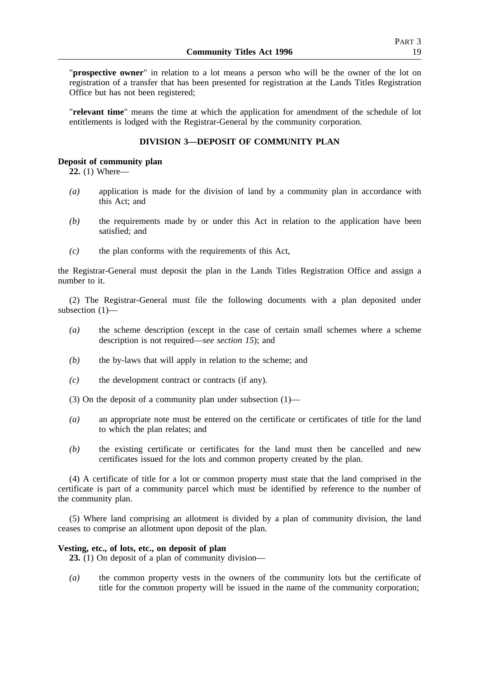"**prospective owner**" in relation to a lot means a person who will be the owner of the lot on registration of a transfer that has been presented for registration at the Lands Titles Registration Office but has not been registered;

"**relevant time**" means the time at which the application for amendment of the schedule of lot entitlements is lodged with the Registrar-General by the community corporation.

# **DIVISION 3—DEPOSIT OF COMMUNITY PLAN**

#### **Deposit of community plan**

**22.** (1) Where—

- *(a)* application is made for the division of land by a community plan in accordance with this Act; and
- *(b)* the requirements made by or under this Act in relation to the application have been satisfied; and
- *(c)* the plan conforms with the requirements of this Act,

the Registrar-General must deposit the plan in the Lands Titles Registration Office and assign a number to it.

(2) The Registrar-General must file the following documents with a plan deposited under subsection (1)—

- *(a)* the scheme description (except in the case of certain small schemes where a scheme description is not required—*see section 15*); and
- *(b)* the by-laws that will apply in relation to the scheme; and
- *(c)* the development contract or contracts (if any).
- (3) On the deposit of a community plan under subsection (1)—
- *(a)* an appropriate note must be entered on the certificate or certificates of title for the land to which the plan relates; and
- *(b)* the existing certificate or certificates for the land must then be cancelled and new certificates issued for the lots and common property created by the plan.

(4) A certificate of title for a lot or common property must state that the land comprised in the certificate is part of a community parcel which must be identified by reference to the number of the community plan.

(5) Where land comprising an allotment is divided by a plan of community division, the land ceases to comprise an allotment upon deposit of the plan.

#### **Vesting, etc., of lots, etc., on deposit of plan**

**23.** (1) On deposit of a plan of community division—

*(a)* the common property vests in the owners of the community lots but the certificate of title for the common property will be issued in the name of the community corporation;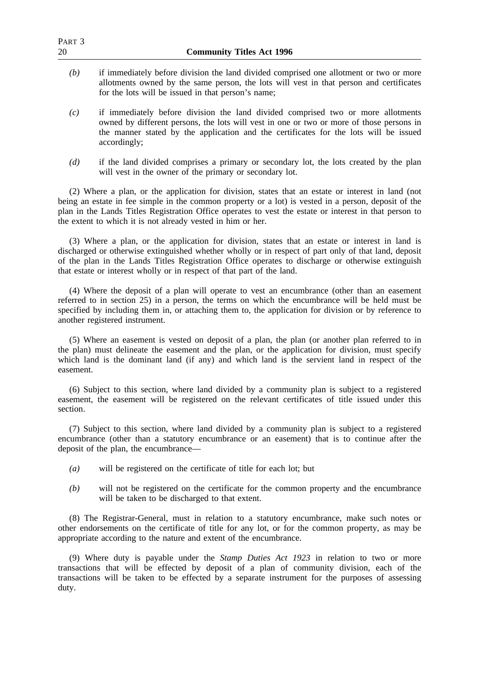| PART <sub>3</sub><br>20 | <b>Community Titles Act 1996</b>                                                                                                                                                                                                                                                      |
|-------------------------|---------------------------------------------------------------------------------------------------------------------------------------------------------------------------------------------------------------------------------------------------------------------------------------|
| (b)                     | if immediately before division the land divided comprised one allotment or two or more<br>allotments owned by the same person, the lots will vest in that person and certificates<br>for the lots will be issued in that person's name;                                               |
| (c)                     | if immediately before division the land divided comprised two or more allotments<br>owned by different persons, the lots will vest in one or two or more of those persons in<br>the manner stated by the application and the certificates for the lots will be issued<br>accordingly; |
| (d)                     | if the land divided comprises a primary or secondary lot, the lots created by the plan<br>will vest in the owner of the primary or secondary lot.                                                                                                                                     |
|                         | (0) Whom a plan on the confliction for division, states that an estate on intenset in land (pat                                                                                                                                                                                       |

(2) Where a plan, or the application for division, states that an estate or interest in land (not being an estate in fee simple in the common property or a lot) is vested in a person, deposit of the plan in the Lands Titles Registration Office operates to vest the estate or interest in that person to the extent to which it is not already vested in him or her.

(3) Where a plan, or the application for division, states that an estate or interest in land is discharged or otherwise extinguished whether wholly or in respect of part only of that land, deposit of the plan in the Lands Titles Registration Office operates to discharge or otherwise extinguish that estate or interest wholly or in respect of that part of the land.

(4) Where the deposit of a plan will operate to vest an encumbrance (other than an easement referred to in section 25) in a person, the terms on which the encumbrance will be held must be specified by including them in, or attaching them to, the application for division or by reference to another registered instrument.

(5) Where an easement is vested on deposit of a plan, the plan (or another plan referred to in the plan) must delineate the easement and the plan, or the application for division, must specify which land is the dominant land (if any) and which land is the servient land in respect of the easement.

(6) Subject to this section, where land divided by a community plan is subject to a registered easement, the easement will be registered on the relevant certificates of title issued under this section.

(7) Subject to this section, where land divided by a community plan is subject to a registered encumbrance (other than a statutory encumbrance or an easement) that is to continue after the deposit of the plan, the encumbrance—

- *(a)* will be registered on the certificate of title for each lot; but
- *(b)* will not be registered on the certificate for the common property and the encumbrance will be taken to be discharged to that extent.

(8) The Registrar-General, must in relation to a statutory encumbrance, make such notes or other endorsements on the certificate of title for any lot, or for the common property, as may be appropriate according to the nature and extent of the encumbrance.

(9) Where duty is payable under the *Stamp Duties Act 1923* in relation to two or more transactions that will be effected by deposit of a plan of community division, each of the transactions will be taken to be effected by a separate instrument for the purposes of assessing duty.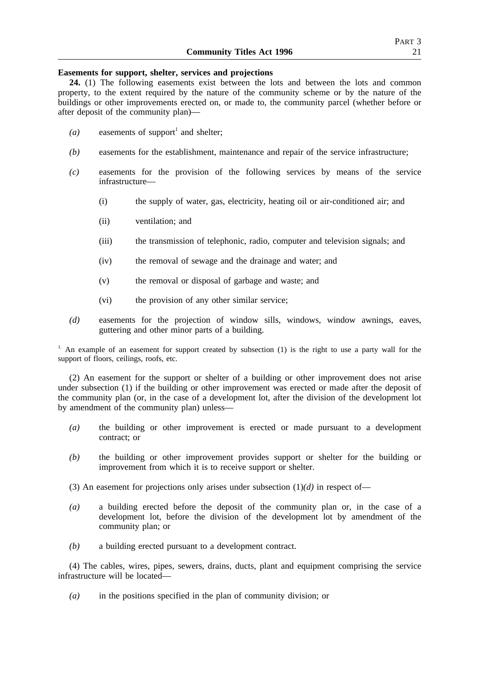#### **Easements for support, shelter, services and projections**

**24.** (1) The following easements exist between the lots and between the lots and common property, to the extent required by the nature of the community scheme or by the nature of the buildings or other improvements erected on, or made to, the community parcel (whether before or after deposit of the community plan)—

- $(a)$  easements of support<sup>1</sup> and shelter;
- *(b)* easements for the establishment, maintenance and repair of the service infrastructure;
- *(c)* easements for the provision of the following services by means of the service infrastructure—
	- (i) the supply of water, gas, electricity, heating oil or air-conditioned air; and
	- (ii) ventilation; and
	- (iii) the transmission of telephonic, radio, computer and television signals; and
	- (iv) the removal of sewage and the drainage and water; and
	- (v) the removal or disposal of garbage and waste; and
	- (vi) the provision of any other similar service;
- *(d)* easements for the projection of window sills, windows, window awnings, eaves, guttering and other minor parts of a building.

<sup>1.</sup> An example of an easement for support created by subsection (1) is the right to use a party wall for the support of floors, ceilings, roofs, etc.

(2) An easement for the support or shelter of a building or other improvement does not arise under subsection (1) if the building or other improvement was erected or made after the deposit of the community plan (or, in the case of a development lot, after the division of the development lot by amendment of the community plan) unless—

- *(a)* the building or other improvement is erected or made pursuant to a development contract; or
- *(b)* the building or other improvement provides support or shelter for the building or improvement from which it is to receive support or shelter.
- (3) An easement for projections only arises under subsection  $(1)(d)$  in respect of-
- *(a)* a building erected before the deposit of the community plan or, in the case of a development lot, before the division of the development lot by amendment of the community plan; or
- *(b)* a building erected pursuant to a development contract.

(4) The cables, wires, pipes, sewers, drains, ducts, plant and equipment comprising the service infrastructure will be located—

*(a)* in the positions specified in the plan of community division; or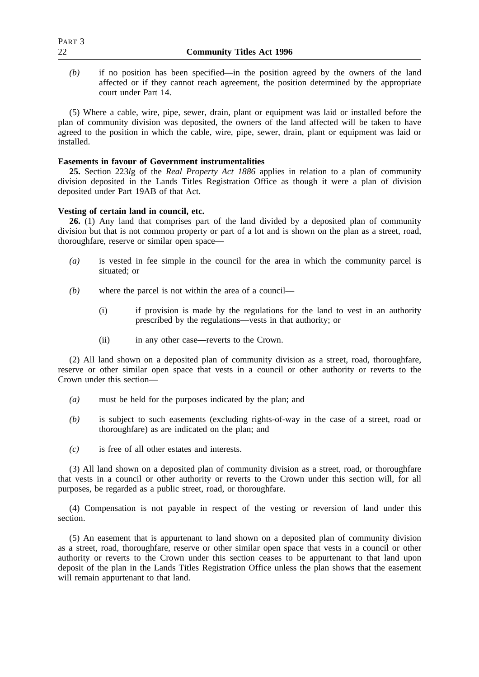*(b)* if no position has been specified—in the position agreed by the owners of the land affected or if they cannot reach agreement, the position determined by the appropriate court under Part 14.

(5) Where a cable, wire, pipe, sewer, drain, plant or equipment was laid or installed before the plan of community division was deposited, the owners of the land affected will be taken to have agreed to the position in which the cable, wire, pipe, sewer, drain, plant or equipment was laid or installed.

#### **Easements in favour of Government instrumentalities**

**25.** Section 223*l*g of the *Real Property Act 1886* applies in relation to a plan of community division deposited in the Lands Titles Registration Office as though it were a plan of division deposited under Part 19AB of that Act.

# **Vesting of certain land in council, etc.**

**26.** (1) Any land that comprises part of the land divided by a deposited plan of community division but that is not common property or part of a lot and is shown on the plan as a street, road, thoroughfare, reserve or similar open space—

- *(a)* is vested in fee simple in the council for the area in which the community parcel is situated; or
- *(b)* where the parcel is not within the area of a council—
	- (i) if provision is made by the regulations for the land to vest in an authority prescribed by the regulations—vests in that authority; or
	- (ii) in any other case—reverts to the Crown.

(2) All land shown on a deposited plan of community division as a street, road, thoroughfare, reserve or other similar open space that vests in a council or other authority or reverts to the Crown under this section—

- *(a)* must be held for the purposes indicated by the plan; and
- *(b)* is subject to such easements (excluding rights-of-way in the case of a street, road or thoroughfare) as are indicated on the plan; and
- *(c)* is free of all other estates and interests.

(3) All land shown on a deposited plan of community division as a street, road, or thoroughfare that vests in a council or other authority or reverts to the Crown under this section will, for all purposes, be regarded as a public street, road, or thoroughfare.

(4) Compensation is not payable in respect of the vesting or reversion of land under this section.

(5) An easement that is appurtenant to land shown on a deposited plan of community division as a street, road, thoroughfare, reserve or other similar open space that vests in a council or other authority or reverts to the Crown under this section ceases to be appurtenant to that land upon deposit of the plan in the Lands Titles Registration Office unless the plan shows that the easement will remain appurtenant to that land.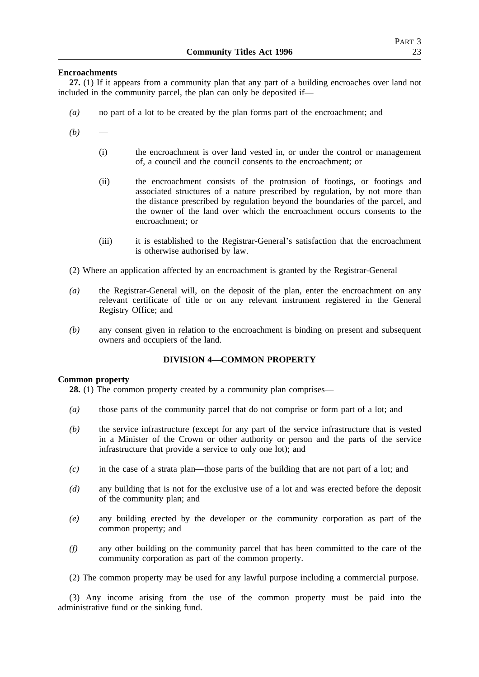#### **Encroachments**

**27.** (1) If it appears from a community plan that any part of a building encroaches over land not included in the community parcel, the plan can only be deposited if—

- *(a)* no part of a lot to be created by the plan forms part of the encroachment; and
- $(b)$ 
	- (i) the encroachment is over land vested in, or under the control or management of, a council and the council consents to the encroachment; or
	- (ii) the encroachment consists of the protrusion of footings, or footings and associated structures of a nature prescribed by regulation, by not more than the distance prescribed by regulation beyond the boundaries of the parcel, and the owner of the land over which the encroachment occurs consents to the encroachment; or
	- (iii) it is established to the Registrar-General's satisfaction that the encroachment is otherwise authorised by law.
- (2) Where an application affected by an encroachment is granted by the Registrar-General—
- *(a)* the Registrar-General will, on the deposit of the plan, enter the encroachment on any relevant certificate of title or on any relevant instrument registered in the General Registry Office; and
- *(b)* any consent given in relation to the encroachment is binding on present and subsequent owners and occupiers of the land.

# **DIVISION 4—COMMON PROPERTY**

#### **Common property**

**28.** (1) The common property created by a community plan comprises—

- *(a)* those parts of the community parcel that do not comprise or form part of a lot; and
- *(b)* the service infrastructure (except for any part of the service infrastructure that is vested in a Minister of the Crown or other authority or person and the parts of the service infrastructure that provide a service to only one lot); and
- *(c)* in the case of a strata plan—those parts of the building that are not part of a lot; and
- *(d)* any building that is not for the exclusive use of a lot and was erected before the deposit of the community plan; and
- *(e)* any building erected by the developer or the community corporation as part of the common property; and
- *(f)* any other building on the community parcel that has been committed to the care of the community corporation as part of the common property.
- (2) The common property may be used for any lawful purpose including a commercial purpose.

(3) Any income arising from the use of the common property must be paid into the administrative fund or the sinking fund.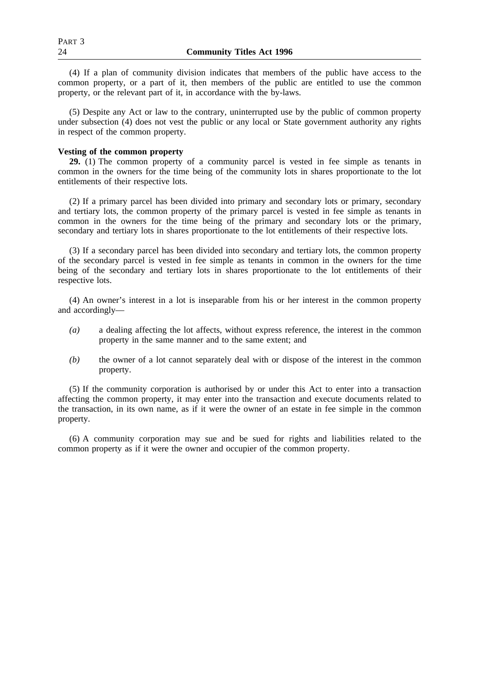(4) If a plan of community division indicates that members of the public have access to the common property, or a part of it, then members of the public are entitled to use the common property, or the relevant part of it, in accordance with the by-laws.

(5) Despite any Act or law to the contrary, uninterrupted use by the public of common property under subsection (4) does not vest the public or any local or State government authority any rights in respect of the common property.

# **Vesting of the common property**

**29.** (1) The common property of a community parcel is vested in fee simple as tenants in common in the owners for the time being of the community lots in shares proportionate to the lot entitlements of their respective lots.

(2) If a primary parcel has been divided into primary and secondary lots or primary, secondary and tertiary lots, the common property of the primary parcel is vested in fee simple as tenants in common in the owners for the time being of the primary and secondary lots or the primary, secondary and tertiary lots in shares proportionate to the lot entitlements of their respective lots.

(3) If a secondary parcel has been divided into secondary and tertiary lots, the common property of the secondary parcel is vested in fee simple as tenants in common in the owners for the time being of the secondary and tertiary lots in shares proportionate to the lot entitlements of their respective lots.

(4) An owner's interest in a lot is inseparable from his or her interest in the common property and accordingly—

- *(a)* a dealing affecting the lot affects, without express reference, the interest in the common property in the same manner and to the same extent; and
- *(b)* the owner of a lot cannot separately deal with or dispose of the interest in the common property.

(5) If the community corporation is authorised by or under this Act to enter into a transaction affecting the common property, it may enter into the transaction and execute documents related to the transaction, in its own name, as if it were the owner of an estate in fee simple in the common property.

(6) A community corporation may sue and be sued for rights and liabilities related to the common property as if it were the owner and occupier of the common property.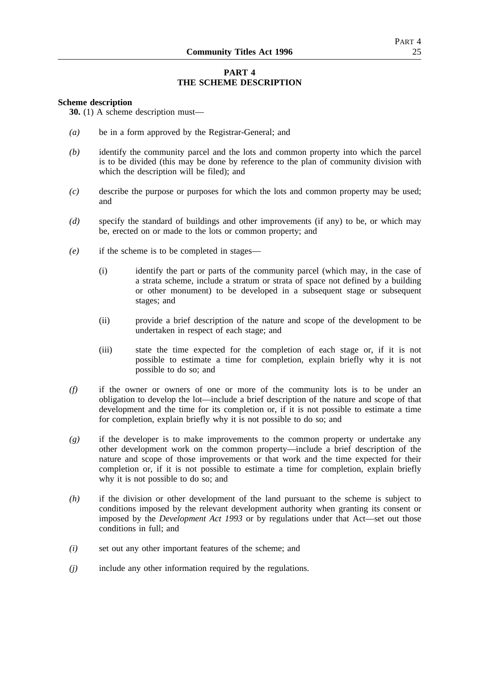# **PART 4 THE SCHEME DESCRIPTION**

#### **Scheme description**

**30.** (1) A scheme description must—

- *(a)* be in a form approved by the Registrar-General; and
- *(b)* identify the community parcel and the lots and common property into which the parcel is to be divided (this may be done by reference to the plan of community division with which the description will be filed); and
- *(c)* describe the purpose or purposes for which the lots and common property may be used; and
- *(d)* specify the standard of buildings and other improvements (if any) to be, or which may be, erected on or made to the lots or common property; and
- *(e)* if the scheme is to be completed in stages—
	- (i) identify the part or parts of the community parcel (which may, in the case of a strata scheme, include a stratum or strata of space not defined by a building or other monument) to be developed in a subsequent stage or subsequent stages; and
	- (ii) provide a brief description of the nature and scope of the development to be undertaken in respect of each stage; and
	- (iii) state the time expected for the completion of each stage or, if it is not possible to estimate a time for completion, explain briefly why it is not possible to do so; and
- *(f)* if the owner or owners of one or more of the community lots is to be under an obligation to develop the lot—include a brief description of the nature and scope of that development and the time for its completion or, if it is not possible to estimate a time for completion, explain briefly why it is not possible to do so; and
- *(g)* if the developer is to make improvements to the common property or undertake any other development work on the common property—include a brief description of the nature and scope of those improvements or that work and the time expected for their completion or, if it is not possible to estimate a time for completion, explain briefly why it is not possible to do so; and
- *(h)* if the division or other development of the land pursuant to the scheme is subject to conditions imposed by the relevant development authority when granting its consent or imposed by the *Development Act 1993* or by regulations under that Act—set out those conditions in full; and
- *(i)* set out any other important features of the scheme; and
- *(j)* include any other information required by the regulations.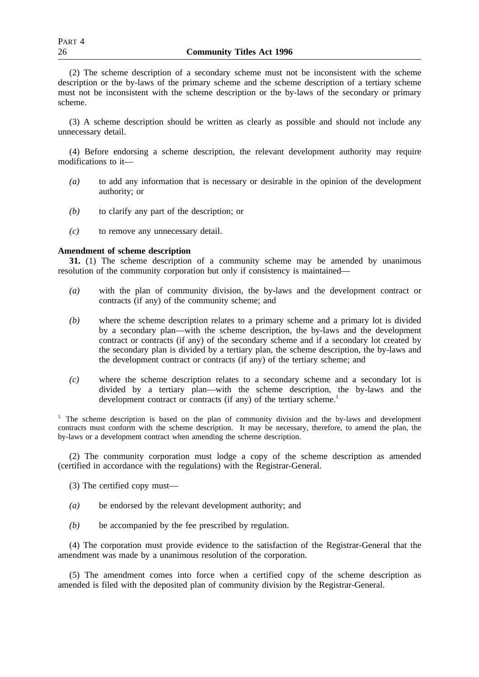(2) The scheme description of a secondary scheme must not be inconsistent with the scheme description or the by-laws of the primary scheme and the scheme description of a tertiary scheme must not be inconsistent with the scheme description or the by-laws of the secondary or primary scheme.

(3) A scheme description should be written as clearly as possible and should not include any unnecessary detail.

(4) Before endorsing a scheme description, the relevant development authority may require modifications to it—

- *(a)* to add any information that is necessary or desirable in the opinion of the development authority; or
- *(b)* to clarify any part of the description; or
- *(c)* to remove any unnecessary detail.

#### **Amendment of scheme description**

**31.** (1) The scheme description of a community scheme may be amended by unanimous resolution of the community corporation but only if consistency is maintained—

- *(a)* with the plan of community division, the by-laws and the development contract or contracts (if any) of the community scheme; and
- *(b)* where the scheme description relates to a primary scheme and a primary lot is divided by a secondary plan—with the scheme description, the by-laws and the development contract or contracts (if any) of the secondary scheme and if a secondary lot created by the secondary plan is divided by a tertiary plan, the scheme description, the by-laws and the development contract or contracts (if any) of the tertiary scheme; and
- *(c)* where the scheme description relates to a secondary scheme and a secondary lot is divided by a tertiary plan—with the scheme description, the by-laws and the development contract or contracts (if any) of the tertiary scheme.<sup>1</sup>

<sup>1.</sup> The scheme description is based on the plan of community division and the by-laws and development contracts must conform with the scheme description. It may be necessary, therefore, to amend the plan, the by-laws or a development contract when amending the scheme description.

(2) The community corporation must lodge a copy of the scheme description as amended (certified in accordance with the regulations) with the Registrar-General.

- (3) The certified copy must—
- *(a)* be endorsed by the relevant development authority; and
- *(b)* be accompanied by the fee prescribed by regulation.

(4) The corporation must provide evidence to the satisfaction of the Registrar-General that the amendment was made by a unanimous resolution of the corporation.

(5) The amendment comes into force when a certified copy of the scheme description as amended is filed with the deposited plan of community division by the Registrar-General.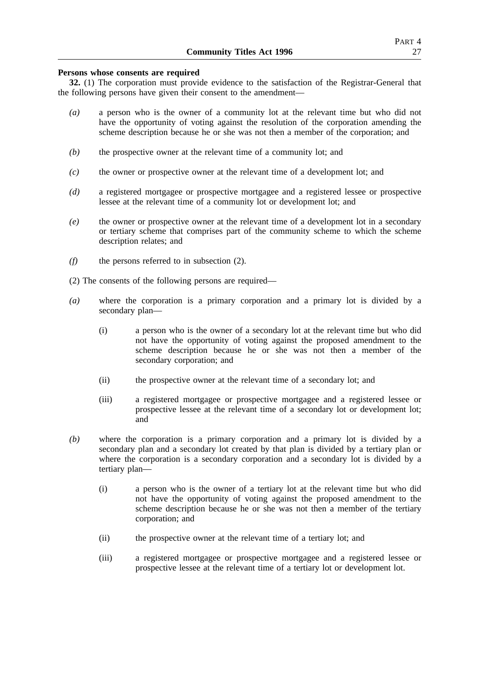# PART 4

#### **Persons whose consents are required**

**32.** (1) The corporation must provide evidence to the satisfaction of the Registrar-General that the following persons have given their consent to the amendment—

- *(a)* a person who is the owner of a community lot at the relevant time but who did not have the opportunity of voting against the resolution of the corporation amending the scheme description because he or she was not then a member of the corporation; and
- *(b)* the prospective owner at the relevant time of a community lot; and
- *(c)* the owner or prospective owner at the relevant time of a development lot; and
- *(d)* a registered mortgagee or prospective mortgagee and a registered lessee or prospective lessee at the relevant time of a community lot or development lot; and
- *(e)* the owner or prospective owner at the relevant time of a development lot in a secondary or tertiary scheme that comprises part of the community scheme to which the scheme description relates; and
- *(f)* the persons referred to in subsection (2).
- (2) The consents of the following persons are required—
- *(a)* where the corporation is a primary corporation and a primary lot is divided by a secondary plan—
	- (i) a person who is the owner of a secondary lot at the relevant time but who did not have the opportunity of voting against the proposed amendment to the scheme description because he or she was not then a member of the secondary corporation; and
	- (ii) the prospective owner at the relevant time of a secondary lot; and
	- (iii) a registered mortgagee or prospective mortgagee and a registered lessee or prospective lessee at the relevant time of a secondary lot or development lot; and
- *(b)* where the corporation is a primary corporation and a primary lot is divided by a secondary plan and a secondary lot created by that plan is divided by a tertiary plan or where the corporation is a secondary corporation and a secondary lot is divided by a tertiary plan—
	- (i) a person who is the owner of a tertiary lot at the relevant time but who did not have the opportunity of voting against the proposed amendment to the scheme description because he or she was not then a member of the tertiary corporation; and
	- (ii) the prospective owner at the relevant time of a tertiary lot; and
	- (iii) a registered mortgagee or prospective mortgagee and a registered lessee or prospective lessee at the relevant time of a tertiary lot or development lot.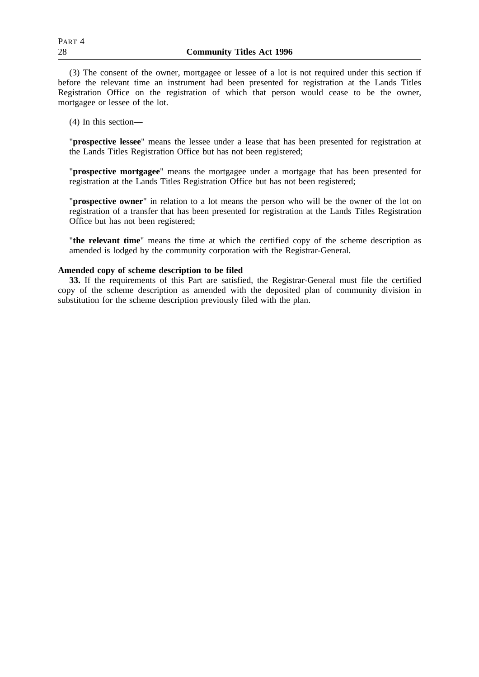(3) The consent of the owner, mortgagee or lessee of a lot is not required under this section if before the relevant time an instrument had been presented for registration at the Lands Titles Registration Office on the registration of which that person would cease to be the owner, mortgagee or lessee of the lot.

(4) In this section—

"**prospective lessee**" means the lessee under a lease that has been presented for registration at the Lands Titles Registration Office but has not been registered;

"**prospective mortgagee**" means the mortgagee under a mortgage that has been presented for registration at the Lands Titles Registration Office but has not been registered;

"**prospective owner**" in relation to a lot means the person who will be the owner of the lot on registration of a transfer that has been presented for registration at the Lands Titles Registration Office but has not been registered;

"**the relevant time**" means the time at which the certified copy of the scheme description as amended is lodged by the community corporation with the Registrar-General.

#### **Amended copy of scheme description to be filed**

**33.** If the requirements of this Part are satisfied, the Registrar-General must file the certified copy of the scheme description as amended with the deposited plan of community division in substitution for the scheme description previously filed with the plan.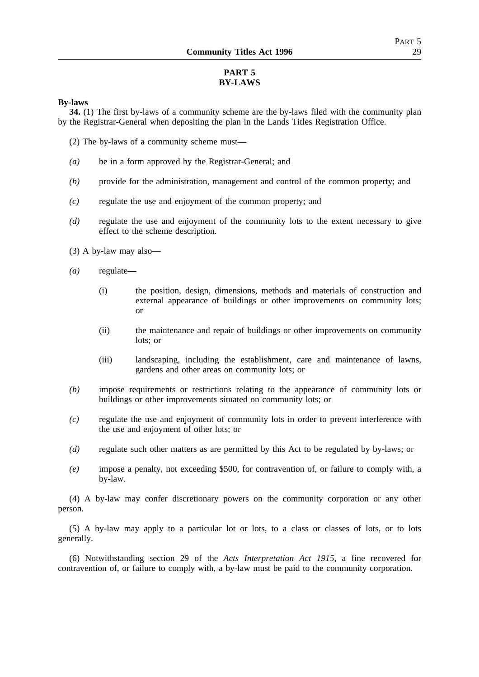# **PART 5 BY-LAWS**

### **By-laws**

**34.** (1) The first by-laws of a community scheme are the by-laws filed with the community plan by the Registrar-General when depositing the plan in the Lands Titles Registration Office.

- (2) The by-laws of a community scheme must—
- *(a)* be in a form approved by the Registrar-General; and
- *(b)* provide for the administration, management and control of the common property; and
- *(c)* regulate the use and enjoyment of the common property; and
- *(d)* regulate the use and enjoyment of the community lots to the extent necessary to give effect to the scheme description.
- (3) A by-law may also—
- *(a)* regulate—
	- (i) the position, design, dimensions, methods and materials of construction and external appearance of buildings or other improvements on community lots; or
	- (ii) the maintenance and repair of buildings or other improvements on community lots; or
	- (iii) landscaping, including the establishment, care and maintenance of lawns, gardens and other areas on community lots; or
- *(b)* impose requirements or restrictions relating to the appearance of community lots or buildings or other improvements situated on community lots; or
- *(c)* regulate the use and enjoyment of community lots in order to prevent interference with the use and enjoyment of other lots; or
- *(d)* regulate such other matters as are permitted by this Act to be regulated by by-laws; or
- *(e)* impose a penalty, not exceeding \$500, for contravention of, or failure to comply with, a by-law.

(4) A by-law may confer discretionary powers on the community corporation or any other person.

(5) A by-law may apply to a particular lot or lots, to a class or classes of lots, or to lots generally.

(6) Notwithstanding section 29 of the *Acts Interpretation Act 1915*, a fine recovered for contravention of, or failure to comply with, a by-law must be paid to the community corporation.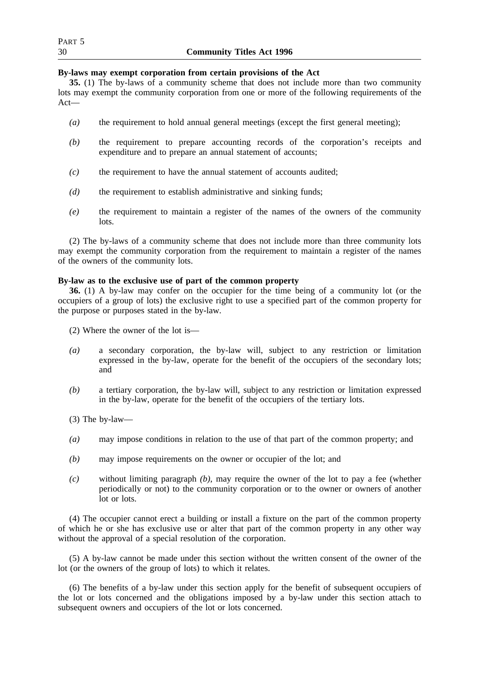| R.<br>J. |  |
|----------|--|
|          |  |

#### **By-laws may exempt corporation from certain provisions of the Act**

**35.** (1) The by-laws of a community scheme that does not include more than two community lots may exempt the community corporation from one or more of the following requirements of the Act—

- *(a)* the requirement to hold annual general meetings (except the first general meeting);
- *(b)* the requirement to prepare accounting records of the corporation's receipts and expenditure and to prepare an annual statement of accounts;
- *(c)* the requirement to have the annual statement of accounts audited;
- *(d)* the requirement to establish administrative and sinking funds;
- *(e)* the requirement to maintain a register of the names of the owners of the community lots.

(2) The by-laws of a community scheme that does not include more than three community lots may exempt the community corporation from the requirement to maintain a register of the names of the owners of the community lots.

## **By-law as to the exclusive use of part of the common property**

**36.** (1) A by-law may confer on the occupier for the time being of a community lot (or the occupiers of a group of lots) the exclusive right to use a specified part of the common property for the purpose or purposes stated in the by-law.

- (2) Where the owner of the lot is—
- *(a)* a secondary corporation, the by-law will, subject to any restriction or limitation expressed in the by-law, operate for the benefit of the occupiers of the secondary lots; and
- *(b)* a tertiary corporation, the by-law will, subject to any restriction or limitation expressed in the by-law, operate for the benefit of the occupiers of the tertiary lots.

(3) The by-law—

- *(a)* may impose conditions in relation to the use of that part of the common property; and
- *(b)* may impose requirements on the owner or occupier of the lot; and
- *(c)* without limiting paragraph *(b)*, may require the owner of the lot to pay a fee (whether periodically or not) to the community corporation or to the owner or owners of another lot or lots.

(4) The occupier cannot erect a building or install a fixture on the part of the common property of which he or she has exclusive use or alter that part of the common property in any other way without the approval of a special resolution of the corporation.

(5) A by-law cannot be made under this section without the written consent of the owner of the lot (or the owners of the group of lots) to which it relates.

(6) The benefits of a by-law under this section apply for the benefit of subsequent occupiers of the lot or lots concerned and the obligations imposed by a by-law under this section attach to subsequent owners and occupiers of the lot or lots concerned.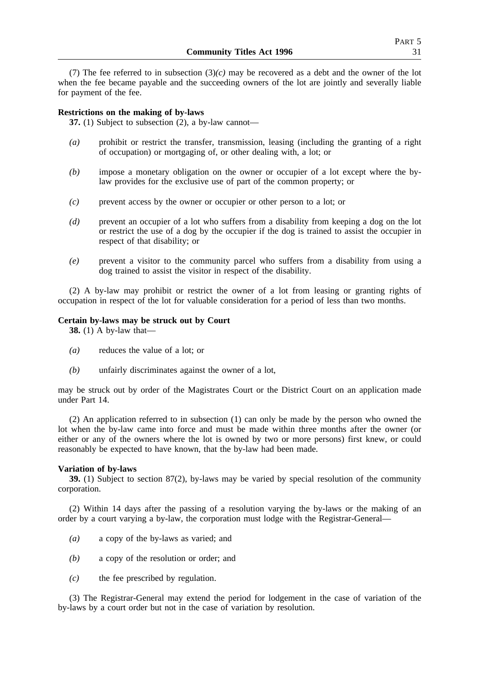(7) The fee referred to in subsection  $(3)(c)$  may be recovered as a debt and the owner of the lot when the fee became payable and the succeeding owners of the lot are jointly and severally liable for payment of the fee.

### **Restrictions on the making of by-laws**

**37.** (1) Subject to subsection (2), a by-law cannot—

- *(a)* prohibit or restrict the transfer, transmission, leasing (including the granting of a right of occupation) or mortgaging of, or other dealing with, a lot; or
- *(b)* impose a monetary obligation on the owner or occupier of a lot except where the bylaw provides for the exclusive use of part of the common property; or
- *(c)* prevent access by the owner or occupier or other person to a lot; or
- *(d)* prevent an occupier of a lot who suffers from a disability from keeping a dog on the lot or restrict the use of a dog by the occupier if the dog is trained to assist the occupier in respect of that disability; or
- *(e)* prevent a visitor to the community parcel who suffers from a disability from using a dog trained to assist the visitor in respect of the disability.

(2) A by-law may prohibit or restrict the owner of a lot from leasing or granting rights of occupation in respect of the lot for valuable consideration for a period of less than two months.

## **Certain by-laws may be struck out by Court**

**38.** (1) A by-law that—

- *(a)* reduces the value of a lot; or
- *(b)* unfairly discriminates against the owner of a lot,

may be struck out by order of the Magistrates Court or the District Court on an application made under Part 14.

(2) An application referred to in subsection (1) can only be made by the person who owned the lot when the by-law came into force and must be made within three months after the owner (or either or any of the owners where the lot is owned by two or more persons) first knew, or could reasonably be expected to have known, that the by-law had been made.

### **Variation of by-laws**

**39.** (1) Subject to section 87(2), by-laws may be varied by special resolution of the community corporation.

(2) Within 14 days after the passing of a resolution varying the by-laws or the making of an order by a court varying a by-law, the corporation must lodge with the Registrar-General—

- *(a)* a copy of the by-laws as varied; and
- *(b)* a copy of the resolution or order; and
- *(c)* the fee prescribed by regulation.

(3) The Registrar-General may extend the period for lodgement in the case of variation of the by-laws by a court order but not in the case of variation by resolution.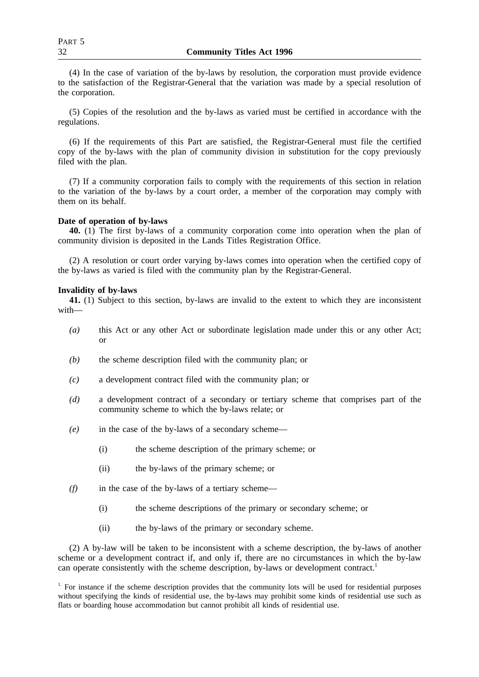(4) In the case of variation of the by-laws by resolution, the corporation must provide evidence to the satisfaction of the Registrar-General that the variation was made by a special resolution of the corporation.

(5) Copies of the resolution and the by-laws as varied must be certified in accordance with the regulations.

(6) If the requirements of this Part are satisfied, the Registrar-General must file the certified copy of the by-laws with the plan of community division in substitution for the copy previously filed with the plan.

(7) If a community corporation fails to comply with the requirements of this section in relation to the variation of the by-laws by a court order, a member of the corporation may comply with them on its behalf.

### **Date of operation of by-laws**

**40.** (1) The first by-laws of a community corporation come into operation when the plan of community division is deposited in the Lands Titles Registration Office.

(2) A resolution or court order varying by-laws comes into operation when the certified copy of the by-laws as varied is filed with the community plan by the Registrar-General.

### **Invalidity of by-laws**

**41.** (1) Subject to this section, by-laws are invalid to the extent to which they are inconsistent with—

- *(a)* this Act or any other Act or subordinate legislation made under this or any other Act; or
- *(b)* the scheme description filed with the community plan; or
- *(c)* a development contract filed with the community plan; or
- *(d)* a development contract of a secondary or tertiary scheme that comprises part of the community scheme to which the by-laws relate; or
- *(e)* in the case of the by-laws of a secondary scheme—
	- (i) the scheme description of the primary scheme; or
	- (ii) the by-laws of the primary scheme; or
- *(f)* in the case of the by-laws of a tertiary scheme—
	- (i) the scheme descriptions of the primary or secondary scheme; or
	- (ii) the by-laws of the primary or secondary scheme.

(2) A by-law will be taken to be inconsistent with a scheme description, the by-laws of another scheme or a development contract if, and only if, there are no circumstances in which the by-law can operate consistently with the scheme description, by-laws or development contract.<sup>1</sup>

<sup>&</sup>lt;sup>1.</sup> For instance if the scheme description provides that the community lots will be used for residential purposes without specifying the kinds of residential use, the by-laws may prohibit some kinds of residential use such as flats or boarding house accommodation but cannot prohibit all kinds of residential use.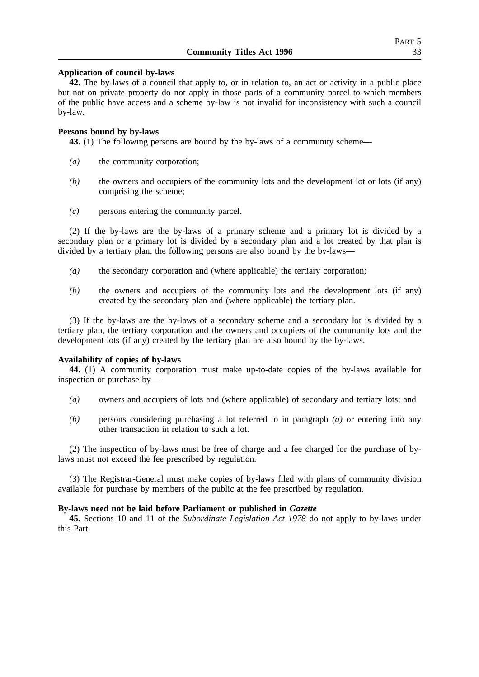## **Application of council by-laws**

**42.** The by-laws of a council that apply to, or in relation to, an act or activity in a public place but not on private property do not apply in those parts of a community parcel to which members of the public have access and a scheme by-law is not invalid for inconsistency with such a council by-law.

## **Persons bound by by-laws**

**43.** (1) The following persons are bound by the by-laws of a community scheme—

- *(a)* the community corporation;
- *(b)* the owners and occupiers of the community lots and the development lot or lots (if any) comprising the scheme;
- *(c)* persons entering the community parcel.

(2) If the by-laws are the by-laws of a primary scheme and a primary lot is divided by a secondary plan or a primary lot is divided by a secondary plan and a lot created by that plan is divided by a tertiary plan, the following persons are also bound by the by-laws—

- *(a)* the secondary corporation and (where applicable) the tertiary corporation;
- *(b)* the owners and occupiers of the community lots and the development lots (if any) created by the secondary plan and (where applicable) the tertiary plan.

(3) If the by-laws are the by-laws of a secondary scheme and a secondary lot is divided by a tertiary plan, the tertiary corporation and the owners and occupiers of the community lots and the development lots (if any) created by the tertiary plan are also bound by the by-laws.

### **Availability of copies of by-laws**

**44.** (1) A community corporation must make up-to-date copies of the by-laws available for inspection or purchase by—

- *(a)* owners and occupiers of lots and (where applicable) of secondary and tertiary lots; and
- *(b)* persons considering purchasing a lot referred to in paragraph *(a)* or entering into any other transaction in relation to such a lot.

(2) The inspection of by-laws must be free of charge and a fee charged for the purchase of bylaws must not exceed the fee prescribed by regulation.

(3) The Registrar-General must make copies of by-laws filed with plans of community division available for purchase by members of the public at the fee prescribed by regulation.

## **By-laws need not be laid before Parliament or published in** *Gazette*

**45.** Sections 10 and 11 of the *Subordinate Legislation Act 1978* do not apply to by-laws under this Part.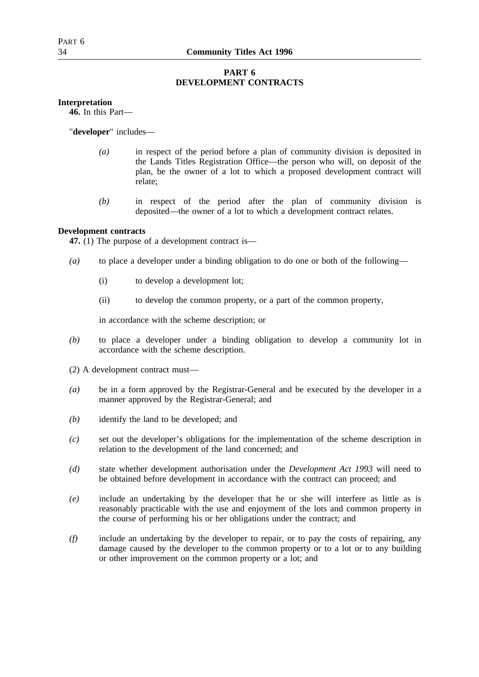# **PART 6 DEVELOPMENT CONTRACTS**

# **Interpretation**

**46.** In this Part—

"**developer**" includes—

- *(a)* in respect of the period before a plan of community division is deposited in the Lands Titles Registration Office—the person who will, on deposit of the plan, be the owner of a lot to which a proposed development contract will relate;
- *(b)* in respect of the period after the plan of community division is deposited—the owner of a lot to which a development contract relates.

# **Development contracts**

**47.** (1) The purpose of a development contract is—

- *(a)* to place a developer under a binding obligation to do one or both of the following—
	- (i) to develop a development lot;
	- (ii) to develop the common property, or a part of the common property,

in accordance with the scheme description; or

- *(b)* to place a developer under a binding obligation to develop a community lot in accordance with the scheme description.
- (2) A development contract must—
- *(a)* be in a form approved by the Registrar-General and be executed by the developer in a manner approved by the Registrar-General; and
- *(b)* identify the land to be developed; and
- *(c)* set out the developer's obligations for the implementation of the scheme description in relation to the development of the land concerned; and
- *(d)* state whether development authorisation under the *Development Act 1993* will need to be obtained before development in accordance with the contract can proceed; and
- *(e)* include an undertaking by the developer that he or she will interfere as little as is reasonably practicable with the use and enjoyment of the lots and common property in the course of performing his or her obligations under the contract; and
- *(f)* include an undertaking by the developer to repair, or to pay the costs of repairing, any damage caused by the developer to the common property or to a lot or to any building or other improvement on the common property or a lot; and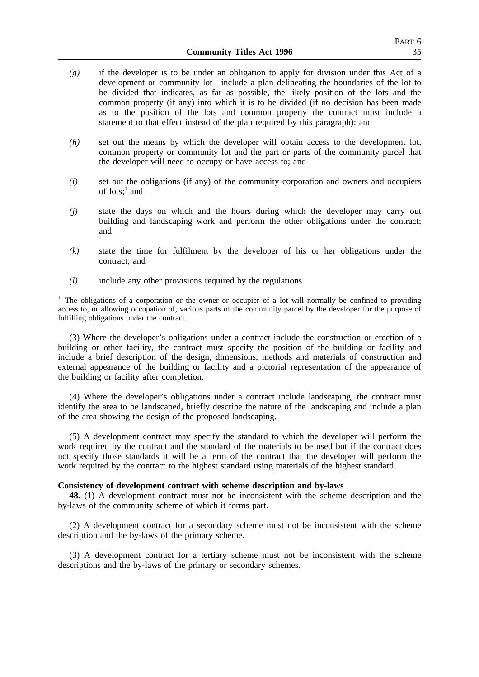- *(g)* if the developer is to be under an obligation to apply for division under this Act of a development or community lot—include a plan delineating the boundaries of the lot to be divided that indicates, as far as possible, the likely position of the lots and the common property (if any) into which it is to be divided (if no decision has been made as to the position of the lots and common property the contract must include a statement to that effect instead of the plan required by this paragraph); and
- *(h)* set out the means by which the developer will obtain access to the development lot, common property or community lot and the part or parts of the community parcel that the developer will need to occupy or have access to; and
- *(i)* set out the obligations (if any) of the community corporation and owners and occupiers of lots: $^1$  and
- *(j)* state the days on which and the hours during which the developer may carry out building and landscaping work and perform the other obligations under the contract; and
- *(k)* state the time for fulfilment by the developer of his or her obligations under the contract; and
- *(l)* include any other provisions required by the regulations.

<sup>1.</sup> The obligations of a corporation or the owner or occupier of a lot will normally be confined to providing access to, or allowing occupation of, various parts of the community parcel by the developer for the purpose of fulfilling obligations under the contract.

(3) Where the developer's obligations under a contract include the construction or erection of a building or other facility, the contract must specify the position of the building or facility and include a brief description of the design, dimensions, methods and materials of construction and external appearance of the building or facility and a pictorial representation of the appearance of the building or facility after completion.

(4) Where the developer's obligations under a contract include landscaping, the contract must identify the area to be landscaped, briefly describe the nature of the landscaping and include a plan of the area showing the design of the proposed landscaping.

(5) A development contract may specify the standard to which the developer will perform the work required by the contract and the standard of the materials to be used but if the contract does not specify those standards it will be a term of the contract that the developer will perform the work required by the contract to the highest standard using materials of the highest standard.

### **Consistency of development contract with scheme description and by-laws**

**48.** (1) A development contract must not be inconsistent with the scheme description and the by-laws of the community scheme of which it forms part.

(2) A development contract for a secondary scheme must not be inconsistent with the scheme description and the by-laws of the primary scheme.

(3) A development contract for a tertiary scheme must not be inconsistent with the scheme descriptions and the by-laws of the primary or secondary schemes.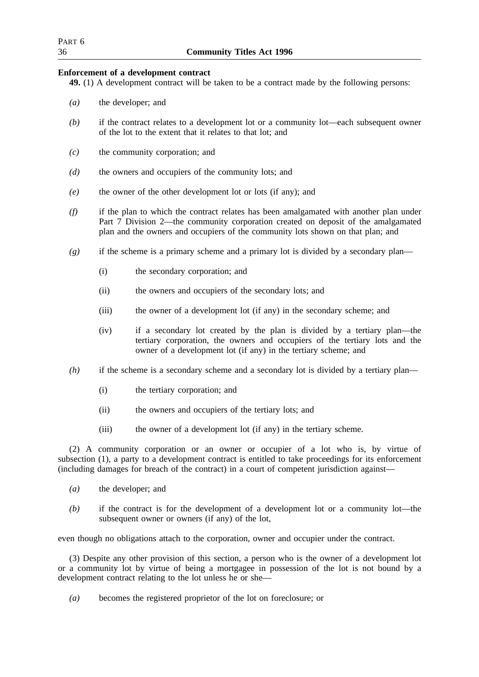| Part 6 |                                  |
|--------|----------------------------------|
| 36     | <b>Community Titles Act 1996</b> |

## **Enforcement of a development contract**

**49.** (1) A development contract will be taken to be a contract made by the following persons:

- *(a)* the developer; and
- *(b)* if the contract relates to a development lot or a community lot—each subsequent owner of the lot to the extent that it relates to that lot; and
- *(c)* the community corporation; and
- *(d)* the owners and occupiers of the community lots; and
- *(e)* the owner of the other development lot or lots (if any); and
- *(f)* if the plan to which the contract relates has been amalgamated with another plan under Part 7 Division 2—the community corporation created on deposit of the amalgamated plan and the owners and occupiers of the community lots shown on that plan; and
- *(g)* if the scheme is a primary scheme and a primary lot is divided by a secondary plan—
	- (i) the secondary corporation; and
	- (ii) the owners and occupiers of the secondary lots; and
	- (iii) the owner of a development lot (if any) in the secondary scheme; and
	- (iv) if a secondary lot created by the plan is divided by a tertiary plan—the tertiary corporation, the owners and occupiers of the tertiary lots and the owner of a development lot (if any) in the tertiary scheme; and
- *(h)* if the scheme is a secondary scheme and a secondary lot is divided by a tertiary plan—
	- (i) the tertiary corporation; and
	- (ii) the owners and occupiers of the tertiary lots; and
	- (iii) the owner of a development lot (if any) in the tertiary scheme.

(2) A community corporation or an owner or occupier of a lot who is, by virtue of subsection (1), a party to a development contract is entitled to take proceedings for its enforcement (including damages for breach of the contract) in a court of competent jurisdiction against—

- *(a)* the developer; and
- *(b)* if the contract is for the development of a development lot or a community lot—the subsequent owner or owners (if any) of the lot,

even though no obligations attach to the corporation, owner and occupier under the contract.

(3) Despite any other provision of this section, a person who is the owner of a development lot or a community lot by virtue of being a mortgagee in possession of the lot is not bound by a development contract relating to the lot unless he or she—

*(a)* becomes the registered proprietor of the lot on foreclosure; or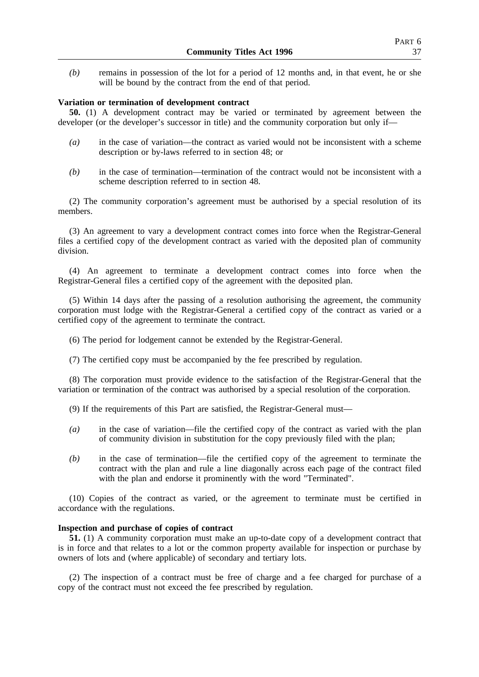*(b)* remains in possession of the lot for a period of 12 months and, in that event, he or she will be bound by the contract from the end of that period.

## **Variation or termination of development contract**

**50.** (1) A development contract may be varied or terminated by agreement between the developer (or the developer's successor in title) and the community corporation but only if—

- *(a)* in the case of variation—the contract as varied would not be inconsistent with a scheme description or by-laws referred to in section 48; or
- *(b)* in the case of termination—termination of the contract would not be inconsistent with a scheme description referred to in section 48.

(2) The community corporation's agreement must be authorised by a special resolution of its members.

(3) An agreement to vary a development contract comes into force when the Registrar-General files a certified copy of the development contract as varied with the deposited plan of community division.

(4) An agreement to terminate a development contract comes into force when the Registrar-General files a certified copy of the agreement with the deposited plan.

(5) Within 14 days after the passing of a resolution authorising the agreement, the community corporation must lodge with the Registrar-General a certified copy of the contract as varied or a certified copy of the agreement to terminate the contract.

(6) The period for lodgement cannot be extended by the Registrar-General.

(7) The certified copy must be accompanied by the fee prescribed by regulation.

(8) The corporation must provide evidence to the satisfaction of the Registrar-General that the variation or termination of the contract was authorised by a special resolution of the corporation.

(9) If the requirements of this Part are satisfied, the Registrar-General must—

- *(a)* in the case of variation—file the certified copy of the contract as varied with the plan of community division in substitution for the copy previously filed with the plan;
- *(b)* in the case of termination—file the certified copy of the agreement to terminate the contract with the plan and rule a line diagonally across each page of the contract filed with the plan and endorse it prominently with the word "Terminated".

(10) Copies of the contract as varied, or the agreement to terminate must be certified in accordance with the regulations.

## **Inspection and purchase of copies of contract**

**51.** (1) A community corporation must make an up-to-date copy of a development contract that is in force and that relates to a lot or the common property available for inspection or purchase by owners of lots and (where applicable) of secondary and tertiary lots.

(2) The inspection of a contract must be free of charge and a fee charged for purchase of a copy of the contract must not exceed the fee prescribed by regulation.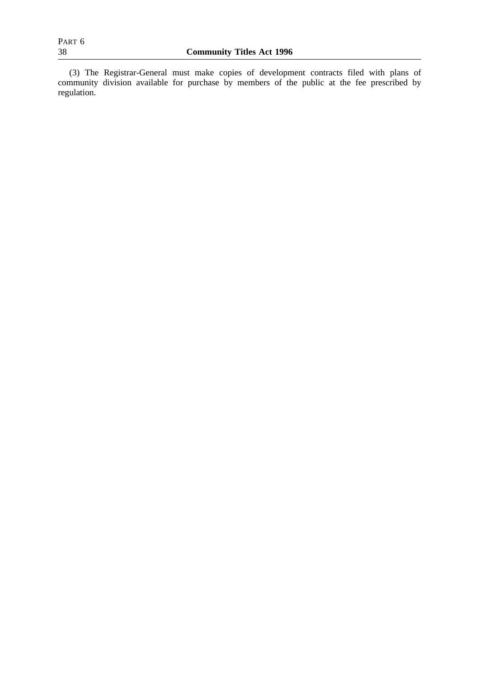(3) The Registrar-General must make copies of development contracts filed with plans of community division available for purchase by members of the public at the fee prescribed by regulation.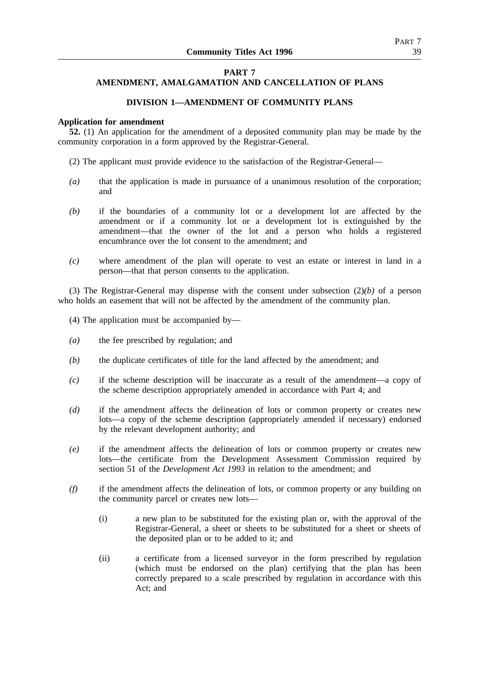## **PART 7**

# **AMENDMENT, AMALGAMATION AND CANCELLATION OF PLANS**

# **DIVISION 1—AMENDMENT OF COMMUNITY PLANS**

### **Application for amendment**

**52.** (1) An application for the amendment of a deposited community plan may be made by the community corporation in a form approved by the Registrar-General.

- (2) The applicant must provide evidence to the satisfaction of the Registrar-General—
- *(a)* that the application is made in pursuance of a unanimous resolution of the corporation; and
- *(b)* if the boundaries of a community lot or a development lot are affected by the amendment or if a community lot or a development lot is extinguished by the amendment—that the owner of the lot and a person who holds a registered encumbrance over the lot consent to the amendment; and
- *(c)* where amendment of the plan will operate to vest an estate or interest in land in a person—that that person consents to the application.

(3) The Registrar-General may dispense with the consent under subsection (2)*(b)* of a person who holds an easement that will not be affected by the amendment of the community plan.

- (4) The application must be accompanied by—
- *(a)* the fee prescribed by regulation; and
- *(b)* the duplicate certificates of title for the land affected by the amendment; and
- *(c)* if the scheme description will be inaccurate as a result of the amendment—a copy of the scheme description appropriately amended in accordance with Part 4; and
- *(d)* if the amendment affects the delineation of lots or common property or creates new lots—a copy of the scheme description (appropriately amended if necessary) endorsed by the relevant development authority; and
- *(e)* if the amendment affects the delineation of lots or common property or creates new lots—the certificate from the Development Assessment Commission required by section 51 of the *Development Act 1993* in relation to the amendment; and
- *(f)* if the amendment affects the delineation of lots, or common property or any building on the community parcel or creates new lots—
	- (i) a new plan to be substituted for the existing plan or, with the approval of the Registrar-General, a sheet or sheets to be substituted for a sheet or sheets of the deposited plan or to be added to it; and
	- (ii) a certificate from a licensed surveyor in the form prescribed by regulation (which must be endorsed on the plan) certifying that the plan has been correctly prepared to a scale prescribed by regulation in accordance with this Act; and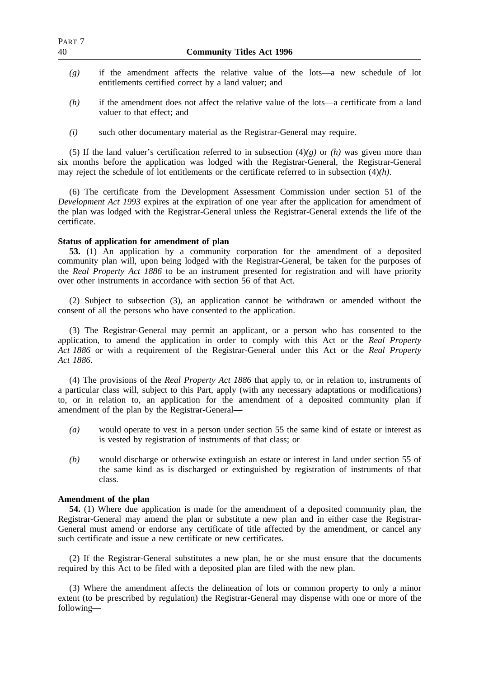| PART 7<br>40 | <b>Community Titles Act 1996</b>                                                                                                      |
|--------------|---------------------------------------------------------------------------------------------------------------------------------------|
| (g)          | if the amendment affects the relative value of the lots—a new schedule of lot<br>entitlements certified correct by a land valuer; and |
| (h)          | if the amendment does not affect the relative value of the lots—a certificate from a land<br>valuer to that effect; and               |

*(i)* such other documentary material as the Registrar-General may require.

(5) If the land valuer's certification referred to in subsection  $(4)(g)$  or *(h)* was given more than six months before the application was lodged with the Registrar-General, the Registrar-General may reject the schedule of lot entitlements or the certificate referred to in subsection (4)*(h)*.

(6) The certificate from the Development Assessment Commission under section 51 of the *Development Act 1993* expires at the expiration of one year after the application for amendment of the plan was lodged with the Registrar-General unless the Registrar-General extends the life of the certificate.

# **Status of application for amendment of plan**

**53.** (1) An application by a community corporation for the amendment of a deposited community plan will, upon being lodged with the Registrar-General, be taken for the purposes of the *Real Property Act 1886* to be an instrument presented for registration and will have priority over other instruments in accordance with section 56 of that Act.

(2) Subject to subsection (3), an application cannot be withdrawn or amended without the consent of all the persons who have consented to the application.

(3) The Registrar-General may permit an applicant, or a person who has consented to the application, to amend the application in order to comply with this Act or the *Real Property Act 1886* or with a requirement of the Registrar-General under this Act or the *Real Property Act 1886*.

(4) The provisions of the *Real Property Act 1886* that apply to, or in relation to, instruments of a particular class will, subject to this Part, apply (with any necessary adaptations or modifications) to, or in relation to, an application for the amendment of a deposited community plan if amendment of the plan by the Registrar-General—

- *(a)* would operate to vest in a person under section 55 the same kind of estate or interest as is vested by registration of instruments of that class; or
- *(b)* would discharge or otherwise extinguish an estate or interest in land under section 55 of the same kind as is discharged or extinguished by registration of instruments of that class.

## **Amendment of the plan**

**54.** (1) Where due application is made for the amendment of a deposited community plan, the Registrar-General may amend the plan or substitute a new plan and in either case the Registrar-General must amend or endorse any certificate of title affected by the amendment, or cancel any such certificate and issue a new certificate or new certificates.

(2) If the Registrar-General substitutes a new plan, he or she must ensure that the documents required by this Act to be filed with a deposited plan are filed with the new plan.

(3) Where the amendment affects the delineation of lots or common property to only a minor extent (to be prescribed by regulation) the Registrar-General may dispense with one or more of the following—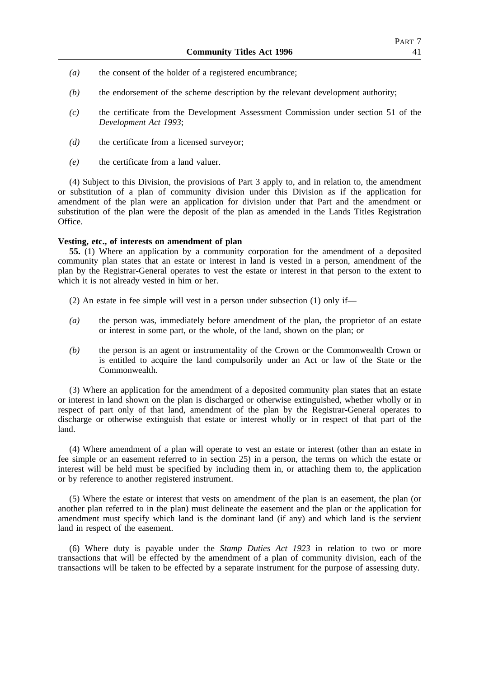- *(a)* the consent of the holder of a registered encumbrance;
- *(b)* the endorsement of the scheme description by the relevant development authority;
- *(c)* the certificate from the Development Assessment Commission under section 51 of the *Development Act 1993*;
- *(d)* the certificate from a licensed surveyor;
- *(e)* the certificate from a land valuer.

(4) Subject to this Division, the provisions of Part 3 apply to, and in relation to, the amendment or substitution of a plan of community division under this Division as if the application for amendment of the plan were an application for division under that Part and the amendment or substitution of the plan were the deposit of the plan as amended in the Lands Titles Registration Office.

# **Vesting, etc., of interests on amendment of plan**

**55.** (1) Where an application by a community corporation for the amendment of a deposited community plan states that an estate or interest in land is vested in a person, amendment of the plan by the Registrar-General operates to vest the estate or interest in that person to the extent to which it is not already vested in him or her.

- (2) An estate in fee simple will vest in a person under subsection (1) only if—
- *(a)* the person was, immediately before amendment of the plan, the proprietor of an estate or interest in some part, or the whole, of the land, shown on the plan; or
- *(b)* the person is an agent or instrumentality of the Crown or the Commonwealth Crown or is entitled to acquire the land compulsorily under an Act or law of the State or the Commonwealth.

(3) Where an application for the amendment of a deposited community plan states that an estate or interest in land shown on the plan is discharged or otherwise extinguished, whether wholly or in respect of part only of that land, amendment of the plan by the Registrar-General operates to discharge or otherwise extinguish that estate or interest wholly or in respect of that part of the land.

(4) Where amendment of a plan will operate to vest an estate or interest (other than an estate in fee simple or an easement referred to in section 25) in a person, the terms on which the estate or interest will be held must be specified by including them in, or attaching them to, the application or by reference to another registered instrument.

(5) Where the estate or interest that vests on amendment of the plan is an easement, the plan (or another plan referred to in the plan) must delineate the easement and the plan or the application for amendment must specify which land is the dominant land (if any) and which land is the servient land in respect of the easement.

(6) Where duty is payable under the *Stamp Duties Act 1923* in relation to two or more transactions that will be effected by the amendment of a plan of community division, each of the transactions will be taken to be effected by a separate instrument for the purpose of assessing duty.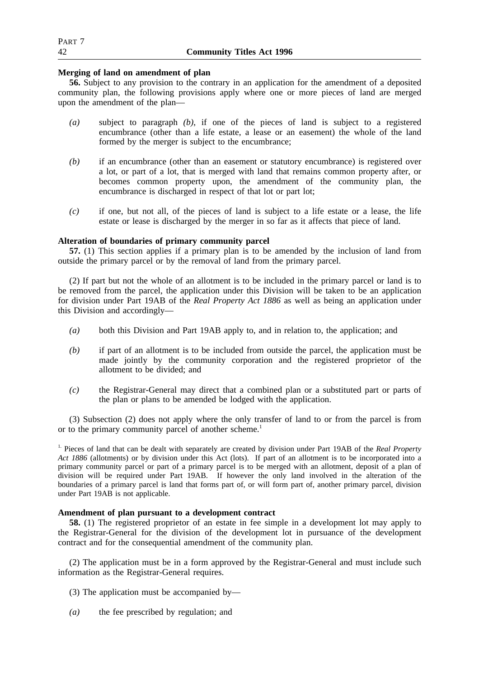## **Merging of land on amendment of plan**

**56.** Subject to any provision to the contrary in an application for the amendment of a deposited community plan, the following provisions apply where one or more pieces of land are merged upon the amendment of the plan—

- *(a)* subject to paragraph *(b)*, if one of the pieces of land is subject to a registered encumbrance (other than a life estate, a lease or an easement) the whole of the land formed by the merger is subject to the encumbrance;
- *(b)* if an encumbrance (other than an easement or statutory encumbrance) is registered over a lot, or part of a lot, that is merged with land that remains common property after, or becomes common property upon, the amendment of the community plan, the encumbrance is discharged in respect of that lot or part lot;
- *(c)* if one, but not all, of the pieces of land is subject to a life estate or a lease, the life estate or lease is discharged by the merger in so far as it affects that piece of land.

# **Alteration of boundaries of primary community parcel**

**57.** (1) This section applies if a primary plan is to be amended by the inclusion of land from outside the primary parcel or by the removal of land from the primary parcel.

(2) If part but not the whole of an allotment is to be included in the primary parcel or land is to be removed from the parcel, the application under this Division will be taken to be an application for division under Part 19AB of the *Real Property Act 1886* as well as being an application under this Division and accordingly—

- *(a)* both this Division and Part 19AB apply to, and in relation to, the application; and
- *(b)* if part of an allotment is to be included from outside the parcel, the application must be made jointly by the community corporation and the registered proprietor of the allotment to be divided; and
- *(c)* the Registrar-General may direct that a combined plan or a substituted part or parts of the plan or plans to be amended be lodged with the application.

(3) Subsection (2) does not apply where the only transfer of land to or from the parcel is from or to the primary community parcel of another scheme.<sup>1</sup>

1. Pieces of land that can be dealt with separately are created by division under Part 19AB of the *Real Property Act 1886* (allotments) or by division under this Act (lots). If part of an allotment is to be incorporated into a primary community parcel or part of a primary parcel is to be merged with an allotment, deposit of a plan of division will be required under Part 19AB. If however the only land involved in the alteration of the boundaries of a primary parcel is land that forms part of, or will form part of, another primary parcel, division under Part 19AB is not applicable.

# **Amendment of plan pursuant to a development contract**

**58.** (1) The registered proprietor of an estate in fee simple in a development lot may apply to the Registrar-General for the division of the development lot in pursuance of the development contract and for the consequential amendment of the community plan.

(2) The application must be in a form approved by the Registrar-General and must include such information as the Registrar-General requires.

- (3) The application must be accompanied by—
- *(a)* the fee prescribed by regulation; and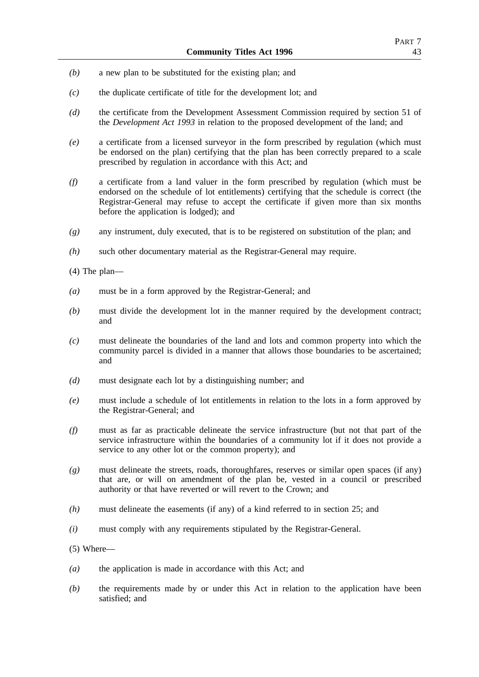- *(b)* a new plan to be substituted for the existing plan; and
- *(c)* the duplicate certificate of title for the development lot; and
- *(d)* the certificate from the Development Assessment Commission required by section 51 of the *Development Act 1993* in relation to the proposed development of the land; and
- *(e)* a certificate from a licensed surveyor in the form prescribed by regulation (which must be endorsed on the plan) certifying that the plan has been correctly prepared to a scale prescribed by regulation in accordance with this Act; and
- *(f)* a certificate from a land valuer in the form prescribed by regulation (which must be endorsed on the schedule of lot entitlements) certifying that the schedule is correct (the Registrar-General may refuse to accept the certificate if given more than six months before the application is lodged); and
- *(g)* any instrument, duly executed, that is to be registered on substitution of the plan; and
- *(h)* such other documentary material as the Registrar-General may require.
- (4) The plan—
- *(a)* must be in a form approved by the Registrar-General; and
- *(b)* must divide the development lot in the manner required by the development contract; and
- *(c)* must delineate the boundaries of the land and lots and common property into which the community parcel is divided in a manner that allows those boundaries to be ascertained; and
- *(d)* must designate each lot by a distinguishing number; and
- *(e)* must include a schedule of lot entitlements in relation to the lots in a form approved by the Registrar-General; and
- *(f)* must as far as practicable delineate the service infrastructure (but not that part of the service infrastructure within the boundaries of a community lot if it does not provide a service to any other lot or the common property); and
- *(g)* must delineate the streets, roads, thoroughfares, reserves or similar open spaces (if any) that are, or will on amendment of the plan be, vested in a council or prescribed authority or that have reverted or will revert to the Crown; and
- *(h)* must delineate the easements (if any) of a kind referred to in section 25; and
- *(i)* must comply with any requirements stipulated by the Registrar-General.
- (5) Where—
- *(a)* the application is made in accordance with this Act; and
- *(b)* the requirements made by or under this Act in relation to the application have been satisfied; and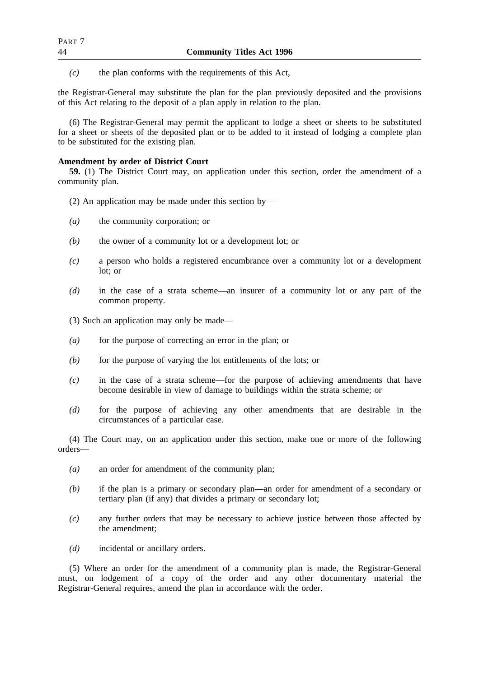*(c)* the plan conforms with the requirements of this Act,

the Registrar-General may substitute the plan for the plan previously deposited and the provisions of this Act relating to the deposit of a plan apply in relation to the plan.

(6) The Registrar-General may permit the applicant to lodge a sheet or sheets to be substituted for a sheet or sheets of the deposited plan or to be added to it instead of lodging a complete plan to be substituted for the existing plan.

### **Amendment by order of District Court**

**59.** (1) The District Court may, on application under this section, order the amendment of a community plan.

- (2) An application may be made under this section by—
- *(a)* the community corporation; or
- *(b)* the owner of a community lot or a development lot; or
- *(c)* a person who holds a registered encumbrance over a community lot or a development lot; or
- *(d)* in the case of a strata scheme—an insurer of a community lot or any part of the common property.
- (3) Such an application may only be made—
- *(a)* for the purpose of correcting an error in the plan; or
- *(b)* for the purpose of varying the lot entitlements of the lots; or
- *(c)* in the case of a strata scheme—for the purpose of achieving amendments that have become desirable in view of damage to buildings within the strata scheme; or
- *(d)* for the purpose of achieving any other amendments that are desirable in the circumstances of a particular case.

(4) The Court may, on an application under this section, make one or more of the following orders—

- *(a)* an order for amendment of the community plan;
- *(b)* if the plan is a primary or secondary plan—an order for amendment of a secondary or tertiary plan (if any) that divides a primary or secondary lot;
- *(c)* any further orders that may be necessary to achieve justice between those affected by the amendment;
- *(d)* incidental or ancillary orders.

(5) Where an order for the amendment of a community plan is made, the Registrar-General must, on lodgement of a copy of the order and any other documentary material the Registrar-General requires, amend the plan in accordance with the order.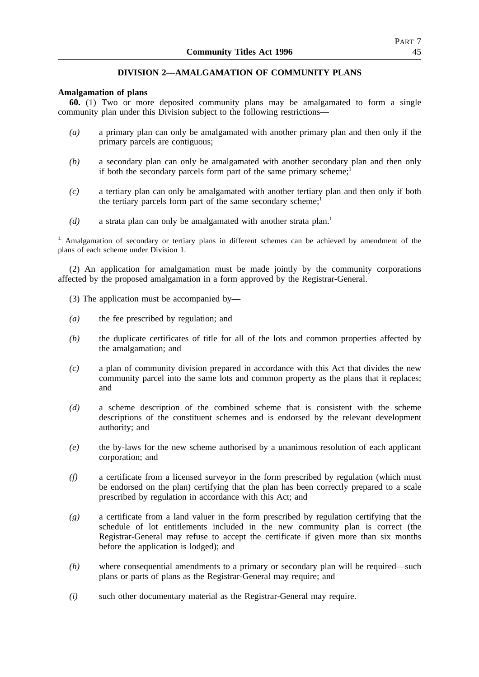# **DIVISION 2—AMALGAMATION OF COMMUNITY PLANS**

## **Amalgamation of plans**

**60.** (1) Two or more deposited community plans may be amalgamated to form a single community plan under this Division subject to the following restrictions—

- *(a)* a primary plan can only be amalgamated with another primary plan and then only if the primary parcels are contiguous;
- *(b)* a secondary plan can only be amalgamated with another secondary plan and then only if both the secondary parcels form part of the same primary scheme;<sup>1</sup>
- *(c)* a tertiary plan can only be amalgamated with another tertiary plan and then only if both the tertiary parcels form part of the same secondary scheme;<sup>1</sup>
- $(d)$  a strata plan can only be amalgamated with another strata plan.<sup>1</sup>

<sup>1.</sup> Amalgamation of secondary or tertiary plans in different schemes can be achieved by amendment of the plans of each scheme under Division 1.

(2) An application for amalgamation must be made jointly by the community corporations affected by the proposed amalgamation in a form approved by the Registrar-General.

- (3) The application must be accompanied by—
- *(a)* the fee prescribed by regulation; and
- *(b)* the duplicate certificates of title for all of the lots and common properties affected by the amalgamation; and
- *(c)* a plan of community division prepared in accordance with this Act that divides the new community parcel into the same lots and common property as the plans that it replaces; and
- *(d)* a scheme description of the combined scheme that is consistent with the scheme descriptions of the constituent schemes and is endorsed by the relevant development authority; and
- *(e)* the by-laws for the new scheme authorised by a unanimous resolution of each applicant corporation; and
- *(f)* a certificate from a licensed surveyor in the form prescribed by regulation (which must be endorsed on the plan) certifying that the plan has been correctly prepared to a scale prescribed by regulation in accordance with this Act; and
- *(g)* a certificate from a land valuer in the form prescribed by regulation certifying that the schedule of lot entitlements included in the new community plan is correct (the Registrar-General may refuse to accept the certificate if given more than six months before the application is lodged); and
- *(h)* where consequential amendments to a primary or secondary plan will be required—such plans or parts of plans as the Registrar-General may require; and
- *(i)* such other documentary material as the Registrar-General may require.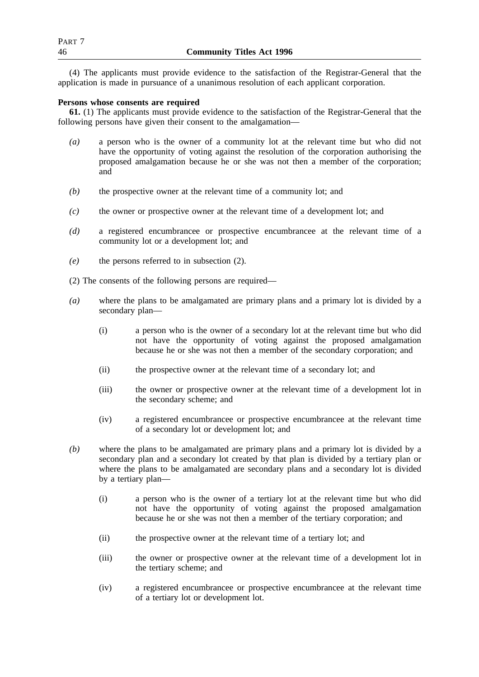(4) The applicants must provide evidence to the satisfaction of the Registrar-General that the application is made in pursuance of a unanimous resolution of each applicant corporation.

# **Persons whose consents are required**

**61.** (1) The applicants must provide evidence to the satisfaction of the Registrar-General that the following persons have given their consent to the amalgamation—

- *(a)* a person who is the owner of a community lot at the relevant time but who did not have the opportunity of voting against the resolution of the corporation authorising the proposed amalgamation because he or she was not then a member of the corporation; and
- *(b)* the prospective owner at the relevant time of a community lot; and
- *(c)* the owner or prospective owner at the relevant time of a development lot; and
- *(d)* a registered encumbrancee or prospective encumbrancee at the relevant time of a community lot or a development lot; and
- *(e)* the persons referred to in subsection (2).
- (2) The consents of the following persons are required—
- *(a)* where the plans to be amalgamated are primary plans and a primary lot is divided by a secondary plan—
	- (i) a person who is the owner of a secondary lot at the relevant time but who did not have the opportunity of voting against the proposed amalgamation because he or she was not then a member of the secondary corporation; and
	- (ii) the prospective owner at the relevant time of a secondary lot; and
	- (iii) the owner or prospective owner at the relevant time of a development lot in the secondary scheme; and
	- (iv) a registered encumbrancee or prospective encumbrancee at the relevant time of a secondary lot or development lot; and
- *(b)* where the plans to be amalgamated are primary plans and a primary lot is divided by a secondary plan and a secondary lot created by that plan is divided by a tertiary plan or where the plans to be amalgamated are secondary plans and a secondary lot is divided by a tertiary plan—
	- (i) a person who is the owner of a tertiary lot at the relevant time but who did not have the opportunity of voting against the proposed amalgamation because he or she was not then a member of the tertiary corporation; and
	- (ii) the prospective owner at the relevant time of a tertiary lot; and
	- (iii) the owner or prospective owner at the relevant time of a development lot in the tertiary scheme; and
	- (iv) a registered encumbrancee or prospective encumbrancee at the relevant time of a tertiary lot or development lot.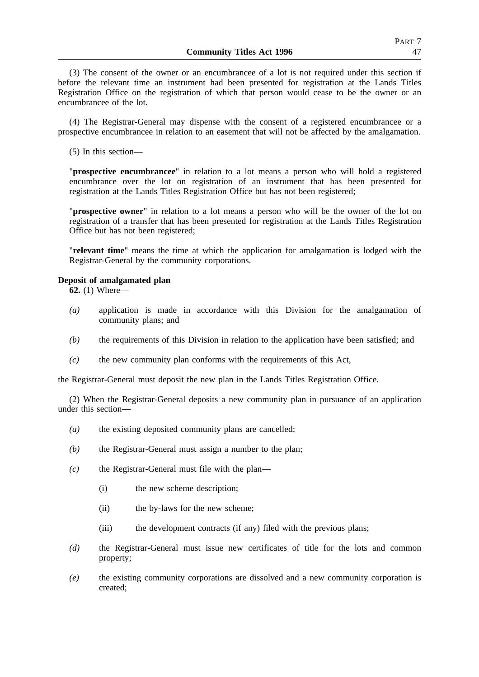(3) The consent of the owner or an encumbrancee of a lot is not required under this section if before the relevant time an instrument had been presented for registration at the Lands Titles Registration Office on the registration of which that person would cease to be the owner or an encumbrancee of the lot.

(4) The Registrar-General may dispense with the consent of a registered encumbrancee or a prospective encumbrancee in relation to an easement that will not be affected by the amalgamation.

(5) In this section—

"**prospective encumbrancee**" in relation to a lot means a person who will hold a registered encumbrance over the lot on registration of an instrument that has been presented for registration at the Lands Titles Registration Office but has not been registered;

"**prospective owner**" in relation to a lot means a person who will be the owner of the lot on registration of a transfer that has been presented for registration at the Lands Titles Registration Office but has not been registered;

"**relevant time**" means the time at which the application for amalgamation is lodged with the Registrar-General by the community corporations.

## **Deposit of amalgamated plan**

**62.** (1) Where—

- *(a)* application is made in accordance with this Division for the amalgamation of community plans; and
- *(b)* the requirements of this Division in relation to the application have been satisfied; and
- *(c)* the new community plan conforms with the requirements of this Act,

the Registrar-General must deposit the new plan in the Lands Titles Registration Office.

(2) When the Registrar-General deposits a new community plan in pursuance of an application under this section—

- *(a)* the existing deposited community plans are cancelled;
- *(b)* the Registrar-General must assign a number to the plan;
- *(c)* the Registrar-General must file with the plan—
	- (i) the new scheme description;
	- (ii) the by-laws for the new scheme;
	- (iii) the development contracts (if any) filed with the previous plans;
- *(d)* the Registrar-General must issue new certificates of title for the lots and common property;
- *(e)* the existing community corporations are dissolved and a new community corporation is created;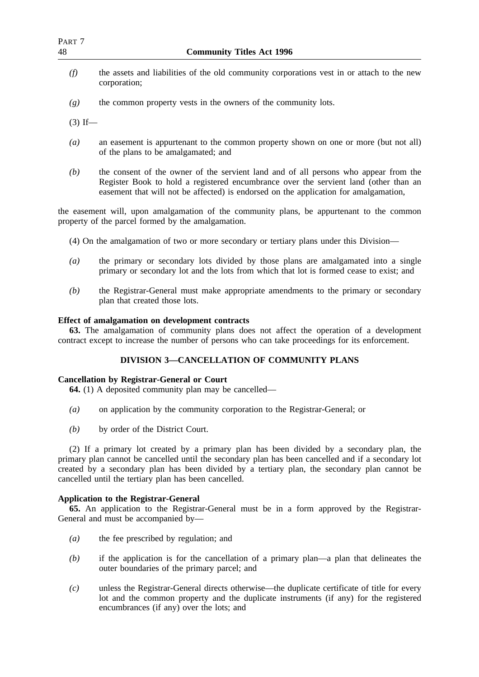- *(f)* the assets and liabilities of the old community corporations vest in or attach to the new corporation;
- *(g)* the common property vests in the owners of the community lots.

 $(3)$  If—

- *(a)* an easement is appurtenant to the common property shown on one or more (but not all) of the plans to be amalgamated; and
- *(b)* the consent of the owner of the servient land and of all persons who appear from the Register Book to hold a registered encumbrance over the servient land (other than an easement that will not be affected) is endorsed on the application for amalgamation,

the easement will, upon amalgamation of the community plans, be appurtenant to the common property of the parcel formed by the amalgamation.

- (4) On the amalgamation of two or more secondary or tertiary plans under this Division—
- *(a)* the primary or secondary lots divided by those plans are amalgamated into a single primary or secondary lot and the lots from which that lot is formed cease to exist; and
- *(b)* the Registrar-General must make appropriate amendments to the primary or secondary plan that created those lots.

# **Effect of amalgamation on development contracts**

**63.** The amalgamation of community plans does not affect the operation of a development contract except to increase the number of persons who can take proceedings for its enforcement.

# **DIVISION 3—CANCELLATION OF COMMUNITY PLANS**

## **Cancellation by Registrar-General or Court**

**64.** (1) A deposited community plan may be cancelled—

- *(a)* on application by the community corporation to the Registrar-General; or
- *(b)* by order of the District Court.

(2) If a primary lot created by a primary plan has been divided by a secondary plan, the primary plan cannot be cancelled until the secondary plan has been cancelled and if a secondary lot created by a secondary plan has been divided by a tertiary plan, the secondary plan cannot be cancelled until the tertiary plan has been cancelled.

# **Application to the Registrar-General**

**65.** An application to the Registrar-General must be in a form approved by the Registrar-General and must be accompanied by—

- *(a)* the fee prescribed by regulation; and
- *(b)* if the application is for the cancellation of a primary plan—a plan that delineates the outer boundaries of the primary parcel; and
- *(c)* unless the Registrar-General directs otherwise—the duplicate certificate of title for every lot and the common property and the duplicate instruments (if any) for the registered encumbrances (if any) over the lots; and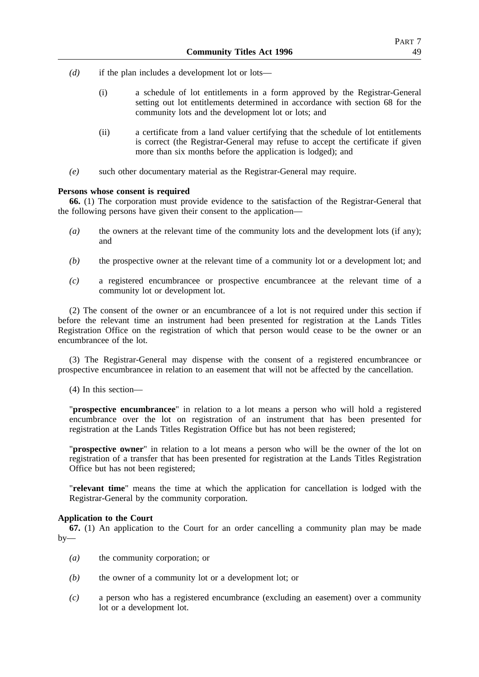- *(d)* if the plan includes a development lot or lots—
	- (i) a schedule of lot entitlements in a form approved by the Registrar-General setting out lot entitlements determined in accordance with section 68 for the community lots and the development lot or lots; and
	- (ii) a certificate from a land valuer certifying that the schedule of lot entitlements is correct (the Registrar-General may refuse to accept the certificate if given more than six months before the application is lodged); and
- *(e)* such other documentary material as the Registrar-General may require.

## **Persons whose consent is required**

**66.** (1) The corporation must provide evidence to the satisfaction of the Registrar-General that the following persons have given their consent to the application—

- *(a)* the owners at the relevant time of the community lots and the development lots (if any); and
- *(b)* the prospective owner at the relevant time of a community lot or a development lot; and
- *(c)* a registered encumbrancee or prospective encumbrancee at the relevant time of a community lot or development lot.

(2) The consent of the owner or an encumbrancee of a lot is not required under this section if before the relevant time an instrument had been presented for registration at the Lands Titles Registration Office on the registration of which that person would cease to be the owner or an encumbrancee of the lot.

(3) The Registrar-General may dispense with the consent of a registered encumbrancee or prospective encumbrancee in relation to an easement that will not be affected by the cancellation.

(4) In this section—

"**prospective encumbrancee**" in relation to a lot means a person who will hold a registered encumbrance over the lot on registration of an instrument that has been presented for registration at the Lands Titles Registration Office but has not been registered;

"**prospective owner**" in relation to a lot means a person who will be the owner of the lot on registration of a transfer that has been presented for registration at the Lands Titles Registration Office but has not been registered;

"**relevant time**" means the time at which the application for cancellation is lodged with the Registrar-General by the community corporation.

## **Application to the Court**

**67.** (1) An application to the Court for an order cancelling a community plan may be made  $by-$ 

- *(a)* the community corporation; or
- *(b)* the owner of a community lot or a development lot; or
- *(c)* a person who has a registered encumbrance (excluding an easement) over a community lot or a development lot.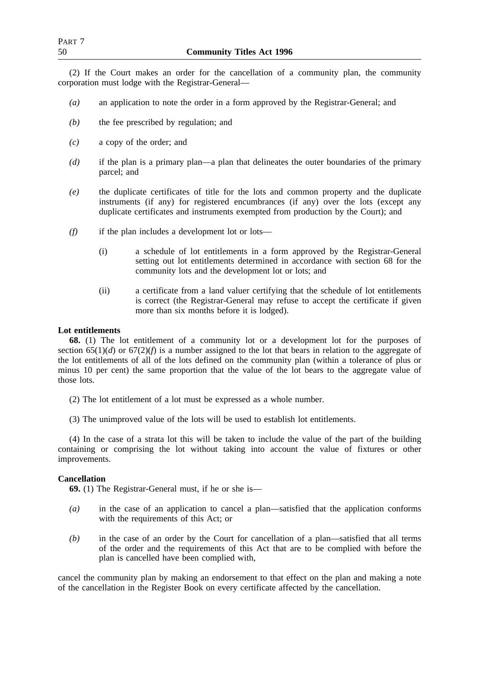(2) If the Court makes an order for the cancellation of a community plan, the community corporation must lodge with the Registrar-General—

- *(a)* an application to note the order in a form approved by the Registrar-General; and
- *(b)* the fee prescribed by regulation; and
- *(c)* a copy of the order; and
- *(d)* if the plan is a primary plan—a plan that delineates the outer boundaries of the primary parcel; and
- *(e)* the duplicate certificates of title for the lots and common property and the duplicate instruments (if any) for registered encumbrances (if any) over the lots (except any duplicate certificates and instruments exempted from production by the Court); and
- *(f)* if the plan includes a development lot or lots—
	- (i) a schedule of lot entitlements in a form approved by the Registrar-General setting out lot entitlements determined in accordance with section 68 for the community lots and the development lot or lots; and
	- (ii) a certificate from a land valuer certifying that the schedule of lot entitlements is correct (the Registrar-General may refuse to accept the certificate if given more than six months before it is lodged).

# **Lot entitlements**

**68.** (1) The lot entitlement of a community lot or a development lot for the purposes of section  $65(1)(d)$  or  $67(2)(f)$  is a number assigned to the lot that bears in relation to the aggregate of the lot entitlements of all of the lots defined on the community plan (within a tolerance of plus or minus 10 per cent) the same proportion that the value of the lot bears to the aggregate value of those lots.

- (2) The lot entitlement of a lot must be expressed as a whole number.
- (3) The unimproved value of the lots will be used to establish lot entitlements.

(4) In the case of a strata lot this will be taken to include the value of the part of the building containing or comprising the lot without taking into account the value of fixtures or other improvements.

## **Cancellation**

**69.** (1) The Registrar-General must, if he or she is—

- *(a)* in the case of an application to cancel a plan—satisfied that the application conforms with the requirements of this Act; or
- *(b)* in the case of an order by the Court for cancellation of a plan—satisfied that all terms of the order and the requirements of this Act that are to be complied with before the plan is cancelled have been complied with,

cancel the community plan by making an endorsement to that effect on the plan and making a note of the cancellation in the Register Book on every certificate affected by the cancellation.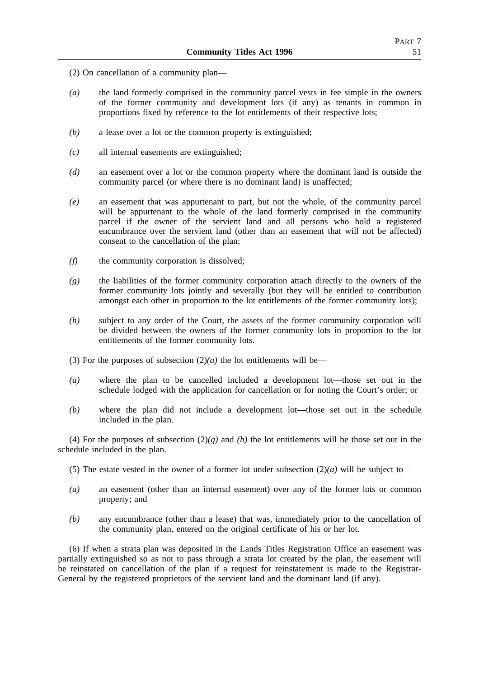- (2) On cancellation of a community plan—
- *(a)* the land formerly comprised in the community parcel vests in fee simple in the owners of the former community and development lots (if any) as tenants in common in proportions fixed by reference to the lot entitlements of their respective lots;
- *(b)* a lease over a lot or the common property is extinguished;
- *(c)* all internal easements are extinguished;
- *(d)* an easement over a lot or the common property where the dominant land is outside the community parcel (or where there is no dominant land) is unaffected;
- *(e)* an easement that was appurtenant to part, but not the whole, of the community parcel will be appurtenant to the whole of the land formerly comprised in the community parcel if the owner of the servient land and all persons who hold a registered encumbrance over the servient land (other than an easement that will not be affected) consent to the cancellation of the plan;
- *(f)* the community corporation is dissolved;
- *(g)* the liabilities of the former community corporation attach directly to the owners of the former community lots jointly and severally (but they will be entitled to contribution amongst each other in proportion to the lot entitlements of the former community lots);
- *(h)* subject to any order of the Court, the assets of the former community corporation will be divided between the owners of the former community lots in proportion to the lot entitlements of the former community lots.
- (3) For the purposes of subsection  $(2)(a)$  the lot entitlements will be—
- *(a)* where the plan to be cancelled included a development lot—those set out in the schedule lodged with the application for cancellation or for noting the Court's order; or
- *(b)* where the plan did not include a development lot—those set out in the schedule included in the plan.

(4) For the purposes of subsection  $(2)(g)$  and *(h)* the lot entitlements will be those set out in the schedule included in the plan.

- (5) The estate vested in the owner of a former lot under subsection  $(2)(a)$  will be subject to-
- *(a)* an easement (other than an internal easement) over any of the former lots or common property; and
- *(b)* any encumbrance (other than a lease) that was, immediately prior to the cancellation of the community plan, entered on the original certificate of his or her lot.

(6) If when a strata plan was deposited in the Lands Titles Registration Office an easement was partially extinguished so as not to pass through a strata lot created by the plan, the easement will be reinstated on cancellation of the plan if a request for reinstatement is made to the Registrar-General by the registered proprietors of the servient land and the dominant land (if any).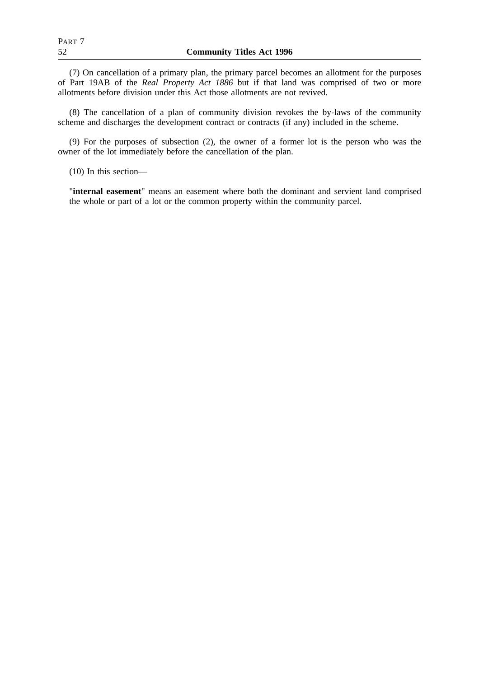(7) On cancellation of a primary plan, the primary parcel becomes an allotment for the purposes of Part 19AB of the *Real Property Act 1886* but if that land was comprised of two or more allotments before division under this Act those allotments are not revived.

(8) The cancellation of a plan of community division revokes the by-laws of the community scheme and discharges the development contract or contracts (if any) included in the scheme.

(9) For the purposes of subsection (2), the owner of a former lot is the person who was the owner of the lot immediately before the cancellation of the plan.

(10) In this section—

"**internal easement**" means an easement where both the dominant and servient land comprised the whole or part of a lot or the common property within the community parcel.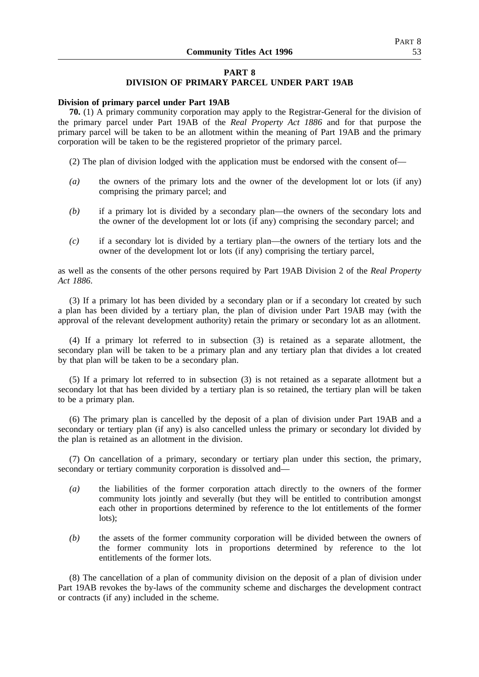# **PART 8 DIVISION OF PRIMARY PARCEL UNDER PART 19AB**

## **Division of primary parcel under Part 19AB**

**70.** (1) A primary community corporation may apply to the Registrar-General for the division of the primary parcel under Part 19AB of the *Real Property Act 1886* and for that purpose the primary parcel will be taken to be an allotment within the meaning of Part 19AB and the primary corporation will be taken to be the registered proprietor of the primary parcel.

(2) The plan of division lodged with the application must be endorsed with the consent of—

- *(a)* the owners of the primary lots and the owner of the development lot or lots (if any) comprising the primary parcel; and
- *(b)* if a primary lot is divided by a secondary plan—the owners of the secondary lots and the owner of the development lot or lots (if any) comprising the secondary parcel; and
- *(c)* if a secondary lot is divided by a tertiary plan—the owners of the tertiary lots and the owner of the development lot or lots (if any) comprising the tertiary parcel,

as well as the consents of the other persons required by Part 19AB Division 2 of the *Real Property Act 1886*.

(3) If a primary lot has been divided by a secondary plan or if a secondary lot created by such a plan has been divided by a tertiary plan, the plan of division under Part 19AB may (with the approval of the relevant development authority) retain the primary or secondary lot as an allotment.

(4) If a primary lot referred to in subsection (3) is retained as a separate allotment, the secondary plan will be taken to be a primary plan and any tertiary plan that divides a lot created by that plan will be taken to be a secondary plan.

(5) If a primary lot referred to in subsection (3) is not retained as a separate allotment but a secondary lot that has been divided by a tertiary plan is so retained, the tertiary plan will be taken to be a primary plan.

(6) The primary plan is cancelled by the deposit of a plan of division under Part 19AB and a secondary or tertiary plan (if any) is also cancelled unless the primary or secondary lot divided by the plan is retained as an allotment in the division.

(7) On cancellation of a primary, secondary or tertiary plan under this section, the primary, secondary or tertiary community corporation is dissolved and—

- *(a)* the liabilities of the former corporation attach directly to the owners of the former community lots jointly and severally (but they will be entitled to contribution amongst each other in proportions determined by reference to the lot entitlements of the former lots);
- *(b)* the assets of the former community corporation will be divided between the owners of the former community lots in proportions determined by reference to the lot entitlements of the former lots.

(8) The cancellation of a plan of community division on the deposit of a plan of division under Part 19AB revokes the by-laws of the community scheme and discharges the development contract or contracts (if any) included in the scheme.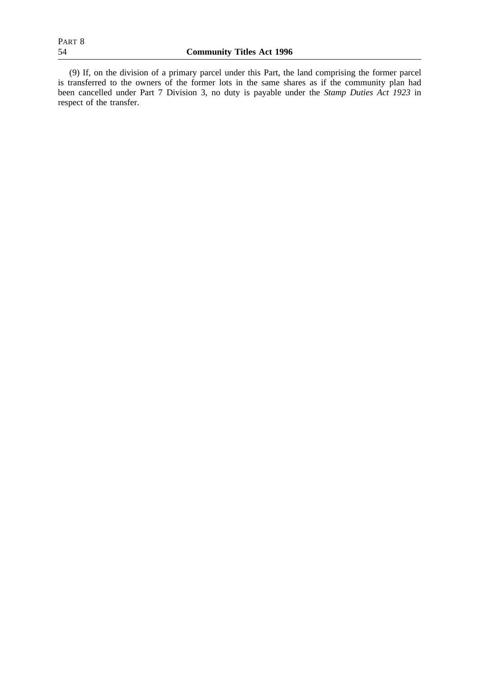(9) If, on the division of a primary parcel under this Part, the land comprising the former parcel is transferred to the owners of the former lots in the same shares as if the community plan had been cancelled under Part 7 Division 3, no duty is payable under the *Stamp Duties Act 1923* in respect of the transfer.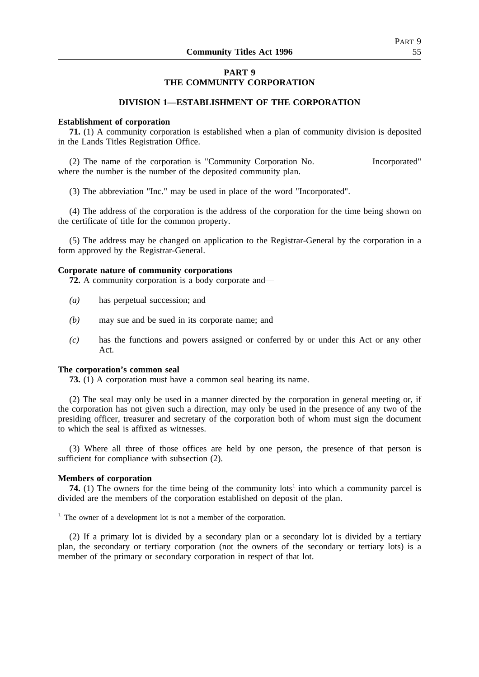# **PART 9 THE COMMUNITY CORPORATION**

## **DIVISION 1—ESTABLISHMENT OF THE CORPORATION**

#### **Establishment of corporation**

**71.** (1) A community corporation is established when a plan of community division is deposited in the Lands Titles Registration Office.

(2) The name of the corporation is "Community Corporation No. Incorporated" where the number is the number of the deposited community plan.

(3) The abbreviation "Inc." may be used in place of the word "Incorporated".

(4) The address of the corporation is the address of the corporation for the time being shown on the certificate of title for the common property.

(5) The address may be changed on application to the Registrar-General by the corporation in a form approved by the Registrar-General.

### **Corporate nature of community corporations**

**72.** A community corporation is a body corporate and—

- *(a)* has perpetual succession; and
- *(b)* may sue and be sued in its corporate name; and
- *(c)* has the functions and powers assigned or conferred by or under this Act or any other Act.

#### **The corporation's common seal**

**73.** (1) A corporation must have a common seal bearing its name.

(2) The seal may only be used in a manner directed by the corporation in general meeting or, if the corporation has not given such a direction, may only be used in the presence of any two of the presiding officer, treasurer and secretary of the corporation both of whom must sign the document to which the seal is affixed as witnesses.

(3) Where all three of those offices are held by one person, the presence of that person is sufficient for compliance with subsection  $(2)$ .

### **Members of corporation**

**74.** (1) The owners for the time being of the community lots<sup>1</sup> into which a community parcel is divided are the members of the corporation established on deposit of the plan.

 $1$ . The owner of a development lot is not a member of the corporation.

(2) If a primary lot is divided by a secondary plan or a secondary lot is divided by a tertiary plan, the secondary or tertiary corporation (not the owners of the secondary or tertiary lots) is a member of the primary or secondary corporation in respect of that lot.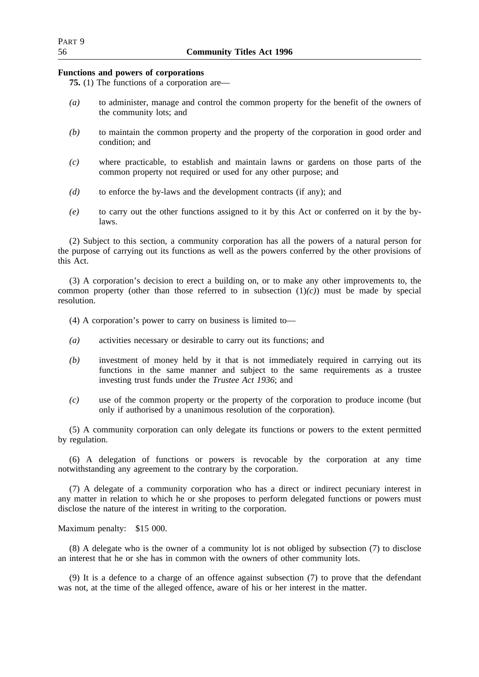## **Functions and powers of corporations**

**75.** (1) The functions of a corporation are—

- *(a)* to administer, manage and control the common property for the benefit of the owners of the community lots; and
- *(b)* to maintain the common property and the property of the corporation in good order and condition; and
- *(c)* where practicable, to establish and maintain lawns or gardens on those parts of the common property not required or used for any other purpose; and
- *(d)* to enforce the by-laws and the development contracts (if any); and
- *(e)* to carry out the other functions assigned to it by this Act or conferred on it by the bylaws.

(2) Subject to this section, a community corporation has all the powers of a natural person for the purpose of carrying out its functions as well as the powers conferred by the other provisions of this Act.

(3) A corporation's decision to erect a building on, or to make any other improvements to, the common property (other than those referred to in subsection  $(1)(c)$ ) must be made by special resolution.

- (4) A corporation's power to carry on business is limited to—
- *(a)* activities necessary or desirable to carry out its functions; and
- *(b)* investment of money held by it that is not immediately required in carrying out its functions in the same manner and subject to the same requirements as a trustee investing trust funds under the *Trustee Act 1936*; and
- *(c)* use of the common property or the property of the corporation to produce income (but only if authorised by a unanimous resolution of the corporation).

(5) A community corporation can only delegate its functions or powers to the extent permitted by regulation.

(6) A delegation of functions or powers is revocable by the corporation at any time notwithstanding any agreement to the contrary by the corporation.

(7) A delegate of a community corporation who has a direct or indirect pecuniary interest in any matter in relation to which he or she proposes to perform delegated functions or powers must disclose the nature of the interest in writing to the corporation.

Maximum penalty: \$15 000.

(8) A delegate who is the owner of a community lot is not obliged by subsection (7) to disclose an interest that he or she has in common with the owners of other community lots.

(9) It is a defence to a charge of an offence against subsection (7) to prove that the defendant was not, at the time of the alleged offence, aware of his or her interest in the matter.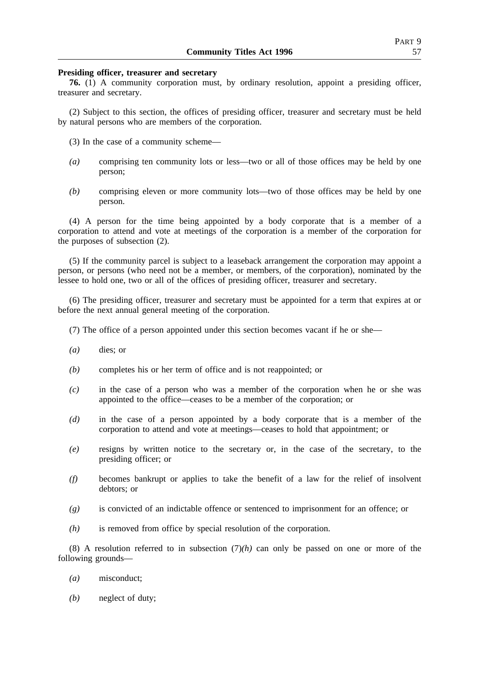## **Presiding officer, treasurer and secretary**

**76.** (1) A community corporation must, by ordinary resolution, appoint a presiding officer, treasurer and secretary.

(2) Subject to this section, the offices of presiding officer, treasurer and secretary must be held by natural persons who are members of the corporation.

- (3) In the case of a community scheme—
- *(a)* comprising ten community lots or less—two or all of those offices may be held by one person;
- *(b)* comprising eleven or more community lots—two of those offices may be held by one person.

(4) A person for the time being appointed by a body corporate that is a member of a corporation to attend and vote at meetings of the corporation is a member of the corporation for the purposes of subsection (2).

(5) If the community parcel is subject to a leaseback arrangement the corporation may appoint a person, or persons (who need not be a member, or members, of the corporation), nominated by the lessee to hold one, two or all of the offices of presiding officer, treasurer and secretary.

(6) The presiding officer, treasurer and secretary must be appointed for a term that expires at or before the next annual general meeting of the corporation.

- (7) The office of a person appointed under this section becomes vacant if he or she—
- *(a)* dies; or
- *(b)* completes his or her term of office and is not reappointed; or
- *(c)* in the case of a person who was a member of the corporation when he or she was appointed to the office—ceases to be a member of the corporation; or
- *(d)* in the case of a person appointed by a body corporate that is a member of the corporation to attend and vote at meetings—ceases to hold that appointment; or
- *(e)* resigns by written notice to the secretary or, in the case of the secretary, to the presiding officer; or
- *(f)* becomes bankrupt or applies to take the benefit of a law for the relief of insolvent debtors; or
- *(g)* is convicted of an indictable offence or sentenced to imprisonment for an offence; or
- *(h)* is removed from office by special resolution of the corporation.

(8) A resolution referred to in subsection  $(7)(h)$  can only be passed on one or more of the following grounds—

- *(a)* misconduct;
- *(b)* neglect of duty;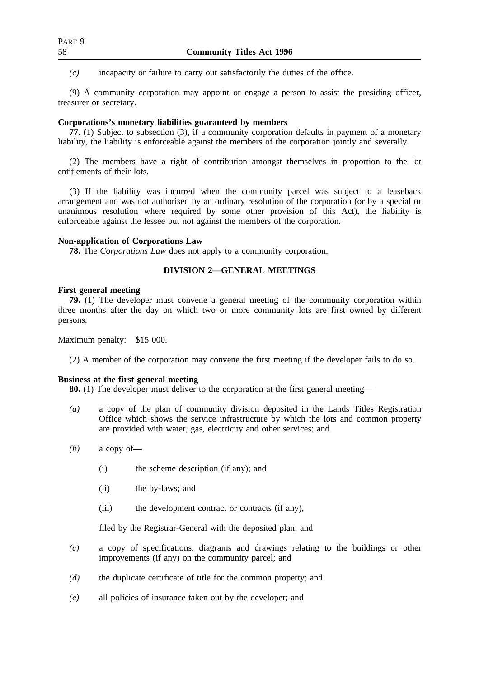*(c)* incapacity or failure to carry out satisfactorily the duties of the office.

(9) A community corporation may appoint or engage a person to assist the presiding officer, treasurer or secretary.

## **Corporations's monetary liabilities guaranteed by members**

**77.** (1) Subject to subsection (3), if a community corporation defaults in payment of a monetary liability, the liability is enforceable against the members of the corporation jointly and severally.

(2) The members have a right of contribution amongst themselves in proportion to the lot entitlements of their lots.

(3) If the liability was incurred when the community parcel was subject to a leaseback arrangement and was not authorised by an ordinary resolution of the corporation (or by a special or unanimous resolution where required by some other provision of this Act), the liability is enforceable against the lessee but not against the members of the corporation.

### **Non-application of Corporations Law**

**78.** The *Corporations Law* does not apply to a community corporation.

# **DIVISION 2—GENERAL MEETINGS**

## **First general meeting**

**79.** (1) The developer must convene a general meeting of the community corporation within three months after the day on which two or more community lots are first owned by different persons.

Maximum penalty: \$15 000.

(2) A member of the corporation may convene the first meeting if the developer fails to do so.

## **Business at the first general meeting**

**80.** (1) The developer must deliver to the corporation at the first general meeting—

- *(a)* a copy of the plan of community division deposited in the Lands Titles Registration Office which shows the service infrastructure by which the lots and common property are provided with water, gas, electricity and other services; and
- *(b)* a copy of—
	- (i) the scheme description (if any); and
	- (ii) the by-laws; and
	- (iii) the development contract or contracts (if any),

filed by the Registrar-General with the deposited plan; and

- *(c)* a copy of specifications, diagrams and drawings relating to the buildings or other improvements (if any) on the community parcel; and
- *(d)* the duplicate certificate of title for the common property; and
- *(e)* all policies of insurance taken out by the developer; and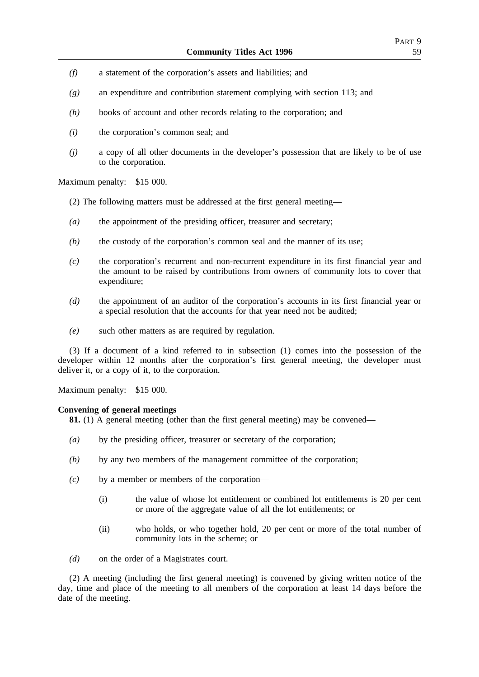- *(f)* a statement of the corporation's assets and liabilities; and
- *(g)* an expenditure and contribution statement complying with section 113; and
- *(h)* books of account and other records relating to the corporation; and
- *(i)* the corporation's common seal; and
- *(j)* a copy of all other documents in the developer's possession that are likely to be of use to the corporation.

Maximum penalty: \$15 000.

- (2) The following matters must be addressed at the first general meeting—
- *(a)* the appointment of the presiding officer, treasurer and secretary;
- *(b)* the custody of the corporation's common seal and the manner of its use;
- *(c)* the corporation's recurrent and non-recurrent expenditure in its first financial year and the amount to be raised by contributions from owners of community lots to cover that expenditure;
- *(d)* the appointment of an auditor of the corporation's accounts in its first financial year or a special resolution that the accounts for that year need not be audited;
- *(e)* such other matters as are required by regulation.

(3) If a document of a kind referred to in subsection (1) comes into the possession of the developer within 12 months after the corporation's first general meeting, the developer must deliver it, or a copy of it, to the corporation.

Maximum penalty: \$15 000.

### **Convening of general meetings**

**81.** (1) A general meeting (other than the first general meeting) may be convened—

- *(a)* by the presiding officer, treasurer or secretary of the corporation;
- *(b)* by any two members of the management committee of the corporation;
- *(c)* by a member or members of the corporation—
	- (i) the value of whose lot entitlement or combined lot entitlements is 20 per cent or more of the aggregate value of all the lot entitlements; or
	- (ii) who holds, or who together hold, 20 per cent or more of the total number of community lots in the scheme; or
- *(d)* on the order of a Magistrates court.

(2) A meeting (including the first general meeting) is convened by giving written notice of the day, time and place of the meeting to all members of the corporation at least 14 days before the date of the meeting.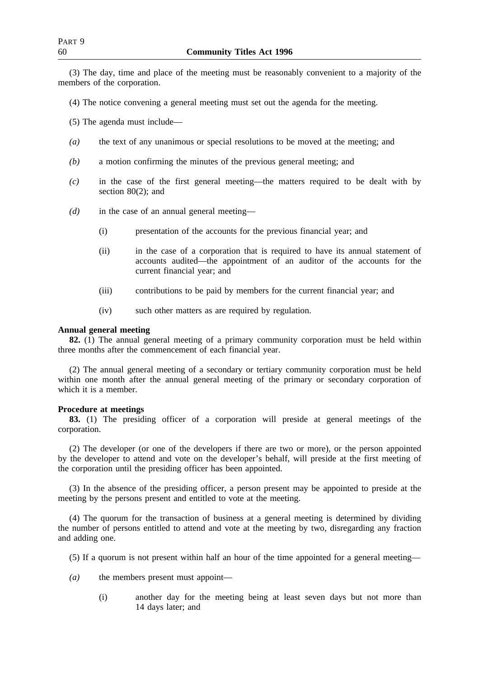(3) The day, time and place of the meeting must be reasonably convenient to a majority of the members of the corporation.

- (4) The notice convening a general meeting must set out the agenda for the meeting.
- (5) The agenda must include—
- *(a)* the text of any unanimous or special resolutions to be moved at the meeting; and
- *(b)* a motion confirming the minutes of the previous general meeting; and
- *(c)* in the case of the first general meeting—the matters required to be dealt with by section 80(2); and
- *(d)* in the case of an annual general meeting—
	- (i) presentation of the accounts for the previous financial year; and
	- (ii) in the case of a corporation that is required to have its annual statement of accounts audited—the appointment of an auditor of the accounts for the current financial year; and
	- (iii) contributions to be paid by members for the current financial year; and
	- (iv) such other matters as are required by regulation.

# **Annual general meeting**

**82.** (1) The annual general meeting of a primary community corporation must be held within three months after the commencement of each financial year.

(2) The annual general meeting of a secondary or tertiary community corporation must be held within one month after the annual general meeting of the primary or secondary corporation of which it is a member.

## **Procedure at meetings**

**83.** (1) The presiding officer of a corporation will preside at general meetings of the corporation.

(2) The developer (or one of the developers if there are two or more), or the person appointed by the developer to attend and vote on the developer's behalf, will preside at the first meeting of the corporation until the presiding officer has been appointed.

(3) In the absence of the presiding officer, a person present may be appointed to preside at the meeting by the persons present and entitled to vote at the meeting.

(4) The quorum for the transaction of business at a general meeting is determined by dividing the number of persons entitled to attend and vote at the meeting by two, disregarding any fraction and adding one.

- (5) If a quorum is not present within half an hour of the time appointed for a general meeting—
- *(a)* the members present must appoint—
	- (i) another day for the meeting being at least seven days but not more than 14 days later; and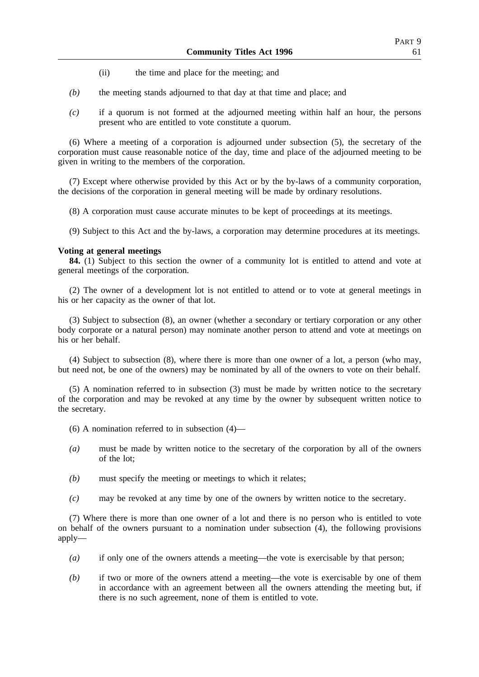- (ii) the time and place for the meeting; and
- *(b)* the meeting stands adjourned to that day at that time and place; and
- *(c)* if a quorum is not formed at the adjourned meeting within half an hour, the persons present who are entitled to vote constitute a quorum.

(6) Where a meeting of a corporation is adjourned under subsection (5), the secretary of the corporation must cause reasonable notice of the day, time and place of the adjourned meeting to be given in writing to the members of the corporation.

(7) Except where otherwise provided by this Act or by the by-laws of a community corporation, the decisions of the corporation in general meeting will be made by ordinary resolutions.

(8) A corporation must cause accurate minutes to be kept of proceedings at its meetings.

(9) Subject to this Act and the by-laws, a corporation may determine procedures at its meetings.

## **Voting at general meetings**

**84.** (1) Subject to this section the owner of a community lot is entitled to attend and vote at general meetings of the corporation.

(2) The owner of a development lot is not entitled to attend or to vote at general meetings in his or her capacity as the owner of that lot.

(3) Subject to subsection (8), an owner (whether a secondary or tertiary corporation or any other body corporate or a natural person) may nominate another person to attend and vote at meetings on his or her behalf.

(4) Subject to subsection (8), where there is more than one owner of a lot, a person (who may, but need not, be one of the owners) may be nominated by all of the owners to vote on their behalf.

(5) A nomination referred to in subsection (3) must be made by written notice to the secretary of the corporation and may be revoked at any time by the owner by subsequent written notice to the secretary.

- $(6)$  A nomination referred to in subsection  $(4)$ —
- *(a)* must be made by written notice to the secretary of the corporation by all of the owners of the lot;
- *(b)* must specify the meeting or meetings to which it relates;
- *(c)* may be revoked at any time by one of the owners by written notice to the secretary.

(7) Where there is more than one owner of a lot and there is no person who is entitled to vote on behalf of the owners pursuant to a nomination under subsection (4), the following provisions apply—

- *(a)* if only one of the owners attends a meeting—the vote is exercisable by that person;
- *(b)* if two or more of the owners attend a meeting—the vote is exercisable by one of them in accordance with an agreement between all the owners attending the meeting but, if there is no such agreement, none of them is entitled to vote.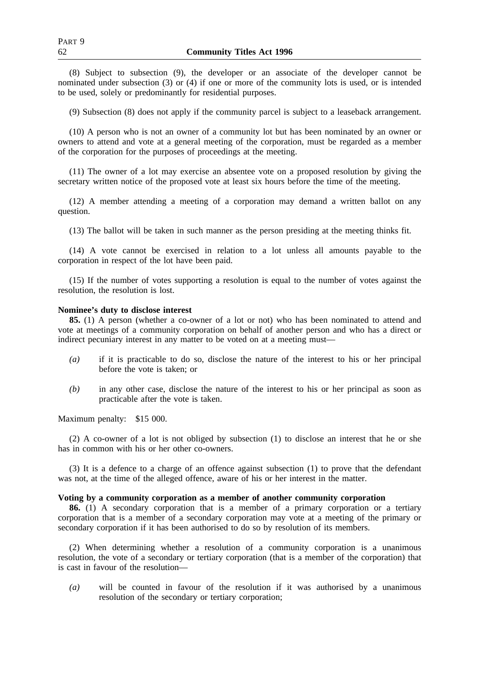(8) Subject to subsection (9), the developer or an associate of the developer cannot be nominated under subsection (3) or (4) if one or more of the community lots is used, or is intended to be used, solely or predominantly for residential purposes.

(9) Subsection (8) does not apply if the community parcel is subject to a leaseback arrangement.

(10) A person who is not an owner of a community lot but has been nominated by an owner or owners to attend and vote at a general meeting of the corporation, must be regarded as a member of the corporation for the purposes of proceedings at the meeting.

(11) The owner of a lot may exercise an absentee vote on a proposed resolution by giving the secretary written notice of the proposed vote at least six hours before the time of the meeting.

(12) A member attending a meeting of a corporation may demand a written ballot on any question.

(13) The ballot will be taken in such manner as the person presiding at the meeting thinks fit.

(14) A vote cannot be exercised in relation to a lot unless all amounts payable to the corporation in respect of the lot have been paid.

(15) If the number of votes supporting a resolution is equal to the number of votes against the resolution, the resolution is lost.

### **Nominee's duty to disclose interest**

**85.** (1) A person (whether a co-owner of a lot or not) who has been nominated to attend and vote at meetings of a community corporation on behalf of another person and who has a direct or indirect pecuniary interest in any matter to be voted on at a meeting must—

- *(a)* if it is practicable to do so, disclose the nature of the interest to his or her principal before the vote is taken; or
- *(b)* in any other case, disclose the nature of the interest to his or her principal as soon as practicable after the vote is taken.

Maximum penalty: \$15 000.

(2) A co-owner of a lot is not obliged by subsection (1) to disclose an interest that he or she has in common with his or her other co-owners.

(3) It is a defence to a charge of an offence against subsection (1) to prove that the defendant was not, at the time of the alleged offence, aware of his or her interest in the matter.

## **Voting by a community corporation as a member of another community corporation**

**86.** (1) A secondary corporation that is a member of a primary corporation or a tertiary corporation that is a member of a secondary corporation may vote at a meeting of the primary or secondary corporation if it has been authorised to do so by resolution of its members.

(2) When determining whether a resolution of a community corporation is a unanimous resolution, the vote of a secondary or tertiary corporation (that is a member of the corporation) that is cast in favour of the resolution—

*(a)* will be counted in favour of the resolution if it was authorised by a unanimous resolution of the secondary or tertiary corporation;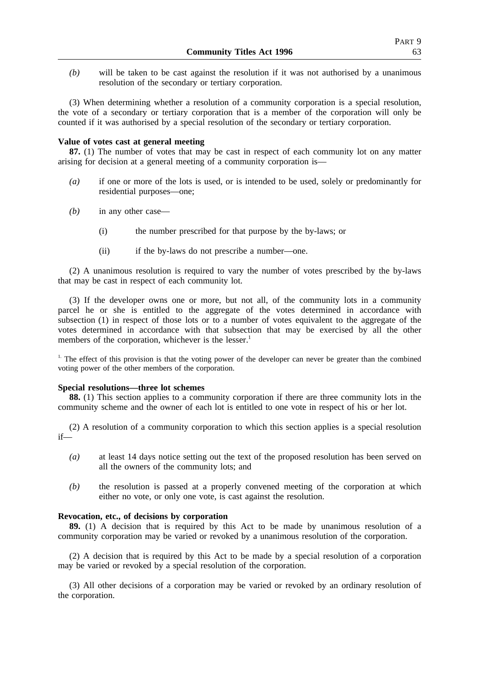*(b)* will be taken to be cast against the resolution if it was not authorised by a unanimous resolution of the secondary or tertiary corporation.

(3) When determining whether a resolution of a community corporation is a special resolution, the vote of a secondary or tertiary corporation that is a member of the corporation will only be counted if it was authorised by a special resolution of the secondary or tertiary corporation.

### **Value of votes cast at general meeting**

**87.** (1) The number of votes that may be cast in respect of each community lot on any matter arising for decision at a general meeting of a community corporation is—

- *(a)* if one or more of the lots is used, or is intended to be used, solely or predominantly for residential purposes—one;
- *(b)* in any other case—
	- (i) the number prescribed for that purpose by the by-laws; or
	- (ii) if the by-laws do not prescribe a number—one.

(2) A unanimous resolution is required to vary the number of votes prescribed by the by-laws that may be cast in respect of each community lot.

(3) If the developer owns one or more, but not all, of the community lots in a community parcel he or she is entitled to the aggregate of the votes determined in accordance with subsection (1) in respect of those lots or to a number of votes equivalent to the aggregate of the votes determined in accordance with that subsection that may be exercised by all the other members of the corporation, whichever is the lesser.<sup>1</sup>

<sup>1.</sup> The effect of this provision is that the voting power of the developer can never be greater than the combined voting power of the other members of the corporation.

### **Special resolutions—three lot schemes**

**88.** (1) This section applies to a community corporation if there are three community lots in the community scheme and the owner of each lot is entitled to one vote in respect of his or her lot.

(2) A resolution of a community corporation to which this section applies is a special resolution if—

- *(a)* at least 14 days notice setting out the text of the proposed resolution has been served on all the owners of the community lots; and
- *(b)* the resolution is passed at a properly convened meeting of the corporation at which either no vote, or only one vote, is cast against the resolution.

### **Revocation, etc., of decisions by corporation**

**89.** (1) A decision that is required by this Act to be made by unanimous resolution of a community corporation may be varied or revoked by a unanimous resolution of the corporation.

(2) A decision that is required by this Act to be made by a special resolution of a corporation may be varied or revoked by a special resolution of the corporation.

(3) All other decisions of a corporation may be varied or revoked by an ordinary resolution of the corporation.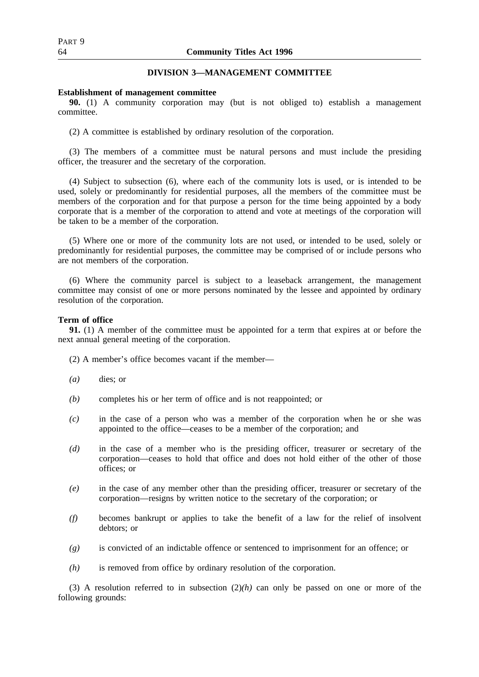# **DIVISION 3—MANAGEMENT COMMITTEE**

## **Establishment of management committee**

**90.** (1) A community corporation may (but is not obliged to) establish a management committee.

(2) A committee is established by ordinary resolution of the corporation.

(3) The members of a committee must be natural persons and must include the presiding officer, the treasurer and the secretary of the corporation.

(4) Subject to subsection (6), where each of the community lots is used, or is intended to be used, solely or predominantly for residential purposes, all the members of the committee must be members of the corporation and for that purpose a person for the time being appointed by a body corporate that is a member of the corporation to attend and vote at meetings of the corporation will be taken to be a member of the corporation.

(5) Where one or more of the community lots are not used, or intended to be used, solely or predominantly for residential purposes, the committee may be comprised of or include persons who are not members of the corporation.

(6) Where the community parcel is subject to a leaseback arrangement, the management committee may consist of one or more persons nominated by the lessee and appointed by ordinary resolution of the corporation.

## **Term of office**

**91.** (1) A member of the committee must be appointed for a term that expires at or before the next annual general meeting of the corporation.

(2) A member's office becomes vacant if the member—

- *(a)* dies; or
- *(b)* completes his or her term of office and is not reappointed; or
- *(c)* in the case of a person who was a member of the corporation when he or she was appointed to the office—ceases to be a member of the corporation; and
- *(d)* in the case of a member who is the presiding officer, treasurer or secretary of the corporation—ceases to hold that office and does not hold either of the other of those offices; or
- *(e)* in the case of any member other than the presiding officer, treasurer or secretary of the corporation—resigns by written notice to the secretary of the corporation; or
- *(f)* becomes bankrupt or applies to take the benefit of a law for the relief of insolvent debtors; or
- *(g)* is convicted of an indictable offence or sentenced to imprisonment for an offence; or
- *(h)* is removed from office by ordinary resolution of the corporation.

(3) A resolution referred to in subsection  $(2)(h)$  can only be passed on one or more of the following grounds: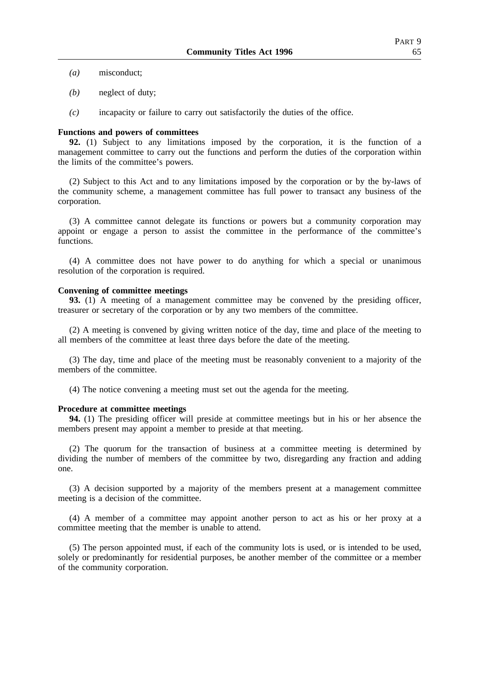- *(a)* misconduct;
- *(b)* neglect of duty;
- *(c)* incapacity or failure to carry out satisfactorily the duties of the office.

### **Functions and powers of committees**

**92.** (1) Subject to any limitations imposed by the corporation, it is the function of a management committee to carry out the functions and perform the duties of the corporation within the limits of the committee's powers.

(2) Subject to this Act and to any limitations imposed by the corporation or by the by-laws of the community scheme, a management committee has full power to transact any business of the corporation.

(3) A committee cannot delegate its functions or powers but a community corporation may appoint or engage a person to assist the committee in the performance of the committee's functions.

(4) A committee does not have power to do anything for which a special or unanimous resolution of the corporation is required.

#### **Convening of committee meetings**

**93.** (1) A meeting of a management committee may be convened by the presiding officer, treasurer or secretary of the corporation or by any two members of the committee.

(2) A meeting is convened by giving written notice of the day, time and place of the meeting to all members of the committee at least three days before the date of the meeting.

(3) The day, time and place of the meeting must be reasonably convenient to a majority of the members of the committee.

(4) The notice convening a meeting must set out the agenda for the meeting.

## **Procedure at committee meetings**

**94.** (1) The presiding officer will preside at committee meetings but in his or her absence the members present may appoint a member to preside at that meeting.

(2) The quorum for the transaction of business at a committee meeting is determined by dividing the number of members of the committee by two, disregarding any fraction and adding one.

(3) A decision supported by a majority of the members present at a management committee meeting is a decision of the committee.

(4) A member of a committee may appoint another person to act as his or her proxy at a committee meeting that the member is unable to attend.

(5) The person appointed must, if each of the community lots is used, or is intended to be used, solely or predominantly for residential purposes, be another member of the committee or a member of the community corporation.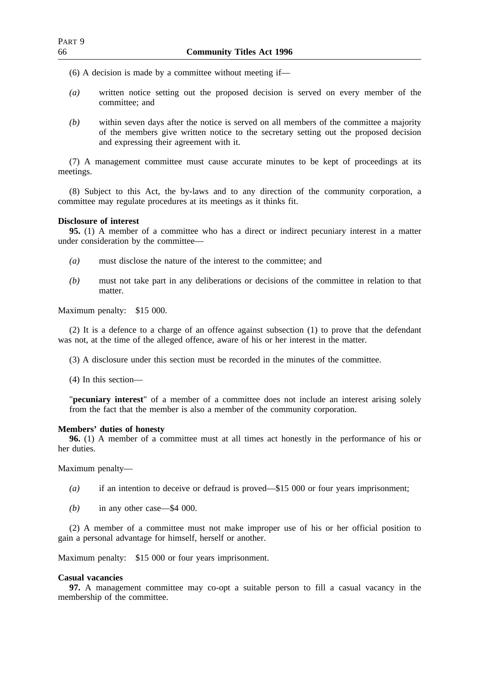(6) A decision is made by a committee without meeting if—

- *(a)* written notice setting out the proposed decision is served on every member of the committee; and
- *(b)* within seven days after the notice is served on all members of the committee a majority of the members give written notice to the secretary setting out the proposed decision and expressing their agreement with it.

(7) A management committee must cause accurate minutes to be kept of proceedings at its meetings.

(8) Subject to this Act, the by-laws and to any direction of the community corporation, a committee may regulate procedures at its meetings as it thinks fit.

### **Disclosure of interest**

**95.** (1) A member of a committee who has a direct or indirect pecuniary interest in a matter under consideration by the committee—

- *(a)* must disclose the nature of the interest to the committee; and
- *(b)* must not take part in any deliberations or decisions of the committee in relation to that matter.

Maximum penalty: \$15 000.

(2) It is a defence to a charge of an offence against subsection (1) to prove that the defendant was not, at the time of the alleged offence, aware of his or her interest in the matter.

(3) A disclosure under this section must be recorded in the minutes of the committee.

(4) In this section—

"**pecuniary interest**" of a member of a committee does not include an interest arising solely from the fact that the member is also a member of the community corporation.

## **Members' duties of honesty**

**96.** (1) A member of a committee must at all times act honestly in the performance of his or her duties.

Maximum penalty—

- *(a)* if an intention to deceive or defraud is proved—\$15 000 or four years imprisonment;
- *(b)* in any other case—\$4 000.

(2) A member of a committee must not make improper use of his or her official position to gain a personal advantage for himself, herself or another.

Maximum penalty: \$15 000 or four years imprisonment.

### **Casual vacancies**

**97.** A management committee may co-opt a suitable person to fill a casual vacancy in the membership of the committee.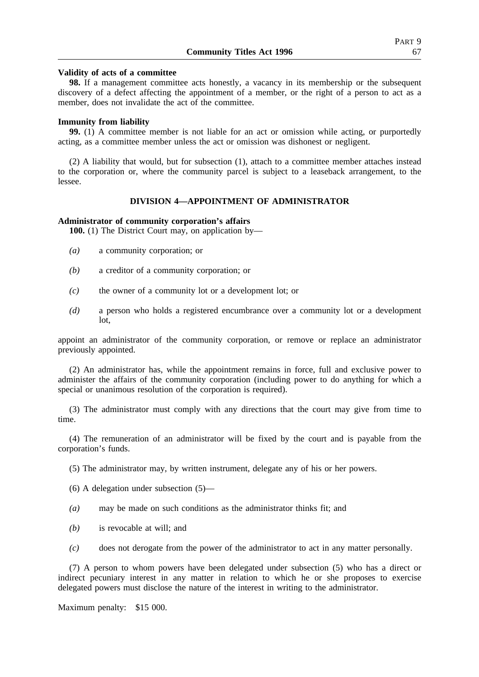**98.** If a management committee acts honestly, a vacancy in its membership or the subsequent discovery of a defect affecting the appointment of a member, or the right of a person to act as a member, does not invalidate the act of the committee.

### **Immunity from liability**

**99.** (1) A committee member is not liable for an act or omission while acting, or purportedly acting, as a committee member unless the act or omission was dishonest or negligent.

(2) A liability that would, but for subsection (1), attach to a committee member attaches instead to the corporation or, where the community parcel is subject to a leaseback arrangement, to the lessee.

## **DIVISION 4—APPOINTMENT OF ADMINISTRATOR**

### **Administrator of community corporation's affairs**

100. (1) The District Court may, on application by—

- *(a)* a community corporation; or
- *(b)* a creditor of a community corporation; or
- *(c)* the owner of a community lot or a development lot; or
- *(d)* a person who holds a registered encumbrance over a community lot or a development lot,

appoint an administrator of the community corporation, or remove or replace an administrator previously appointed.

(2) An administrator has, while the appointment remains in force, full and exclusive power to administer the affairs of the community corporation (including power to do anything for which a special or unanimous resolution of the corporation is required).

(3) The administrator must comply with any directions that the court may give from time to time.

(4) The remuneration of an administrator will be fixed by the court and is payable from the corporation's funds.

(5) The administrator may, by written instrument, delegate any of his or her powers.

(6) A delegation under subsection (5)—

- *(a)* may be made on such conditions as the administrator thinks fit; and
- *(b)* is revocable at will; and
- *(c)* does not derogate from the power of the administrator to act in any matter personally.

(7) A person to whom powers have been delegated under subsection (5) who has a direct or indirect pecuniary interest in any matter in relation to which he or she proposes to exercise delegated powers must disclose the nature of the interest in writing to the administrator.

Maximum penalty: \$15 000.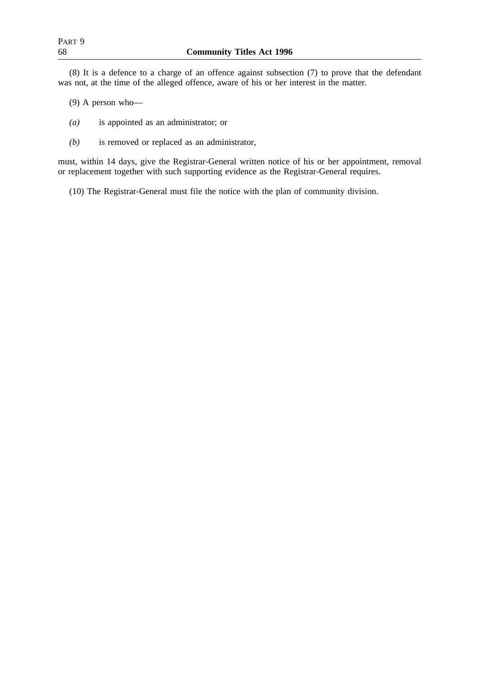(8) It is a defence to a charge of an offence against subsection (7) to prove that the defendant was not, at the time of the alleged offence, aware of his or her interest in the matter.

- (9) A person who—
- *(a)* is appointed as an administrator; or
- *(b)* is removed or replaced as an administrator,

must, within 14 days, give the Registrar-General written notice of his or her appointment, removal or replacement together with such supporting evidence as the Registrar-General requires.

(10) The Registrar-General must file the notice with the plan of community division.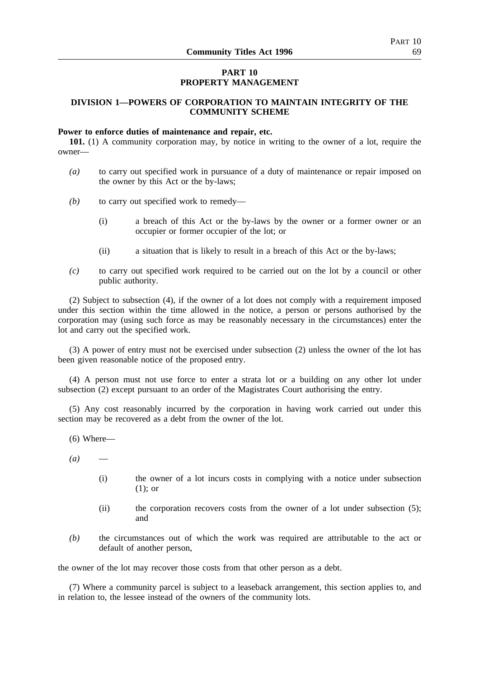## **PART 10 PROPERTY MANAGEMENT**

# **DIVISION 1—POWERS OF CORPORATION TO MAINTAIN INTEGRITY OF THE COMMUNITY SCHEME**

## **Power to enforce duties of maintenance and repair, etc.**

**101.** (1) A community corporation may, by notice in writing to the owner of a lot, require the owner—

- *(a)* to carry out specified work in pursuance of a duty of maintenance or repair imposed on the owner by this Act or the by-laws;
- *(b)* to carry out specified work to remedy—
	- (i) a breach of this Act or the by-laws by the owner or a former owner or an occupier or former occupier of the lot; or
	- (ii) a situation that is likely to result in a breach of this Act or the by-laws;
- *(c)* to carry out specified work required to be carried out on the lot by a council or other public authority.

(2) Subject to subsection (4), if the owner of a lot does not comply with a requirement imposed under this section within the time allowed in the notice, a person or persons authorised by the corporation may (using such force as may be reasonably necessary in the circumstances) enter the lot and carry out the specified work.

(3) A power of entry must not be exercised under subsection (2) unless the owner of the lot has been given reasonable notice of the proposed entry.

(4) A person must not use force to enter a strata lot or a building on any other lot under subsection (2) except pursuant to an order of the Magistrates Court authorising the entry.

(5) Any cost reasonably incurred by the corporation in having work carried out under this section may be recovered as a debt from the owner of the lot.

- (6) Where—
- $(a)$ 
	- (i) the owner of a lot incurs costs in complying with a notice under subsection (1); or
	- (ii) the corporation recovers costs from the owner of a lot under subsection (5); and
- *(b)* the circumstances out of which the work was required are attributable to the act or default of another person,

the owner of the lot may recover those costs from that other person as a debt.

(7) Where a community parcel is subject to a leaseback arrangement, this section applies to, and in relation to, the lessee instead of the owners of the community lots.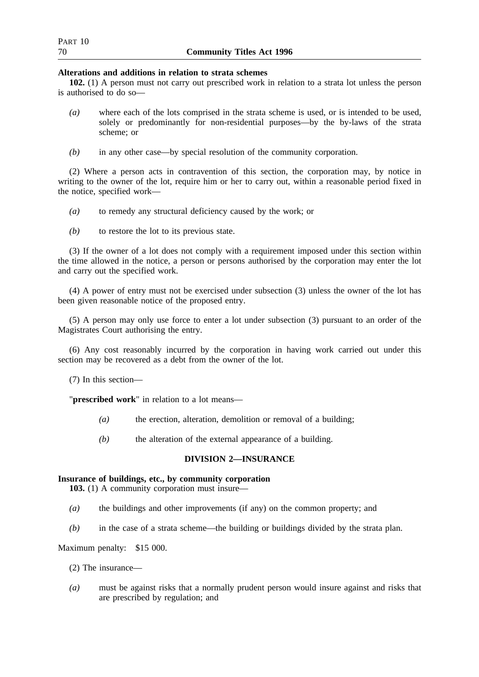## **Alterations and additions in relation to strata schemes**

**102.** (1) A person must not carry out prescribed work in relation to a strata lot unless the person is authorised to do so—

- *(a)* where each of the lots comprised in the strata scheme is used, or is intended to be used, solely or predominantly for non-residential purposes—by the by-laws of the strata scheme; or
- *(b)* in any other case—by special resolution of the community corporation.

(2) Where a person acts in contravention of this section, the corporation may, by notice in writing to the owner of the lot, require him or her to carry out, within a reasonable period fixed in the notice, specified work—

- *(a)* to remedy any structural deficiency caused by the work; or
- *(b)* to restore the lot to its previous state.

(3) If the owner of a lot does not comply with a requirement imposed under this section within the time allowed in the notice, a person or persons authorised by the corporation may enter the lot and carry out the specified work.

(4) A power of entry must not be exercised under subsection (3) unless the owner of the lot has been given reasonable notice of the proposed entry.

(5) A person may only use force to enter a lot under subsection (3) pursuant to an order of the Magistrates Court authorising the entry.

(6) Any cost reasonably incurred by the corporation in having work carried out under this section may be recovered as a debt from the owner of the lot.

(7) In this section—

"**prescribed work**" in relation to a lot means—

- *(a)* the erection, alteration, demolition or removal of a building;
- *(b)* the alteration of the external appearance of a building.

## **DIVISION 2—INSURANCE**

## **Insurance of buildings, etc., by community corporation**

**103.** (1) A community corporation must insure—

- *(a)* the buildings and other improvements (if any) on the common property; and
- *(b)* in the case of a strata scheme—the building or buildings divided by the strata plan.

## Maximum penalty: \$15 000.

- (2) The insurance—
- *(a)* must be against risks that a normally prudent person would insure against and risks that are prescribed by regulation; and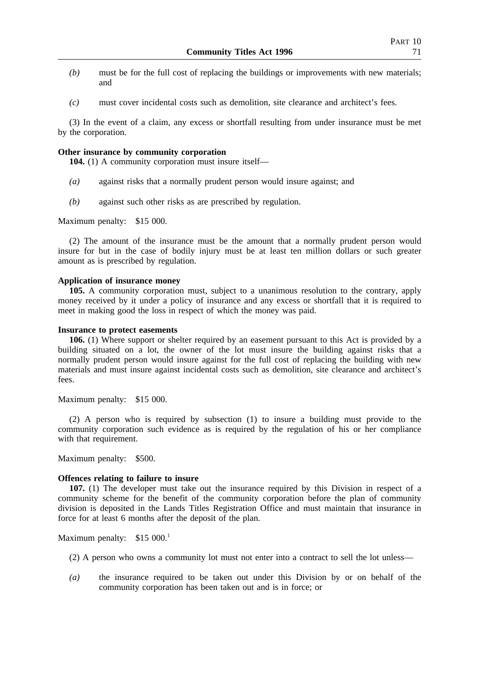- *(b)* must be for the full cost of replacing the buildings or improvements with new materials; and
- *(c)* must cover incidental costs such as demolition, site clearance and architect's fees.

(3) In the event of a claim, any excess or shortfall resulting from under insurance must be met by the corporation.

### **Other insurance by community corporation**

**104.** (1) A community corporation must insure itself—

- *(a)* against risks that a normally prudent person would insure against; and
- *(b)* against such other risks as are prescribed by regulation.

Maximum penalty: \$15 000.

(2) The amount of the insurance must be the amount that a normally prudent person would insure for but in the case of bodily injury must be at least ten million dollars or such greater amount as is prescribed by regulation.

## **Application of insurance money**

**105.** A community corporation must, subject to a unanimous resolution to the contrary, apply money received by it under a policy of insurance and any excess or shortfall that it is required to meet in making good the loss in respect of which the money was paid.

### **Insurance to protect easements**

**106.** (1) Where support or shelter required by an easement pursuant to this Act is provided by a building situated on a lot, the owner of the lot must insure the building against risks that a normally prudent person would insure against for the full cost of replacing the building with new materials and must insure against incidental costs such as demolition, site clearance and architect's fees.

Maximum penalty: \$15 000.

(2) A person who is required by subsection (1) to insure a building must provide to the community corporation such evidence as is required by the regulation of his or her compliance with that requirement.

Maximum penalty: \$500.

### **Offences relating to failure to insure**

**107.** (1) The developer must take out the insurance required by this Division in respect of a community scheme for the benefit of the community corporation before the plan of community division is deposited in the Lands Titles Registration Office and must maintain that insurance in force for at least 6 months after the deposit of the plan.

Maximum penalty:  $$15\ 000$ <sup>1</sup>

- (2) A person who owns a community lot must not enter into a contract to sell the lot unless—
- *(a)* the insurance required to be taken out under this Division by or on behalf of the community corporation has been taken out and is in force; or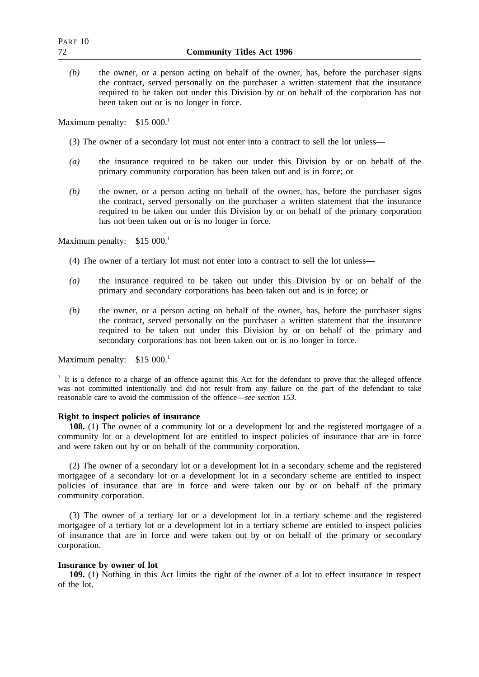*(b)* the owner, or a person acting on behalf of the owner, has, before the purchaser signs the contract, served personally on the purchaser a written statement that the insurance required to be taken out under this Division by or on behalf of the corporation has not been taken out or is no longer in force.

Maximum penalty:  $$15,000$ <sup>1</sup>

- (3) The owner of a secondary lot must not enter into a contract to sell the lot unless—
- *(a)* the insurance required to be taken out under this Division by or on behalf of the primary community corporation has been taken out and is in force; or
- *(b)* the owner, or a person acting on behalf of the owner, has, before the purchaser signs the contract, served personally on the purchaser a written statement that the insurance required to be taken out under this Division by or on behalf of the primary corporation has not been taken out or is no longer in force.

Maximum penalty:  $$15\ 000$ <sup>1</sup>

- (4) The owner of a tertiary lot must not enter into a contract to sell the lot unless—
- *(a)* the insurance required to be taken out under this Division by or on behalf of the primary and secondary corporations has been taken out and is in force; or
- *(b)* the owner, or a person acting on behalf of the owner, has, before the purchaser signs the contract, served personally on the purchaser a written statement that the insurance required to be taken out under this Division by or on behalf of the primary and secondary corporations has not been taken out or is no longer in force.

Maximum penalty:  $$15\ 000$ <sup>1</sup>

 $1.$  It is a defence to a charge of an offence against this Act for the defendant to prove that the alleged offence was not committed intentionally and did not result from any failure on the part of the defendant to take reasonable care to avoid the commission of the offence—*see section 153*.

### **Right to inspect policies of insurance**

**108.** (1) The owner of a community lot or a development lot and the registered mortgagee of a community lot or a development lot are entitled to inspect policies of insurance that are in force and were taken out by or on behalf of the community corporation.

(2) The owner of a secondary lot or a development lot in a secondary scheme and the registered mortgagee of a secondary lot or a development lot in a secondary scheme are entitled to inspect policies of insurance that are in force and were taken out by or on behalf of the primary community corporation.

(3) The owner of a tertiary lot or a development lot in a tertiary scheme and the registered mortgagee of a tertiary lot or a development lot in a tertiary scheme are entitled to inspect policies of insurance that are in force and were taken out by or on behalf of the primary or secondary corporation.

### **Insurance by owner of lot**

**109.** (1) Nothing in this Act limits the right of the owner of a lot to effect insurance in respect of the lot.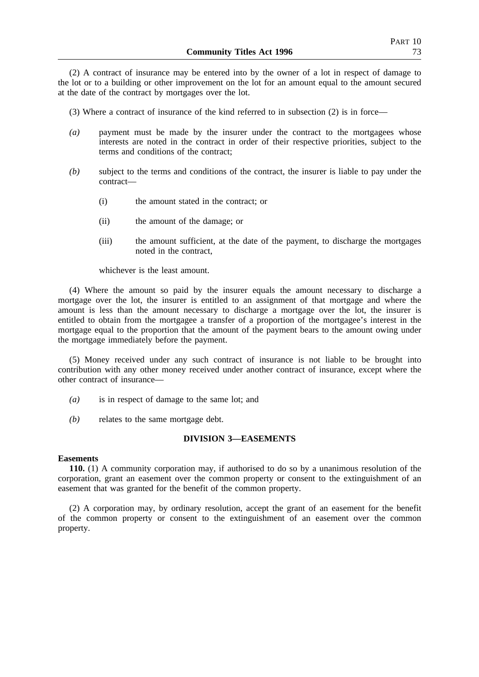(2) A contract of insurance may be entered into by the owner of a lot in respect of damage to the lot or to a building or other improvement on the lot for an amount equal to the amount secured at the date of the contract by mortgages over the lot.

- (3) Where a contract of insurance of the kind referred to in subsection (2) is in force—
- *(a)* payment must be made by the insurer under the contract to the mortgagees whose interests are noted in the contract in order of their respective priorities, subject to the terms and conditions of the contract;
- *(b)* subject to the terms and conditions of the contract, the insurer is liable to pay under the contract—
	- (i) the amount stated in the contract; or
	- (ii) the amount of the damage; or
	- (iii) the amount sufficient, at the date of the payment, to discharge the mortgages noted in the contract,

whichever is the least amount.

(4) Where the amount so paid by the insurer equals the amount necessary to discharge a mortgage over the lot, the insurer is entitled to an assignment of that mortgage and where the amount is less than the amount necessary to discharge a mortgage over the lot, the insurer is entitled to obtain from the mortgagee a transfer of a proportion of the mortgagee's interest in the mortgage equal to the proportion that the amount of the payment bears to the amount owing under the mortgage immediately before the payment.

(5) Money received under any such contract of insurance is not liable to be brought into contribution with any other money received under another contract of insurance, except where the other contract of insurance—

- *(a)* is in respect of damage to the same lot; and
- *(b)* relates to the same mortgage debt.

## **DIVISION 3—EASEMENTS**

#### **Easements**

**110.** (1) A community corporation may, if authorised to do so by a unanimous resolution of the corporation, grant an easement over the common property or consent to the extinguishment of an easement that was granted for the benefit of the common property.

(2) A corporation may, by ordinary resolution, accept the grant of an easement for the benefit of the common property or consent to the extinguishment of an easement over the common property.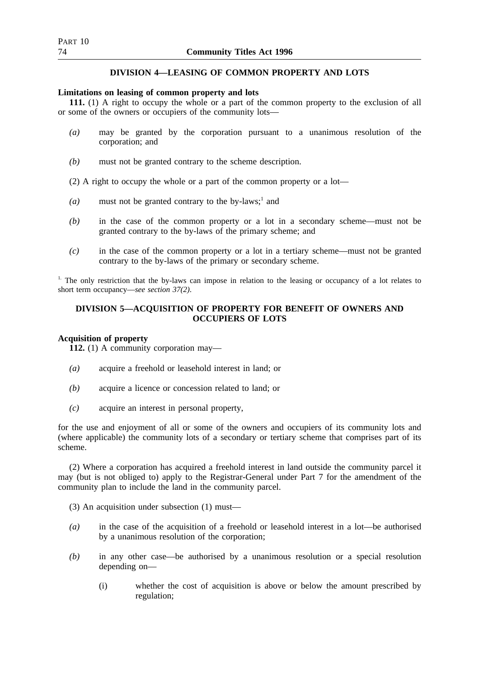## **DIVISION 4—LEASING OF COMMON PROPERTY AND LOTS**

## **Limitations on leasing of common property and lots**

**111.** (1) A right to occupy the whole or a part of the common property to the exclusion of all or some of the owners or occupiers of the community lots—

- *(a)* may be granted by the corporation pursuant to a unanimous resolution of the corporation; and
- *(b)* must not be granted contrary to the scheme description.

(2) A right to occupy the whole or a part of the common property or a lot—

- (a) must not be granted contrary to the by-laws;<sup>1</sup> and
- *(b)* in the case of the common property or a lot in a secondary scheme—must not be granted contrary to the by-laws of the primary scheme; and
- *(c)* in the case of the common property or a lot in a tertiary scheme—must not be granted contrary to the by-laws of the primary or secondary scheme.

<sup>1.</sup> The only restriction that the by-laws can impose in relation to the leasing or occupancy of a lot relates to short term occupancy—*see section 37(2)*.

## **DIVISION 5—ACQUISITION OF PROPERTY FOR BENEFIT OF OWNERS AND OCCUPIERS OF LOTS**

# **Acquisition of property**

**112.** (1) A community corporation may—

- *(a)* acquire a freehold or leasehold interest in land; or
- *(b)* acquire a licence or concession related to land; or
- *(c)* acquire an interest in personal property,

for the use and enjoyment of all or some of the owners and occupiers of its community lots and (where applicable) the community lots of a secondary or tertiary scheme that comprises part of its scheme.

(2) Where a corporation has acquired a freehold interest in land outside the community parcel it may (but is not obliged to) apply to the Registrar-General under Part 7 for the amendment of the community plan to include the land in the community parcel.

(3) An acquisition under subsection (1) must—

- *(a)* in the case of the acquisition of a freehold or leasehold interest in a lot—be authorised by a unanimous resolution of the corporation;
- *(b)* in any other case—be authorised by a unanimous resolution or a special resolution depending on—
	- (i) whether the cost of acquisition is above or below the amount prescribed by regulation;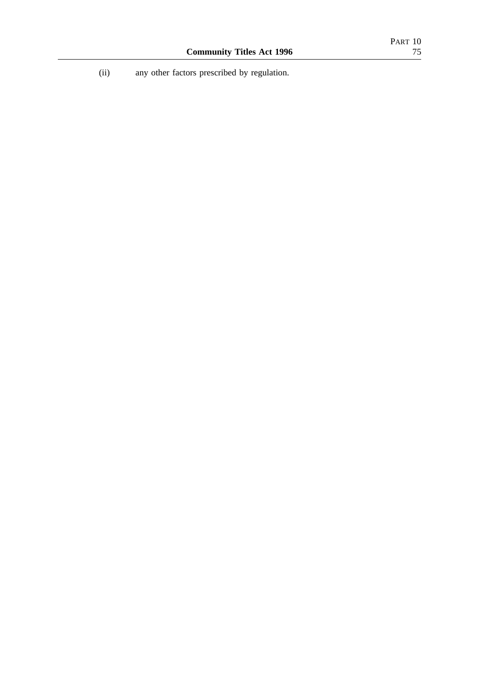(ii) any other factors prescribed by regulation.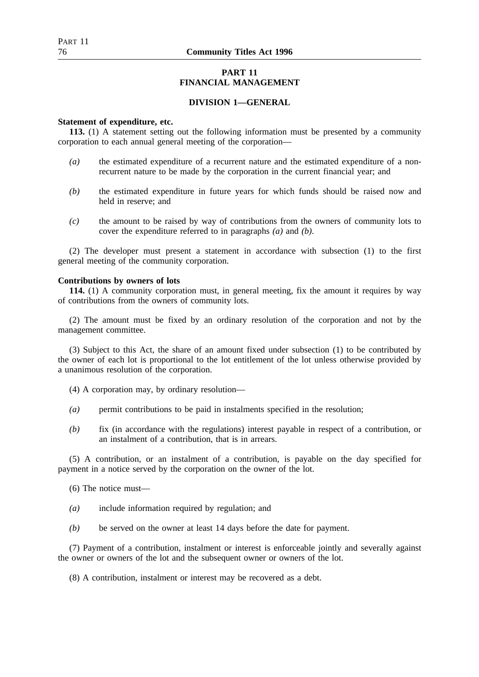## **PART 11 FINANCIAL MANAGEMENT**

## **DIVISION 1—GENERAL**

### **Statement of expenditure, etc.**

**113.** (1) A statement setting out the following information must be presented by a community corporation to each annual general meeting of the corporation—

- *(a)* the estimated expenditure of a recurrent nature and the estimated expenditure of a nonrecurrent nature to be made by the corporation in the current financial year; and
- *(b)* the estimated expenditure in future years for which funds should be raised now and held in reserve; and
- *(c)* the amount to be raised by way of contributions from the owners of community lots to cover the expenditure referred to in paragraphs *(a)* and *(b)*.

(2) The developer must present a statement in accordance with subsection (1) to the first general meeting of the community corporation.

## **Contributions by owners of lots**

**114.** (1) A community corporation must, in general meeting, fix the amount it requires by way of contributions from the owners of community lots.

(2) The amount must be fixed by an ordinary resolution of the corporation and not by the management committee.

(3) Subject to this Act, the share of an amount fixed under subsection (1) to be contributed by the owner of each lot is proportional to the lot entitlement of the lot unless otherwise provided by a unanimous resolution of the corporation.

- (4) A corporation may, by ordinary resolution—
- *(a)* permit contributions to be paid in instalments specified in the resolution;
- *(b)* fix (in accordance with the regulations) interest payable in respect of a contribution, or an instalment of a contribution, that is in arrears.

(5) A contribution, or an instalment of a contribution, is payable on the day specified for payment in a notice served by the corporation on the owner of the lot.

(6) The notice must—

- *(a)* include information required by regulation; and
- *(b)* be served on the owner at least 14 days before the date for payment.

(7) Payment of a contribution, instalment or interest is enforceable jointly and severally against the owner or owners of the lot and the subsequent owner or owners of the lot.

(8) A contribution, instalment or interest may be recovered as a debt.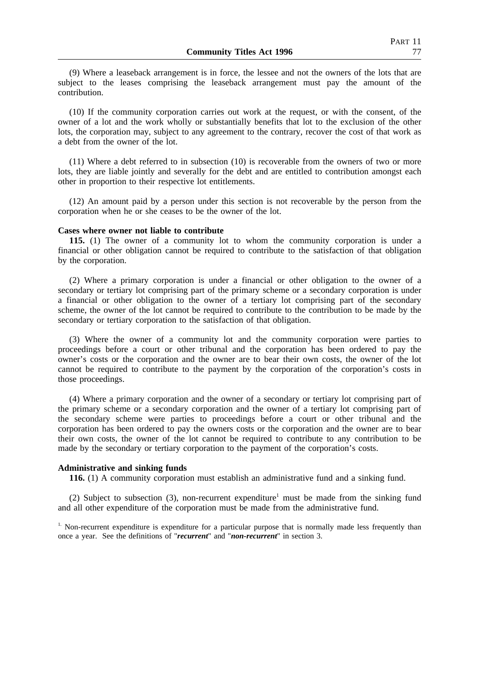(9) Where a leaseback arrangement is in force, the lessee and not the owners of the lots that are subject to the leases comprising the leaseback arrangement must pay the amount of the contribution.

(10) If the community corporation carries out work at the request, or with the consent, of the owner of a lot and the work wholly or substantially benefits that lot to the exclusion of the other lots, the corporation may, subject to any agreement to the contrary, recover the cost of that work as a debt from the owner of the lot.

(11) Where a debt referred to in subsection (10) is recoverable from the owners of two or more lots, they are liable jointly and severally for the debt and are entitled to contribution amongst each other in proportion to their respective lot entitlements.

(12) An amount paid by a person under this section is not recoverable by the person from the corporation when he or she ceases to be the owner of the lot.

#### **Cases where owner not liable to contribute**

**115.** (1) The owner of a community lot to whom the community corporation is under a financial or other obligation cannot be required to contribute to the satisfaction of that obligation by the corporation.

(2) Where a primary corporation is under a financial or other obligation to the owner of a secondary or tertiary lot comprising part of the primary scheme or a secondary corporation is under a financial or other obligation to the owner of a tertiary lot comprising part of the secondary scheme, the owner of the lot cannot be required to contribute to the contribution to be made by the secondary or tertiary corporation to the satisfaction of that obligation.

(3) Where the owner of a community lot and the community corporation were parties to proceedings before a court or other tribunal and the corporation has been ordered to pay the owner's costs or the corporation and the owner are to bear their own costs, the owner of the lot cannot be required to contribute to the payment by the corporation of the corporation's costs in those proceedings.

(4) Where a primary corporation and the owner of a secondary or tertiary lot comprising part of the primary scheme or a secondary corporation and the owner of a tertiary lot comprising part of the secondary scheme were parties to proceedings before a court or other tribunal and the corporation has been ordered to pay the owners costs or the corporation and the owner are to bear their own costs, the owner of the lot cannot be required to contribute to any contribution to be made by the secondary or tertiary corporation to the payment of the corporation's costs.

#### **Administrative and sinking funds**

**116.** (1) A community corporation must establish an administrative fund and a sinking fund.

(2) Subject to subsection (3), non-recurrent expenditure<sup>1</sup> must be made from the sinking fund and all other expenditure of the corporation must be made from the administrative fund.

<sup>1.</sup> Non-recurrent expenditure is expenditure for a particular purpose that is normally made less frequently than once a year. See the definitions of "*recurrent*" and "*non-recurrent*" in section 3.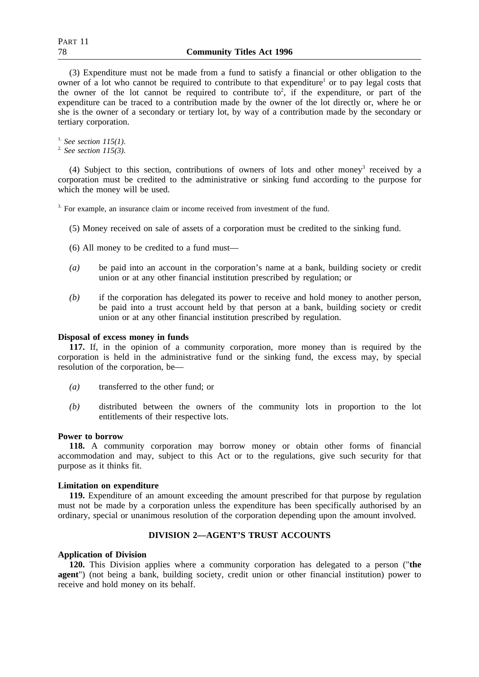(3) Expenditure must not be made from a fund to satisfy a financial or other obligation to the owner of a lot who cannot be required to contribute to that expenditure<sup>1</sup> or to pay legal costs that the owner of the lot cannot be required to contribute to<sup>2</sup>, if the expenditure, or part of the expenditure can be traced to a contribution made by the owner of the lot directly or, where he or she is the owner of a secondary or tertiary lot, by way of a contribution made by the secondary or tertiary corporation.

1. *See section 115(1)*.

2. *See section 115(3)*.

(4) Subject to this section, contributions of owners of lots and other money3 received by a corporation must be credited to the administrative or sinking fund according to the purpose for which the money will be used.

<sup>3.</sup> For example, an insurance claim or income received from investment of the fund.

- (5) Money received on sale of assets of a corporation must be credited to the sinking fund.
- (6) All money to be credited to a fund must—
- *(a)* be paid into an account in the corporation's name at a bank, building society or credit union or at any other financial institution prescribed by regulation; or
- *(b)* if the corporation has delegated its power to receive and hold money to another person, be paid into a trust account held by that person at a bank, building society or credit union or at any other financial institution prescribed by regulation.

## **Disposal of excess money in funds**

**117.** If, in the opinion of a community corporation, more money than is required by the corporation is held in the administrative fund or the sinking fund, the excess may, by special resolution of the corporation, be—

- *(a)* transferred to the other fund; or
- *(b)* distributed between the owners of the community lots in proportion to the lot entitlements of their respective lots.

## **Power to borrow**

**118.** A community corporation may borrow money or obtain other forms of financial accommodation and may, subject to this Act or to the regulations, give such security for that purpose as it thinks fit.

## **Limitation on expenditure**

**119.** Expenditure of an amount exceeding the amount prescribed for that purpose by regulation must not be made by a corporation unless the expenditure has been specifically authorised by an ordinary, special or unanimous resolution of the corporation depending upon the amount involved.

# **DIVISION 2—AGENT'S TRUST ACCOUNTS**

## **Application of Division**

**120.** This Division applies where a community corporation has delegated to a person ("**the agent**") (not being a bank, building society, credit union or other financial institution) power to receive and hold money on its behalf.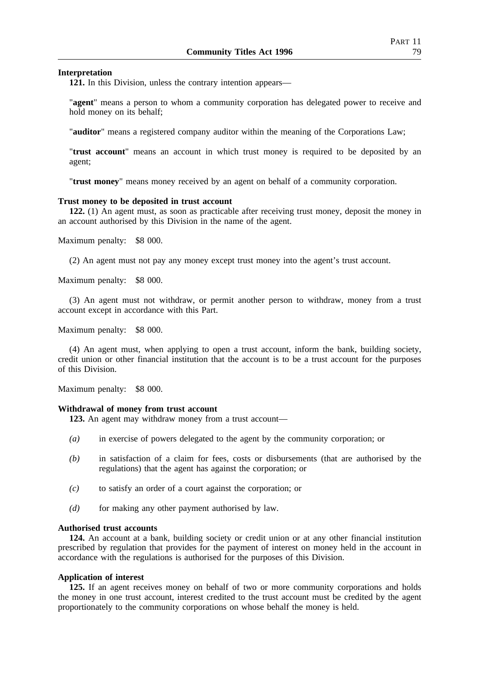### **Interpretation**

**121.** In this Division, unless the contrary intention appears—

"**agent**" means a person to whom a community corporation has delegated power to receive and hold money on its behalf;

"**auditor**" means a registered company auditor within the meaning of the Corporations Law;

"**trust account**" means an account in which trust money is required to be deposited by an agent;

"**trust money**" means money received by an agent on behalf of a community corporation.

### **Trust money to be deposited in trust account**

**122.** (1) An agent must, as soon as practicable after receiving trust money, deposit the money in an account authorised by this Division in the name of the agent.

Maximum penalty: \$8 000.

(2) An agent must not pay any money except trust money into the agent's trust account.

Maximum penalty: \$8 000.

(3) An agent must not withdraw, or permit another person to withdraw, money from a trust account except in accordance with this Part.

Maximum penalty: \$8 000.

(4) An agent must, when applying to open a trust account, inform the bank, building society, credit union or other financial institution that the account is to be a trust account for the purposes of this Division.

Maximum penalty: \$8 000.

## **Withdrawal of money from trust account**

**123.** An agent may withdraw money from a trust account—

- *(a)* in exercise of powers delegated to the agent by the community corporation; or
- *(b)* in satisfaction of a claim for fees, costs or disbursements (that are authorised by the regulations) that the agent has against the corporation; or
- *(c)* to satisfy an order of a court against the corporation; or
- *(d)* for making any other payment authorised by law.

### **Authorised trust accounts**

**124.** An account at a bank, building society or credit union or at any other financial institution prescribed by regulation that provides for the payment of interest on money held in the account in accordance with the regulations is authorised for the purposes of this Division.

### **Application of interest**

**125.** If an agent receives money on behalf of two or more community corporations and holds the money in one trust account, interest credited to the trust account must be credited by the agent proportionately to the community corporations on whose behalf the money is held.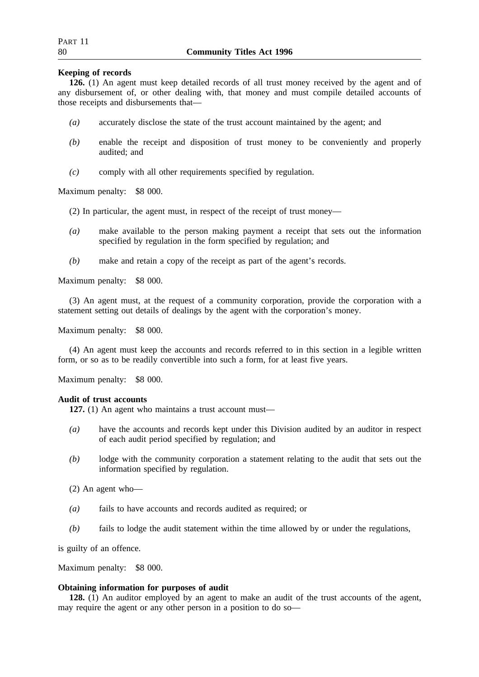## **Keeping of records**

**126.** (1) An agent must keep detailed records of all trust money received by the agent and of any disbursement of, or other dealing with, that money and must compile detailed accounts of those receipts and disbursements that—

- *(a)* accurately disclose the state of the trust account maintained by the agent; and
- *(b)* enable the receipt and disposition of trust money to be conveniently and properly audited; and
- *(c)* comply with all other requirements specified by regulation.

Maximum penalty: \$8 000.

(2) In particular, the agent must, in respect of the receipt of trust money—

- *(a)* make available to the person making payment a receipt that sets out the information specified by regulation in the form specified by regulation; and
- *(b)* make and retain a copy of the receipt as part of the agent's records.

Maximum penalty: \$8 000.

(3) An agent must, at the request of a community corporation, provide the corporation with a statement setting out details of dealings by the agent with the corporation's money.

Maximum penalty: \$8 000.

(4) An agent must keep the accounts and records referred to in this section in a legible written form, or so as to be readily convertible into such a form, for at least five years.

Maximum penalty: \$8 000.

## **Audit of trust accounts**

**127.** (1) An agent who maintains a trust account must—

- *(a)* have the accounts and records kept under this Division audited by an auditor in respect of each audit period specified by regulation; and
- *(b)* lodge with the community corporation a statement relating to the audit that sets out the information specified by regulation.
- (2) An agent who—
- *(a)* fails to have accounts and records audited as required; or
- *(b)* fails to lodge the audit statement within the time allowed by or under the regulations,

is guilty of an offence.

Maximum penalty: \$8 000.

## **Obtaining information for purposes of audit**

**128.** (1) An auditor employed by an agent to make an audit of the trust accounts of the agent, may require the agent or any other person in a position to do so—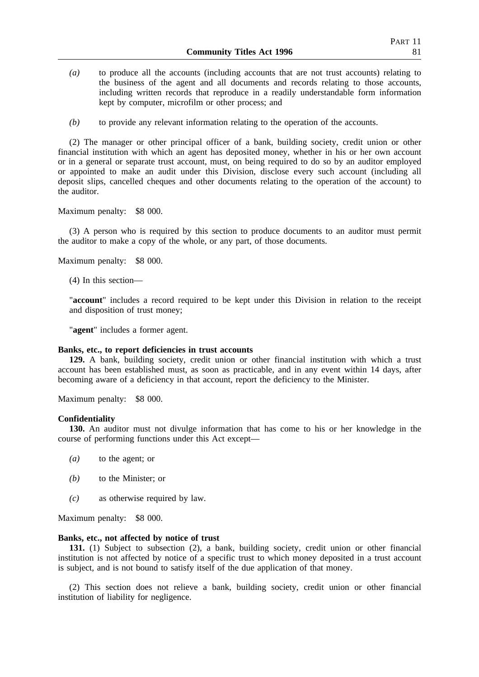- *(a)* to produce all the accounts (including accounts that are not trust accounts) relating to the business of the agent and all documents and records relating to those accounts, including written records that reproduce in a readily understandable form information kept by computer, microfilm or other process; and
- *(b)* to provide any relevant information relating to the operation of the accounts.

(2) The manager or other principal officer of a bank, building society, credit union or other financial institution with which an agent has deposited money, whether in his or her own account or in a general or separate trust account, must, on being required to do so by an auditor employed or appointed to make an audit under this Division, disclose every such account (including all deposit slips, cancelled cheques and other documents relating to the operation of the account) to the auditor.

Maximum penalty: \$8 000.

(3) A person who is required by this section to produce documents to an auditor must permit the auditor to make a copy of the whole, or any part, of those documents.

Maximum penalty: \$8 000.

(4) In this section—

"**account**" includes a record required to be kept under this Division in relation to the receipt and disposition of trust money;

"**agent**" includes a former agent.

### **Banks, etc., to report deficiencies in trust accounts**

**129.** A bank, building society, credit union or other financial institution with which a trust account has been established must, as soon as practicable, and in any event within 14 days, after becoming aware of a deficiency in that account, report the deficiency to the Minister.

Maximum penalty: \$8 000.

### **Confidentiality**

**130.** An auditor must not divulge information that has come to his or her knowledge in the course of performing functions under this Act except—

- *(a)* to the agent; or
- *(b)* to the Minister; or
- *(c)* as otherwise required by law.

Maximum penalty: \$8 000.

### **Banks, etc., not affected by notice of trust**

**131.** (1) Subject to subsection (2), a bank, building society, credit union or other financial institution is not affected by notice of a specific trust to which money deposited in a trust account is subject, and is not bound to satisfy itself of the due application of that money.

(2) This section does not relieve a bank, building society, credit union or other financial institution of liability for negligence.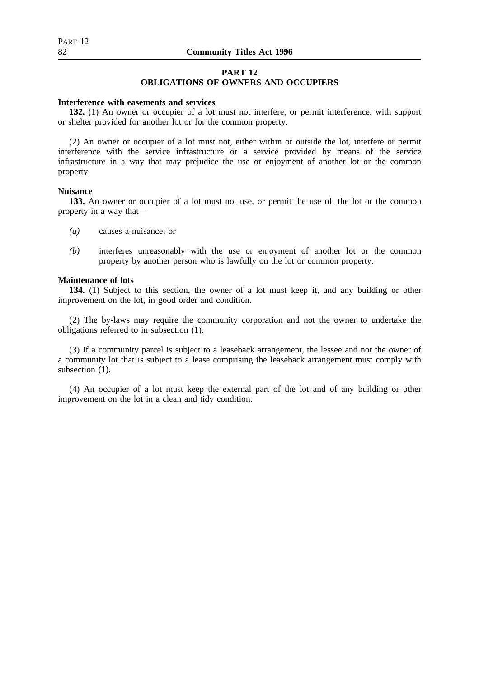# **PART 12**

## **OBLIGATIONS OF OWNERS AND OCCUPIERS**

### **Interference with easements and services**

**132.** (1) An owner or occupier of a lot must not interfere, or permit interference, with support or shelter provided for another lot or for the common property.

(2) An owner or occupier of a lot must not, either within or outside the lot, interfere or permit interference with the service infrastructure or a service provided by means of the service infrastructure in a way that may prejudice the use or enjoyment of another lot or the common property.

### **Nuisance**

**133.** An owner or occupier of a lot must not use, or permit the use of, the lot or the common property in a way that—

- *(a)* causes a nuisance; or
- *(b)* interferes unreasonably with the use or enjoyment of another lot or the common property by another person who is lawfully on the lot or common property.

### **Maintenance of lots**

**134.** (1) Subject to this section, the owner of a lot must keep it, and any building or other improvement on the lot, in good order and condition.

(2) The by-laws may require the community corporation and not the owner to undertake the obligations referred to in subsection (1).

(3) If a community parcel is subject to a leaseback arrangement, the lessee and not the owner of a community lot that is subject to a lease comprising the leaseback arrangement must comply with subsection  $(1)$ .

(4) An occupier of a lot must keep the external part of the lot and of any building or other improvement on the lot in a clean and tidy condition.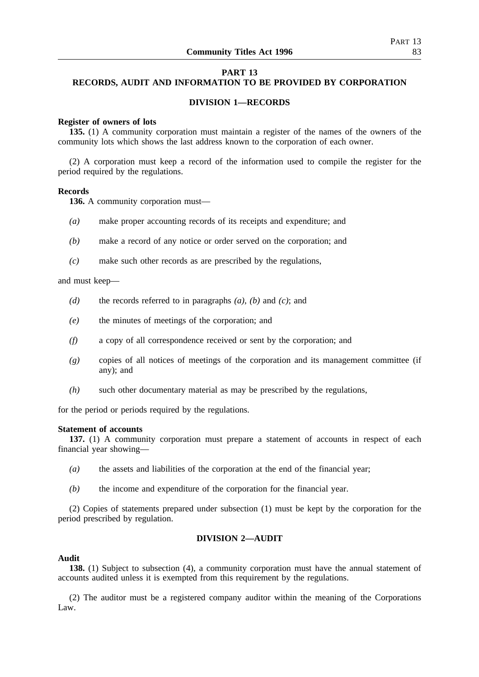## **PART 13**

## **RECORDS, AUDIT AND INFORMATION TO BE PROVIDED BY CORPORATION**

## **DIVISION 1—RECORDS**

### **Register of owners of lots**

**135.** (1) A community corporation must maintain a register of the names of the owners of the community lots which shows the last address known to the corporation of each owner.

(2) A corporation must keep a record of the information used to compile the register for the period required by the regulations.

### **Records**

**136.** A community corporation must—

- *(a)* make proper accounting records of its receipts and expenditure; and
- *(b)* make a record of any notice or order served on the corporation; and
- *(c)* make such other records as are prescribed by the regulations,

### and must keep—

- *(d)* the records referred to in paragraphs *(a)*, *(b)* and *(c)*; and
- *(e)* the minutes of meetings of the corporation; and
- *(f)* a copy of all correspondence received or sent by the corporation; and
- *(g)* copies of all notices of meetings of the corporation and its management committee (if any); and
- *(h)* such other documentary material as may be prescribed by the regulations,

for the period or periods required by the regulations.

### **Statement of accounts**

**137.** (1) A community corporation must prepare a statement of accounts in respect of each financial year showing—

- *(a)* the assets and liabilities of the corporation at the end of the financial year;
- *(b)* the income and expenditure of the corporation for the financial year.

(2) Copies of statements prepared under subsection (1) must be kept by the corporation for the period prescribed by regulation.

### **DIVISION 2—AUDIT**

## **Audit**

**138.** (1) Subject to subsection (4), a community corporation must have the annual statement of accounts audited unless it is exempted from this requirement by the regulations.

(2) The auditor must be a registered company auditor within the meaning of the Corporations Law.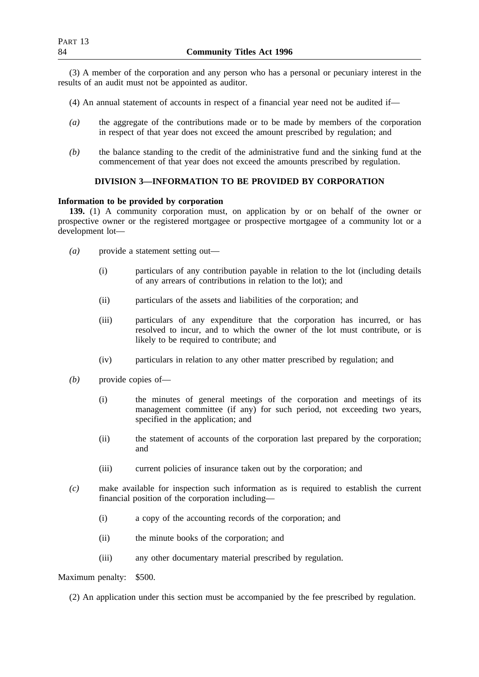(3) A member of the corporation and any person who has a personal or pecuniary interest in the results of an audit must not be appointed as auditor.

- (4) An annual statement of accounts in respect of a financial year need not be audited if—
- *(a)* the aggregate of the contributions made or to be made by members of the corporation in respect of that year does not exceed the amount prescribed by regulation; and
- *(b)* the balance standing to the credit of the administrative fund and the sinking fund at the commencement of that year does not exceed the amounts prescribed by regulation.

## **DIVISION 3—INFORMATION TO BE PROVIDED BY CORPORATION**

# **Information to be provided by corporation**

**139.** (1) A community corporation must, on application by or on behalf of the owner or prospective owner or the registered mortgagee or prospective mortgagee of a community lot or a development lot—

- *(a)* provide a statement setting out—
	- (i) particulars of any contribution payable in relation to the lot (including details of any arrears of contributions in relation to the lot); and
	- (ii) particulars of the assets and liabilities of the corporation; and
	- (iii) particulars of any expenditure that the corporation has incurred, or has resolved to incur, and to which the owner of the lot must contribute, or is likely to be required to contribute; and
	- (iv) particulars in relation to any other matter prescribed by regulation; and
- *(b)* provide copies of—
	- (i) the minutes of general meetings of the corporation and meetings of its management committee (if any) for such period, not exceeding two years, specified in the application; and
	- (ii) the statement of accounts of the corporation last prepared by the corporation; and
	- (iii) current policies of insurance taken out by the corporation; and
- *(c)* make available for inspection such information as is required to establish the current financial position of the corporation including—
	- (i) a copy of the accounting records of the corporation; and
	- (ii) the minute books of the corporation; and
	- (iii) any other documentary material prescribed by regulation.

Maximum penalty: \$500.

(2) An application under this section must be accompanied by the fee prescribed by regulation.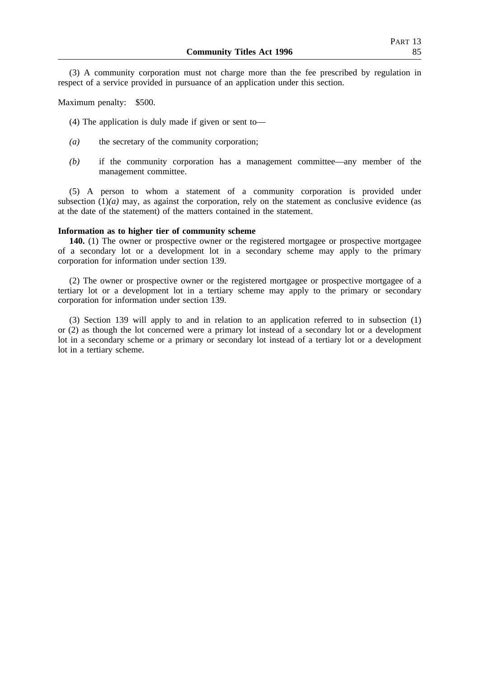(3) A community corporation must not charge more than the fee prescribed by regulation in respect of a service provided in pursuance of an application under this section.

Maximum penalty: \$500.

(4) The application is duly made if given or sent to—

- *(a)* the secretary of the community corporation;
- *(b)* if the community corporation has a management committee—any member of the management committee.

(5) A person to whom a statement of a community corporation is provided under subsection  $(1)(a)$  may, as against the corporation, rely on the statement as conclusive evidence (as at the date of the statement) of the matters contained in the statement.

### **Information as to higher tier of community scheme**

**140.** (1) The owner or prospective owner or the registered mortgagee or prospective mortgagee of a secondary lot or a development lot in a secondary scheme may apply to the primary corporation for information under section 139.

(2) The owner or prospective owner or the registered mortgagee or prospective mortgagee of a tertiary lot or a development lot in a tertiary scheme may apply to the primary or secondary corporation for information under section 139.

(3) Section 139 will apply to and in relation to an application referred to in subsection (1) or (2) as though the lot concerned were a primary lot instead of a secondary lot or a development lot in a secondary scheme or a primary or secondary lot instead of a tertiary lot or a development lot in a tertiary scheme.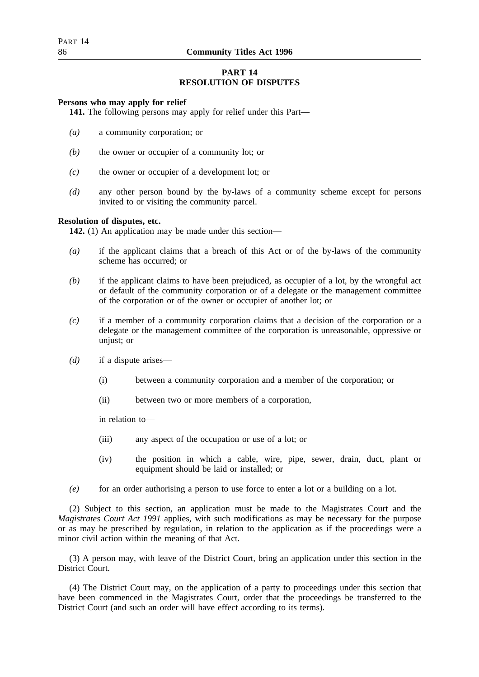# **PART 14 RESOLUTION OF DISPUTES**

## **Persons who may apply for relief**

**141.** The following persons may apply for relief under this Part—

- *(a)* a community corporation; or
- *(b)* the owner or occupier of a community lot; or
- *(c)* the owner or occupier of a development lot; or
- *(d)* any other person bound by the by-laws of a community scheme except for persons invited to or visiting the community parcel.

### **Resolution of disputes, etc.**

**142.** (1) An application may be made under this section—

- *(a)* if the applicant claims that a breach of this Act or of the by-laws of the community scheme has occurred; or
- *(b)* if the applicant claims to have been prejudiced, as occupier of a lot, by the wrongful act or default of the community corporation or of a delegate or the management committee of the corporation or of the owner or occupier of another lot; or
- *(c)* if a member of a community corporation claims that a decision of the corporation or a delegate or the management committee of the corporation is unreasonable, oppressive or unjust; or
- *(d)* if a dispute arises—
	- (i) between a community corporation and a member of the corporation; or
	- (ii) between two or more members of a corporation,

in relation to—

- (iii) any aspect of the occupation or use of a lot; or
- (iv) the position in which a cable, wire, pipe, sewer, drain, duct, plant or equipment should be laid or installed; or
- *(e)* for an order authorising a person to use force to enter a lot or a building on a lot.

(2) Subject to this section, an application must be made to the Magistrates Court and the *Magistrates Court Act 1991* applies, with such modifications as may be necessary for the purpose or as may be prescribed by regulation, in relation to the application as if the proceedings were a minor civil action within the meaning of that Act.

(3) A person may, with leave of the District Court, bring an application under this section in the District Court.

(4) The District Court may, on the application of a party to proceedings under this section that have been commenced in the Magistrates Court, order that the proceedings be transferred to the District Court (and such an order will have effect according to its terms).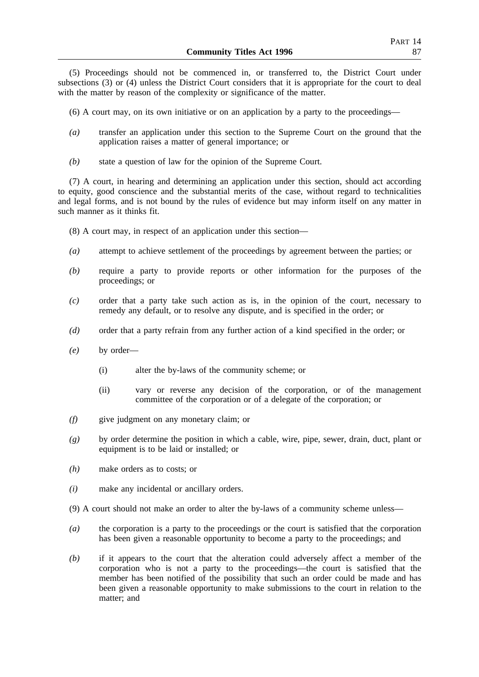(5) Proceedings should not be commenced in, or transferred to, the District Court under subsections (3) or (4) unless the District Court considers that it is appropriate for the court to deal with the matter by reason of the complexity or significance of the matter.

(6) A court may, on its own initiative or on an application by a party to the proceedings—

- *(a)* transfer an application under this section to the Supreme Court on the ground that the application raises a matter of general importance; or
- *(b)* state a question of law for the opinion of the Supreme Court.

(7) A court, in hearing and determining an application under this section, should act according to equity, good conscience and the substantial merits of the case, without regard to technicalities and legal forms, and is not bound by the rules of evidence but may inform itself on any matter in such manner as it thinks fit.

(8) A court may, in respect of an application under this section—

- *(a)* attempt to achieve settlement of the proceedings by agreement between the parties; or
- *(b)* require a party to provide reports or other information for the purposes of the proceedings; or
- *(c)* order that a party take such action as is, in the opinion of the court, necessary to remedy any default, or to resolve any dispute, and is specified in the order; or
- *(d)* order that a party refrain from any further action of a kind specified in the order; or
- *(e)* by order—
	- (i) alter the by-laws of the community scheme; or
	- (ii) vary or reverse any decision of the corporation, or of the management committee of the corporation or of a delegate of the corporation; or
- *(f)* give judgment on any monetary claim; or
- *(g)* by order determine the position in which a cable, wire, pipe, sewer, drain, duct, plant or equipment is to be laid or installed; or
- *(h)* make orders as to costs; or
- *(i)* make any incidental or ancillary orders.
- (9) A court should not make an order to alter the by-laws of a community scheme unless—
- *(a)* the corporation is a party to the proceedings or the court is satisfied that the corporation has been given a reasonable opportunity to become a party to the proceedings; and
- *(b)* if it appears to the court that the alteration could adversely affect a member of the corporation who is not a party to the proceedings—the court is satisfied that the member has been notified of the possibility that such an order could be made and has been given a reasonable opportunity to make submissions to the court in relation to the matter; and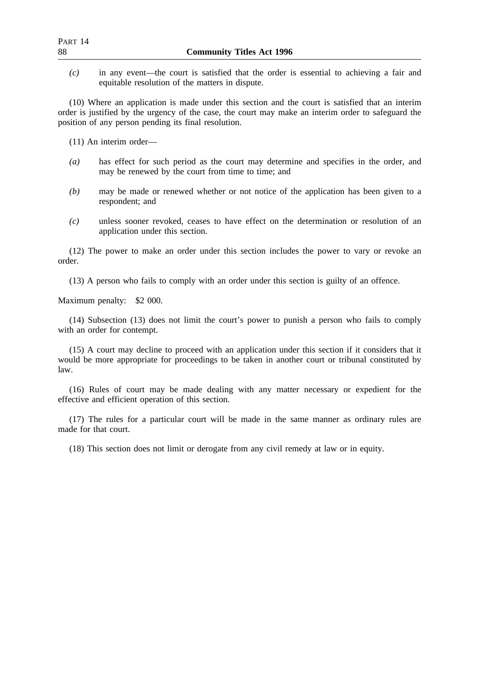*(c)* in any event—the court is satisfied that the order is essential to achieving a fair and equitable resolution of the matters in dispute.

(10) Where an application is made under this section and the court is satisfied that an interim order is justified by the urgency of the case, the court may make an interim order to safeguard the position of any person pending its final resolution.

(11) An interim order—

- *(a)* has effect for such period as the court may determine and specifies in the order, and may be renewed by the court from time to time; and
- *(b)* may be made or renewed whether or not notice of the application has been given to a respondent; and
- *(c)* unless sooner revoked, ceases to have effect on the determination or resolution of an application under this section.

(12) The power to make an order under this section includes the power to vary or revoke an order.

(13) A person who fails to comply with an order under this section is guilty of an offence.

Maximum penalty: \$2 000.

(14) Subsection (13) does not limit the court's power to punish a person who fails to comply with an order for contempt.

(15) A court may decline to proceed with an application under this section if it considers that it would be more appropriate for proceedings to be taken in another court or tribunal constituted by law.

(16) Rules of court may be made dealing with any matter necessary or expedient for the effective and efficient operation of this section.

(17) The rules for a particular court will be made in the same manner as ordinary rules are made for that court.

(18) This section does not limit or derogate from any civil remedy at law or in equity.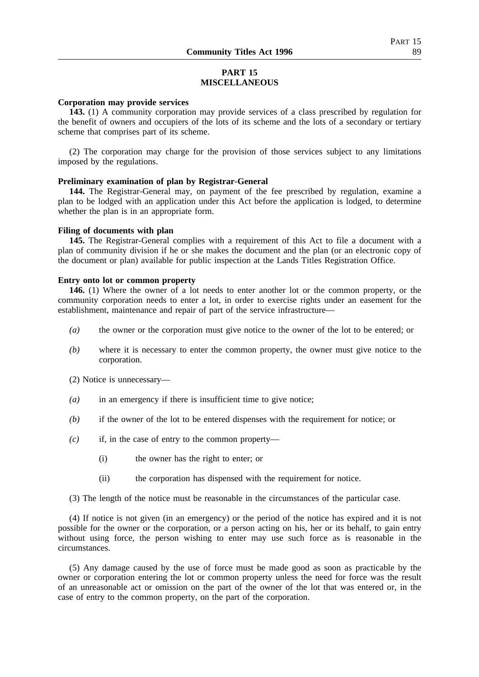# **PART 15 MISCELLANEOUS**

## **Corporation may provide services**

**143.** (1) A community corporation may provide services of a class prescribed by regulation for the benefit of owners and occupiers of the lots of its scheme and the lots of a secondary or tertiary scheme that comprises part of its scheme.

(2) The corporation may charge for the provision of those services subject to any limitations imposed by the regulations.

### **Preliminary examination of plan by Registrar-General**

**144.** The Registrar-General may, on payment of the fee prescribed by regulation, examine a plan to be lodged with an application under this Act before the application is lodged, to determine whether the plan is in an appropriate form.

### **Filing of documents with plan**

**145.** The Registrar-General complies with a requirement of this Act to file a document with a plan of community division if he or she makes the document and the plan (or an electronic copy of the document or plan) available for public inspection at the Lands Titles Registration Office.

## **Entry onto lot or common property**

**146.** (1) Where the owner of a lot needs to enter another lot or the common property, or the community corporation needs to enter a lot, in order to exercise rights under an easement for the establishment, maintenance and repair of part of the service infrastructure—

- *(a)* the owner or the corporation must give notice to the owner of the lot to be entered; or
- *(b)* where it is necessary to enter the common property, the owner must give notice to the corporation.
- (2) Notice is unnecessary—
- *(a)* in an emergency if there is insufficient time to give notice;
- *(b)* if the owner of the lot to be entered dispenses with the requirement for notice; or
- *(c)* if, in the case of entry to the common property—
	- (i) the owner has the right to enter; or
	- (ii) the corporation has dispensed with the requirement for notice.

(3) The length of the notice must be reasonable in the circumstances of the particular case.

(4) If notice is not given (in an emergency) or the period of the notice has expired and it is not possible for the owner or the corporation, or a person acting on his, her or its behalf, to gain entry without using force, the person wishing to enter may use such force as is reasonable in the circumstances.

(5) Any damage caused by the use of force must be made good as soon as practicable by the owner or corporation entering the lot or common property unless the need for force was the result of an unreasonable act or omission on the part of the owner of the lot that was entered or, in the case of entry to the common property, on the part of the corporation.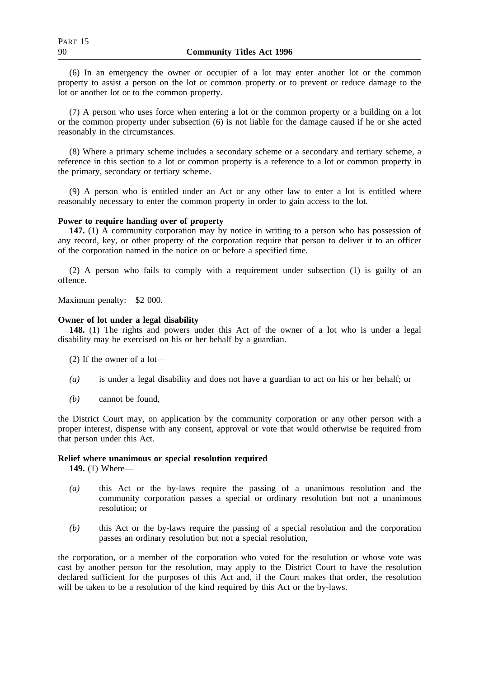(6) In an emergency the owner or occupier of a lot may enter another lot or the common property to assist a person on the lot or common property or to prevent or reduce damage to the lot or another lot or to the common property.

(7) A person who uses force when entering a lot or the common property or a building on a lot or the common property under subsection (6) is not liable for the damage caused if he or she acted reasonably in the circumstances.

(8) Where a primary scheme includes a secondary scheme or a secondary and tertiary scheme, a reference in this section to a lot or common property is a reference to a lot or common property in the primary, secondary or tertiary scheme.

(9) A person who is entitled under an Act or any other law to enter a lot is entitled where reasonably necessary to enter the common property in order to gain access to the lot.

### **Power to require handing over of property**

**147.** (1) A community corporation may by notice in writing to a person who has possession of any record, key, or other property of the corporation require that person to deliver it to an officer of the corporation named in the notice on or before a specified time.

(2) A person who fails to comply with a requirement under subsection (1) is guilty of an offence.

Maximum penalty: \$2 000.

### **Owner of lot under a legal disability**

**148.** (1) The rights and powers under this Act of the owner of a lot who is under a legal disability may be exercised on his or her behalf by a guardian.

- (2) If the owner of a lot—
- *(a)* is under a legal disability and does not have a guardian to act on his or her behalf; or
- *(b)* cannot be found,

the District Court may, on application by the community corporation or any other person with a proper interest, dispense with any consent, approval or vote that would otherwise be required from that person under this Act.

### **Relief where unanimous or special resolution required**

**149.** (1) Where—

- *(a)* this Act or the by-laws require the passing of a unanimous resolution and the community corporation passes a special or ordinary resolution but not a unanimous resolution; or
- *(b)* this Act or the by-laws require the passing of a special resolution and the corporation passes an ordinary resolution but not a special resolution,

the corporation, or a member of the corporation who voted for the resolution or whose vote was cast by another person for the resolution, may apply to the District Court to have the resolution declared sufficient for the purposes of this Act and, if the Court makes that order, the resolution will be taken to be a resolution of the kind required by this Act or the by-laws.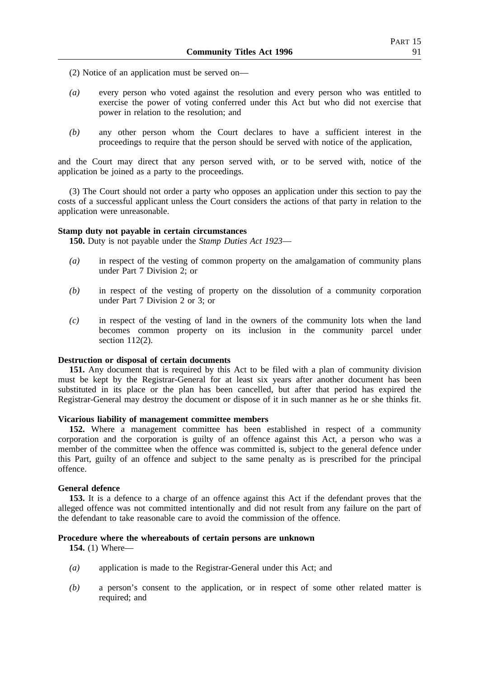(2) Notice of an application must be served on—

- *(a)* every person who voted against the resolution and every person who was entitled to exercise the power of voting conferred under this Act but who did not exercise that power in relation to the resolution; and
- *(b)* any other person whom the Court declares to have a sufficient interest in the proceedings to require that the person should be served with notice of the application,

and the Court may direct that any person served with, or to be served with, notice of the application be joined as a party to the proceedings.

(3) The Court should not order a party who opposes an application under this section to pay the costs of a successful applicant unless the Court considers the actions of that party in relation to the application were unreasonable.

### **Stamp duty not payable in certain circumstances**

**150.** Duty is not payable under the *Stamp Duties Act 1923*—

- *(a)* in respect of the vesting of common property on the amalgamation of community plans under Part 7 Division 2; or
- *(b)* in respect of the vesting of property on the dissolution of a community corporation under Part 7 Division 2 or 3; or
- *(c)* in respect of the vesting of land in the owners of the community lots when the land becomes common property on its inclusion in the community parcel under section 112(2).

## **Destruction or disposal of certain documents**

**151.** Any document that is required by this Act to be filed with a plan of community division must be kept by the Registrar-General for at least six years after another document has been substituted in its place or the plan has been cancelled, but after that period has expired the Registrar-General may destroy the document or dispose of it in such manner as he or she thinks fit.

### **Vicarious liability of management committee members**

**152.** Where a management committee has been established in respect of a community corporation and the corporation is guilty of an offence against this Act, a person who was a member of the committee when the offence was committed is, subject to the general defence under this Part, guilty of an offence and subject to the same penalty as is prescribed for the principal offence.

### **General defence**

**153.** It is a defence to a charge of an offence against this Act if the defendant proves that the alleged offence was not committed intentionally and did not result from any failure on the part of the defendant to take reasonable care to avoid the commission of the offence.

### **Procedure where the whereabouts of certain persons are unknown**

**154.** (1) Where—

- *(a)* application is made to the Registrar-General under this Act; and
- *(b)* a person's consent to the application, or in respect of some other related matter is required; and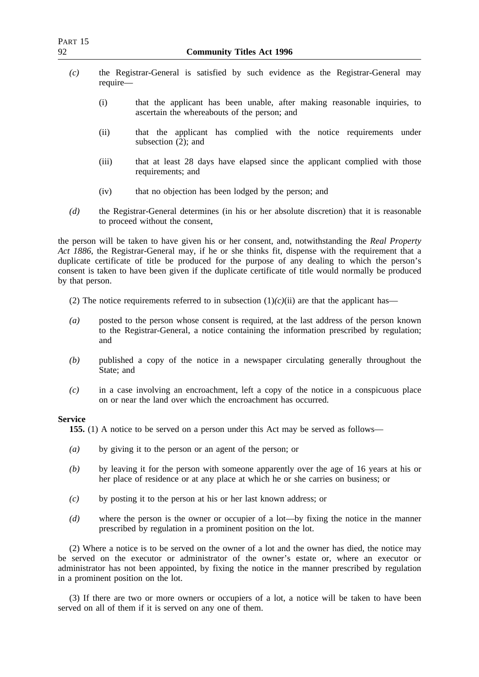- *(c)* the Registrar-General is satisfied by such evidence as the Registrar-General may require—
	- (i) that the applicant has been unable, after making reasonable inquiries, to ascertain the whereabouts of the person; and
	- (ii) that the applicant has complied with the notice requirements under subsection (2); and
	- (iii) that at least 28 days have elapsed since the applicant complied with those requirements; and
	- (iv) that no objection has been lodged by the person; and
- *(d)* the Registrar-General determines (in his or her absolute discretion) that it is reasonable to proceed without the consent,

the person will be taken to have given his or her consent, and, notwithstanding the *Real Property Act 1886*, the Registrar-General may, if he or she thinks fit, dispense with the requirement that a duplicate certificate of title be produced for the purpose of any dealing to which the person's consent is taken to have been given if the duplicate certificate of title would normally be produced by that person.

- (2) The notice requirements referred to in subsection  $(1)(c)(ii)$  are that the applicant has—
- *(a)* posted to the person whose consent is required, at the last address of the person known to the Registrar-General, a notice containing the information prescribed by regulation; and
- *(b)* published a copy of the notice in a newspaper circulating generally throughout the State; and
- *(c)* in a case involving an encroachment, left a copy of the notice in a conspicuous place on or near the land over which the encroachment has occurred.

### **Service**

**155.** (1) A notice to be served on a person under this Act may be served as follows—

- *(a)* by giving it to the person or an agent of the person; or
- *(b)* by leaving it for the person with someone apparently over the age of 16 years at his or her place of residence or at any place at which he or she carries on business; or
- *(c)* by posting it to the person at his or her last known address; or
- *(d)* where the person is the owner or occupier of a lot—by fixing the notice in the manner prescribed by regulation in a prominent position on the lot.

(2) Where a notice is to be served on the owner of a lot and the owner has died, the notice may be served on the executor or administrator of the owner's estate or, where an executor or administrator has not been appointed, by fixing the notice in the manner prescribed by regulation in a prominent position on the lot.

(3) If there are two or more owners or occupiers of a lot, a notice will be taken to have been served on all of them if it is served on any one of them.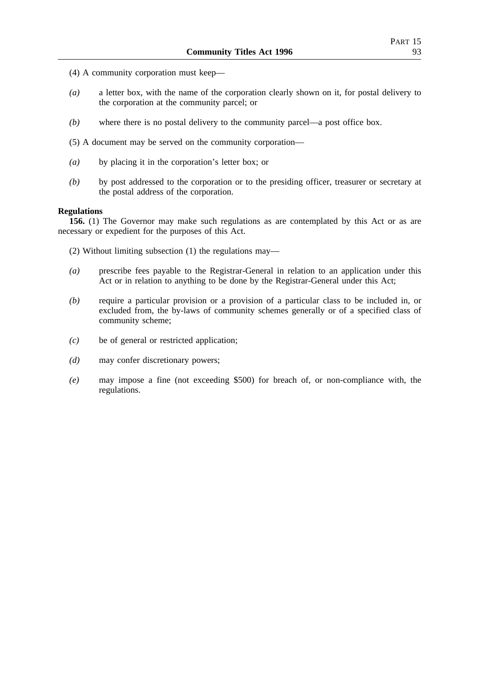- (4) A community corporation must keep—
- *(a)* a letter box, with the name of the corporation clearly shown on it, for postal delivery to the corporation at the community parcel; or
- *(b)* where there is no postal delivery to the community parcel—a post office box.
- (5) A document may be served on the community corporation—
- *(a)* by placing it in the corporation's letter box; or
- *(b)* by post addressed to the corporation or to the presiding officer, treasurer or secretary at the postal address of the corporation.

### **Regulations**

**156.** (1) The Governor may make such regulations as are contemplated by this Act or as are necessary or expedient for the purposes of this Act.

(2) Without limiting subsection (1) the regulations may—

- *(a)* prescribe fees payable to the Registrar-General in relation to an application under this Act or in relation to anything to be done by the Registrar-General under this Act;
- *(b)* require a particular provision or a provision of a particular class to be included in, or excluded from, the by-laws of community schemes generally or of a specified class of community scheme;
- *(c)* be of general or restricted application;
- *(d)* may confer discretionary powers;
- *(e)* may impose a fine (not exceeding \$500) for breach of, or non-compliance with, the regulations.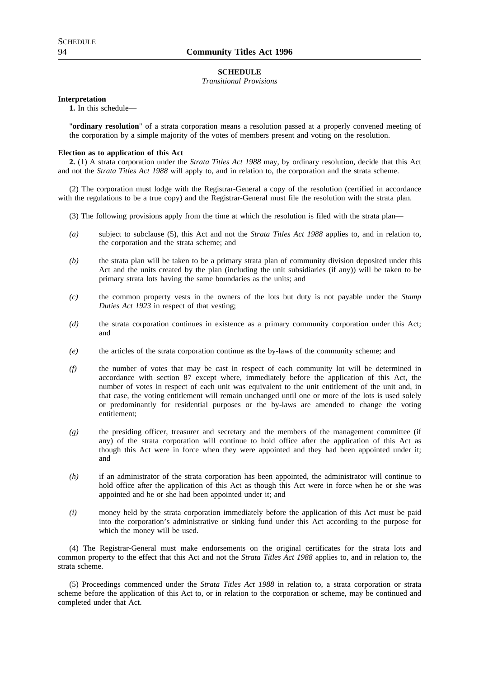#### **SCHEDULE**

*Transitional Provisions*

### **Interpretation**

**1.** In this schedule—

"**ordinary resolution**" of a strata corporation means a resolution passed at a properly convened meeting of the corporation by a simple majority of the votes of members present and voting on the resolution.

### **Election as to application of this Act**

**2.** (1) A strata corporation under the *Strata Titles Act 1988* may, by ordinary resolution, decide that this Act and not the *Strata Titles Act 1988* will apply to, and in relation to, the corporation and the strata scheme.

(2) The corporation must lodge with the Registrar-General a copy of the resolution (certified in accordance with the regulations to be a true copy) and the Registrar-General must file the resolution with the strata plan.

- (3) The following provisions apply from the time at which the resolution is filed with the strata plan—
- *(a)* subject to subclause (5), this Act and not the *Strata Titles Act 1988* applies to, and in relation to, the corporation and the strata scheme; and
- *(b)* the strata plan will be taken to be a primary strata plan of community division deposited under this Act and the units created by the plan (including the unit subsidiaries (if any)) will be taken to be primary strata lots having the same boundaries as the units; and
- *(c)* the common property vests in the owners of the lots but duty is not payable under the *Stamp Duties Act 1923* in respect of that vesting;
- *(d)* the strata corporation continues in existence as a primary community corporation under this Act; and
- *(e)* the articles of the strata corporation continue as the by-laws of the community scheme; and
- *(f)* the number of votes that may be cast in respect of each community lot will be determined in accordance with section 87 except where, immediately before the application of this Act, the number of votes in respect of each unit was equivalent to the unit entitlement of the unit and, in that case, the voting entitlement will remain unchanged until one or more of the lots is used solely or predominantly for residential purposes or the by-laws are amended to change the voting entitlement;
- *(g)* the presiding officer, treasurer and secretary and the members of the management committee (if any) of the strata corporation will continue to hold office after the application of this Act as though this Act were in force when they were appointed and they had been appointed under it; and
- *(h)* if an administrator of the strata corporation has been appointed, the administrator will continue to hold office after the application of this Act as though this Act were in force when he or she was appointed and he or she had been appointed under it; and
- *(i)* money held by the strata corporation immediately before the application of this Act must be paid into the corporation's administrative or sinking fund under this Act according to the purpose for which the money will be used.

(4) The Registrar-General must make endorsements on the original certificates for the strata lots and common property to the effect that this Act and not the *Strata Titles Act 1988* applies to, and in relation to, the strata scheme.

(5) Proceedings commenced under the *Strata Titles Act 1988* in relation to, a strata corporation or strata scheme before the application of this Act to, or in relation to the corporation or scheme, may be continued and completed under that Act.